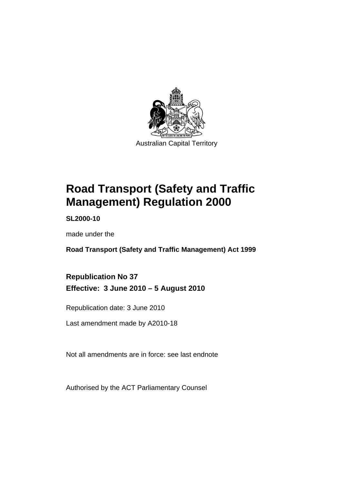

# **[Road Transport \(Safety and Traffic](#page-10-0)  [Management\) Regulation 2000](#page-10-0)**

**SL2000-10** 

made under the

**[Road Transport \(Safety and Traffic Management\) Act 1999](#page-10-0)** 

**Republication No 37 Effective: 3 June 2010 – 5 August 2010** 

Republication date: 3 June 2010

Last amendment made by A2010-18

Not all amendments are in force: see last endnote

Authorised by the ACT Parliamentary Counsel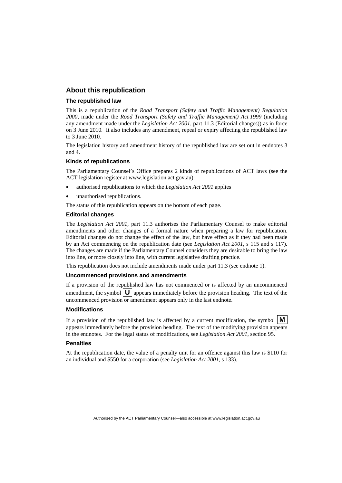#### **About this republication**

#### **The republished law**

This is a republication of the *Road Transport (Safety and Traffic Management) Regulation 2000*, made under the *[Road Transport \(Safety and Traffic Management\) Act 1999](#page-10-0)* (including any amendment made under the *Legislation Act 2001*, part 11.3 (Editorial changes)) as in force on 3 June 2010*.* It also includes any amendment, repeal or expiry affecting the republished law to 3 June 2010.

The legislation history and amendment history of the republished law are set out in endnotes 3 and 4.

#### **Kinds of republications**

The Parliamentary Counsel's Office prepares 2 kinds of republications of ACT laws (see the ACT legislation register at www.legislation.act.gov.au):

- authorised republications to which the *Legislation Act 2001* applies
- unauthorised republications.

The status of this republication appears on the bottom of each page.

#### **Editorial changes**

The *Legislation Act 2001*, part 11.3 authorises the Parliamentary Counsel to make editorial amendments and other changes of a formal nature when preparing a law for republication. Editorial changes do not change the effect of the law, but have effect as if they had been made by an Act commencing on the republication date (see *Legislation Act 2001*, s 115 and s 117). The changes are made if the Parliamentary Counsel considers they are desirable to bring the law into line, or more closely into line, with current legislative drafting practice.

This republication does not include amendments made under part 11.3 (see endnote 1).

#### **Uncommenced provisions and amendments**

If a provision of the republished law has not commenced or is affected by an uncommenced amendment, the symbol  $\mathbf{U}$  appears immediately before the provision heading. The text of the uncommenced provision or amendment appears only in the last endnote.

#### **Modifications**

If a provision of the republished law is affected by a current modification, the symbol  $\vert \mathbf{M} \vert$ appears immediately before the provision heading. The text of the modifying provision appears in the endnotes. For the legal status of modifications, see *Legislation Act 2001*, section 95.

#### **Penalties**

At the republication date, the value of a penalty unit for an offence against this law is \$110 for an individual and \$550 for a corporation (see *Legislation Act 2001*, s 133).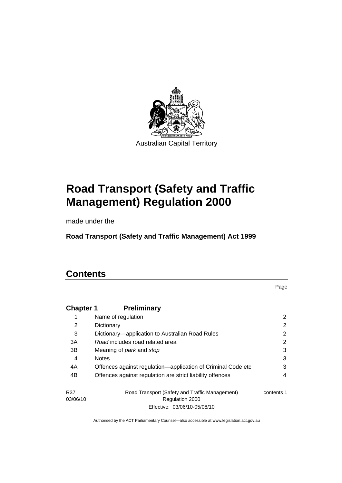

# **[Road Transport \(Safety and Traffic](#page-10-0)  [Management\) Regulation 2000](#page-10-0)**

made under the

**[Road Transport \(Safety and Traffic Management\) Act 1999](#page-10-0)** 

# **Contents**

Page

| <b>Chapter 1</b> | <b>Preliminary</b>                                           |            |
|------------------|--------------------------------------------------------------|------------|
| 1                | Name of regulation                                           | 2          |
| 2                | Dictionary                                                   | 2          |
| 3                | Dictionary—application to Australian Road Rules              | 2          |
| 3A               | Road includes road related area                              | 2          |
| 3B               | Meaning of <i>park</i> and <i>stop</i>                       | 3          |
| 4                | <b>Notes</b>                                                 | 3          |
| 4A               | Offences against regulation—application of Criminal Code etc | 3          |
| 4B               | Offences against regulation are strict liability offences    | 4          |
| R37              | Road Transport (Safety and Traffic Management)               | contents 1 |
| 03/06/10         | Regulation 2000                                              |            |
|                  | Effective: 03/06/10-05/08/10                                 |            |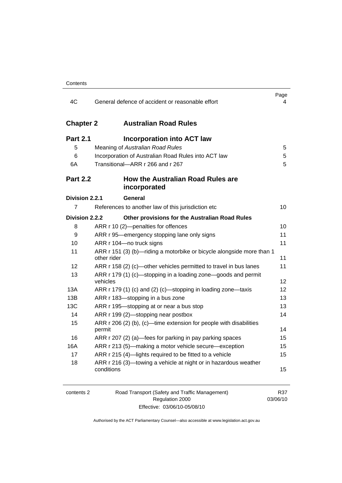| 4C               | General defence of accident or reasonable effort                                     | Page<br>4 |
|------------------|--------------------------------------------------------------------------------------|-----------|
| <b>Chapter 2</b> | <b>Australian Road Rules</b>                                                         |           |
| <b>Part 2.1</b>  | <b>Incorporation into ACT law</b>                                                    |           |
| 5                | Meaning of Australian Road Rules                                                     | 5         |
| 6                | Incorporation of Australian Road Rules into ACT law                                  | 5         |
| 6A               | Transitional-ARR r 266 and r 267                                                     | 5         |
| <b>Part 2.2</b>  | How the Australian Road Rules are<br>incorporated                                    |           |
| Division 2.2.1   | General                                                                              |           |
| 7                | References to another law of this jurisdiction etc                                   | 10        |
| Division 2.2.2   | Other provisions for the Australian Road Rules                                       |           |
| 8                | ARR r 10 (2)-penalties for offences                                                  | 10        |
| 9                | ARR r 95—emergency stopping lane only signs                                          | 11        |
| 10               | ARR r 104-no truck signs                                                             | 11        |
| 11               | ARR r 151 (3) (b)—riding a motorbike or bicycle alongside more than 1<br>other rider | 11        |
| 12               | ARR r 158 (2) (c)-other vehicles permitted to travel in bus lanes                    | 11        |
| 13               | ARR r 179 (1) (c)—stopping in a loading zone—goods and permit<br>vehicles            | 12        |
| 13A              | ARR r 179 (1) (c) and (2) (c)—stopping in loading zone—taxis                         | 12        |
| 13B              | ARR r 183-stopping in a bus zone                                                     | 13        |
| <b>13C</b>       | ARR r 195-stopping at or near a bus stop                                             | 13        |
| 14               | ARR r 199 (2)—stopping near postbox                                                  | 14        |
| 15               | ARR r 206 (2) (b), (c)—time extension for people with disabilities<br>permit         | 14        |
| 16               | ARR r 207 (2) (a)—fees for parking in pay parking spaces                             | 15        |
| 16A              | ARR r 213 (5)-making a motor vehicle secure-exception                                | 15        |
| 17               | ARR r 215 (4)-lights required to be fitted to a vehicle                              | 15        |
| 18               | ARR r 216 (3)—towing a vehicle at night or in hazardous weather<br>conditions        | 15        |

| contents 2 | Road Transport (Safety and Traffic Management) | R37      |
|------------|------------------------------------------------|----------|
|            | Regulation 2000                                | 03/06/10 |
|            | Effective: 03/06/10-05/08/10                   |          |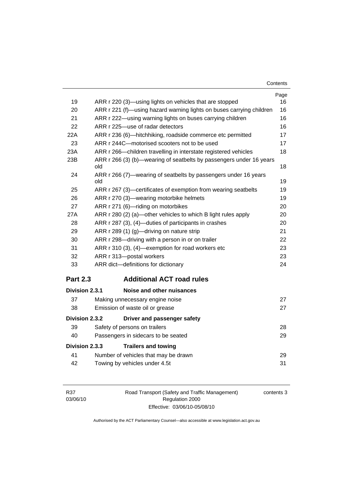| Contents |
|----------|
|----------|

| 19              |                                                                            | Page<br>16 |
|-----------------|----------------------------------------------------------------------------|------------|
|                 | ARR r 220 (3)—using lights on vehicles that are stopped                    |            |
| 20              | ARR r 221 (f)—using hazard warning lights on buses carrying children       | 16         |
| 21              | ARR r 222—using warning lights on buses carrying children                  | 16         |
| 22              | ARR r 225-use of radar detectors                                           | 16         |
| 22A             | ARR r 236 (6)-hitchhiking, roadside commerce etc permitted                 | 17         |
| 23              | ARR r 244C-motorised scooters not to be used                               | 17         |
| 23A             | ARR r 266—children travelling in interstate registered vehicles            | 18         |
| 23B             | ARR r 266 (3) (b)—wearing of seatbelts by passengers under 16 years<br>old | 18         |
| 24              | ARR r 266 (7)—wearing of seatbelts by passengers under 16 years<br>old     | 19         |
| 25              | ARR r 267 (3)—certificates of exemption from wearing seatbelts             | 19         |
| 26              | ARR r 270 (3)—wearing motorbike helmets                                    | 19         |
| 27              | ARR r 271 (6)-riding on motorbikes                                         | 20         |
| 27A             | ARR r 280 (2) (a)-other vehicles to which B light rules apply              | 20         |
| 28              | ARR r 287 (3), (4)-duties of participants in crashes                       | 20         |
| 29              | ARR r 289 (1) (g)—driving on nature strip                                  | 21         |
| 30              | ARR r 298-driving with a person in or on trailer                           | 22         |
| 31              | ARR r 310 (3), (4)-exemption for road workers etc                          | 23         |
| 32              | ARR r 313-postal workers                                                   | 23         |
| 33              | ARR dict-definitions for dictionary                                        | 24         |
| <b>Part 2.3</b> | <b>Additional ACT road rules</b>                                           |            |
| Division 2.3.1  | Noise and other nuisances                                                  |            |
| 37              | Making unnecessary engine noise                                            | 27         |
| 38              | Emission of waste oil or grease                                            | 27         |
| Division 2.3.2  | Driver and passenger safety                                                |            |
| 39              | Safety of persons on trailers                                              | 28         |
| 40              | Passengers in sidecars to be seated                                        | 29         |
| Division 2.3.3  | <b>Trailers and towing</b>                                                 |            |
| 41              | Number of vehicles that may be drawn                                       | 29         |
|                 |                                                                            |            |

|    | Number of vehicles that may be drawn |  |
|----|--------------------------------------|--|
| 42 | Towing by vehicles under 4.5t        |  |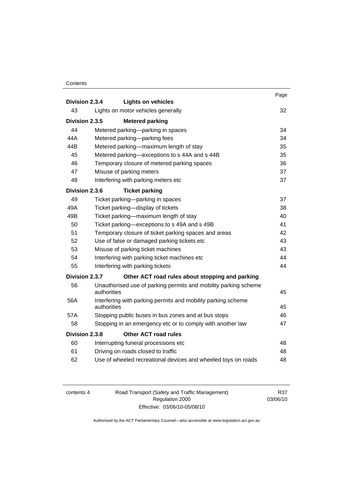#### **Contents**

|                                          |             | <b>Lights on vehicles</b>                                       | Page |
|------------------------------------------|-------------|-----------------------------------------------------------------|------|
| Division 2.3.4                           |             |                                                                 |      |
| 43<br>Lights on motor vehicles generally |             |                                                                 | 32   |
| Division 2.3.5                           |             | <b>Metered parking</b>                                          |      |
| 44                                       |             | Metered parking-parking in spaces                               | 34   |
| 44A                                      |             | Metered parking-parking fees                                    | 34   |
| 44B                                      |             | Metered parking-maximum length of stay                          | 35   |
| 45                                       |             | Metered parking-exceptions to s 44A and s 44B                   | 35   |
| 46                                       |             | Temporary closure of metered parking spaces                     | 36   |
| 47                                       |             | Misuse of parking meters                                        | 37   |
| 48                                       |             | Interfering with parking meters etc                             | 37   |
| Division 2.3.6                           |             | <b>Ticket parking</b>                                           |      |
| 49                                       |             | Ticket parking-parking in spaces                                | 37   |
| 49A                                      |             | Ticket parking-display of tickets                               | 38   |
| 49B                                      |             | Ticket parking-maximum length of stay                           | 40   |
| 50                                       |             | Ticket parking—exceptions to s 49A and s 49B                    | 41   |
| 51                                       |             | Temporary closure of ticket parking spaces and areas            | 42   |
| 52                                       |             | Use of false or damaged parking tickets etc                     | 43   |
| 53                                       |             | Misuse of parking ticket machines                               | 43   |
| 54                                       |             | Interfering with parking ticket machines etc                    | 44   |
| 55                                       |             | Interfering with parking tickets                                | 44   |
| Division 2.3.7                           |             | Other ACT road rules about stopping and parking                 |      |
| 56                                       | authorities | Unauthorised use of parking permits and mobility parking scheme |      |
| 56A                                      |             |                                                                 | 45   |
|                                          | authorities | Interfering with parking permits and mobility parking scheme    | 45   |
| 57A                                      |             | Stopping public buses in bus zones and at bus stops             | 46   |
| 58                                       |             | Stopping in an emergency etc or to comply with another law      | 47   |
| Division 2.3.8                           |             | <b>Other ACT road rules</b>                                     |      |
| 60                                       |             | Interrupting funeral processions etc                            | 48   |
| 61                                       |             | Driving on roads closed to traffic                              | 48   |
| 62                                       |             | Use of wheeled recreational devices and wheeled toys on roads   | 48   |
|                                          |             |                                                                 |      |

| contents 4 |  |
|------------|--|
|------------|--|

4 Road Transport (Safety and Traffic Management) Regulation 2000 Effective: 03/06/10-05/08/10

R37 03/06/10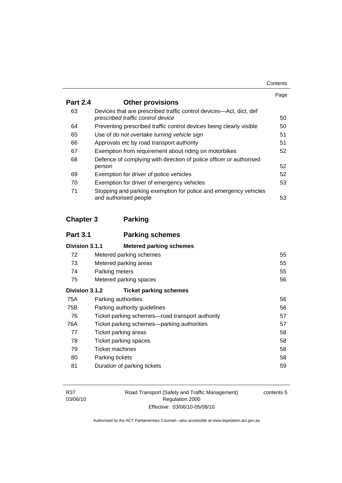|                 |                                                                                                         | Page |
|-----------------|---------------------------------------------------------------------------------------------------------|------|
| <b>Part 2.4</b> | <b>Other provisions</b>                                                                                 |      |
| 63              | Devices that are prescribed traffic control devices—Act, dict, def<br>prescribed traffic control device | 50   |
| 64              | Preventing prescribed traffic control devices being clearly visible                                     | 50   |
| 65              | Use of do not overtake turning vehicle sign                                                             | 51   |
| 66              | Approvals etc by road transport authority                                                               | 51   |
| 67              | Exemption from requirement about riding on motorbikes                                                   | 52   |
| 68              | Defence of complying with direction of police officer or authorised                                     |      |
|                 | person                                                                                                  | 52   |
| 69              | Exemption for driver of police vehicles                                                                 | 52   |
| 70              | Exemption for driver of emergency vehicles                                                              | 53   |
| 71              | Stopping and parking exemption for police and emergency vehicles<br>and authorised people               | 53   |

# **Chapter 3 Parking**

| <b>Part 3.1</b> | <b>Parking schemes</b>                          |    |
|-----------------|-------------------------------------------------|----|
| Division 3.1.1  | <b>Metered parking schemes</b>                  |    |
| 72              | Metered parking schemes                         | 55 |
| 73              | Metered parking areas                           | 55 |
| 74              | Parking meters                                  | 55 |
| 75              | Metered parking spaces<br>56                    |    |
| Division 3.1.2  | <b>Ticket parking schemes</b>                   |    |
| 75A             | Parking authorities                             | 56 |
| 75B             | Parking authority guidelines                    | 56 |
| 76              | Ticket parking schemes—road transport authority | 57 |
| 76A             | Ticket parking schemes—parking authorities      | 57 |
| 77              | Ticket parking areas                            | 58 |
| 78              | Ticket parking spaces                           | 58 |
| 79              | Ticket machines                                 | 58 |
| 80              | Parking tickets                                 | 58 |
| 81              | Duration of parking tickets                     | 59 |

Road Transport (Safety and Traffic Management) Regulation 2000 Effective: 03/06/10-05/08/10

contents 5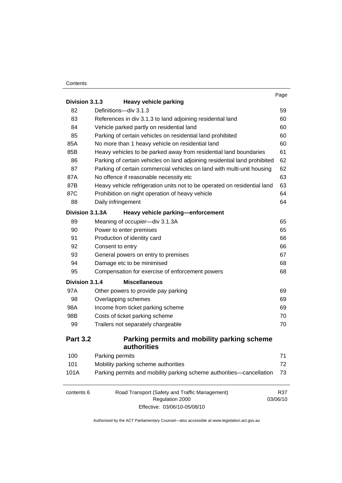#### **Contents**

|                 |                                                                           | Page     |
|-----------------|---------------------------------------------------------------------------|----------|
| Division 3.1.3  | <b>Heavy vehicle parking</b>                                              |          |
| 82              | Definitions-div 3.1.3                                                     | 59       |
| 83              | References in div 3.1.3 to land adjoining residential land                | 60       |
| 84              | Vehicle parked partly on residential land                                 | 60       |
| 85              | Parking of certain vehicles on residential land prohibited                | 60       |
| 85A             | No more than 1 heavy vehicle on residential land                          | 60       |
| 85B             | Heavy vehicles to be parked away from residential land boundaries         | 61       |
| 86              | Parking of certain vehicles on land adjoining residential land prohibited | 62       |
| 87              | Parking of certain commercial vehicles on land with multi-unit housing    | 62       |
| 87A             | No offence if reasonable necessity etc                                    | 63       |
| 87B             | Heavy vehicle refrigeration units not to be operated on residential land  | 63       |
| 87C             | Prohibition on night operation of heavy vehicle                           | 64       |
| 88              | Daily infringement                                                        | 64       |
| Division 3.1.3A | Heavy vehicle parking-enforcement                                         |          |
| 89              | Meaning of occupier-div 3.1.3A                                            | 65       |
| 90              | Power to enter premises                                                   | 65       |
| 91              | Production of identity card                                               | 66       |
| 92              | Consent to entry                                                          | 66       |
| 93              | General powers on entry to premises                                       | 67       |
| 94              | Damage etc to be minimised                                                | 68       |
| 95              | Compensation for exercise of enforcement powers                           | 68       |
| Division 3.1.4  | <b>Miscellaneous</b>                                                      |          |
| 97A             | Other powers to provide pay parking                                       | 69       |
| 98              | Overlapping schemes                                                       | 69       |
| 98A             | Income from ticket parking scheme                                         | 69       |
| 98B             | Costs of ticket parking scheme                                            | 70       |
| 99              | Trailers not separately chargeable                                        | 70       |
| <b>Part 3.2</b> | Parking permits and mobility parking scheme                               |          |
|                 | authorities                                                               |          |
| 100             | Parking permits                                                           | 71       |
| 101             | Mobility parking scheme authorities                                       | 72       |
| 101A            | Parking permits and mobility parking scheme authorities-cancellation      | 73       |
| contents 6      | Road Transport (Safety and Traffic Management)                            | R37      |
|                 | Regulation 2000                                                           | 03/06/10 |
|                 | Effective: 03/06/10-05/08/10                                              |          |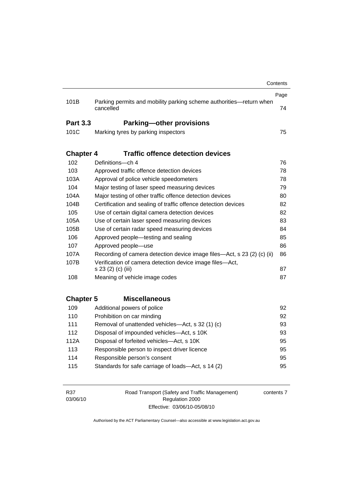|                  |                                                                                  | Contents |
|------------------|----------------------------------------------------------------------------------|----------|
|                  |                                                                                  | Page     |
| 101B             | Parking permits and mobility parking scheme authorities-return when<br>cancelled | 74       |
| <b>Part 3.3</b>  | <b>Parking-other provisions</b>                                                  |          |
| 101C             | Marking tyres by parking inspectors                                              | 75       |
|                  |                                                                                  |          |
| <b>Chapter 4</b> | <b>Traffic offence detection devices</b>                                         |          |
| 102              | Definitions-ch 4                                                                 | 76       |
| 103              | Approved traffic offence detection devices                                       | 78       |
| 103A             | Approval of police vehicle speedometers                                          | 78       |
| 104              | Major testing of laser speed measuring devices                                   | 79       |
| 104A             | Major testing of other traffic offence detection devices                         | 80       |
| 104B             | Certification and sealing of traffic offence detection devices                   | 82       |
| 105              | Use of certain digital camera detection devices                                  | 82       |
| 105A             | Use of certain laser speed measuring devices<br>83                               |          |
| 105B             | Use of certain radar speed measuring devices                                     | 84       |
| 106              | Approved people—testing and sealing                                              | 85       |
| 107              | Approved people-use                                                              | 86       |
| 107A             | Recording of camera detection device image files—Act, s 23 (2) (c) (ii)          | 86       |
| 107B             | Verification of camera detection device image files-Act,                         |          |
|                  | s 23 (2) (c) (iii)                                                               | 87       |
| 108              | Meaning of vehicle image codes                                                   | 87       |
|                  |                                                                                  |          |
| <b>Chapter 5</b> | <b>Miscellaneous</b>                                                             |          |
| 109              | Additional powers of police                                                      | 92       |
| 110              | Prohibition on car minding                                                       | 92       |
| 111              | Removal of unattended vehicles—Act, s 32 (1) (c)                                 | 93       |
| 112              | Disposal of impounded vehicles-Act, s 10K                                        | 93       |
| 112A             | Disposal of forfeited vehicles-Act, s 10K                                        | 95       |
| 113              | Responsible person to inspect driver licence                                     | 95       |
| 114              | Responsible person's consent                                                     | 95       |
| 115              | Standards for safe carriage of loads-Act, s 14 (2)                               | 95       |
|                  |                                                                                  |          |
|                  |                                                                                  |          |

R37 03/06/10 Road Transport (Safety and Traffic Management) Regulation 2000 Effective: 03/06/10-05/08/10

contents 7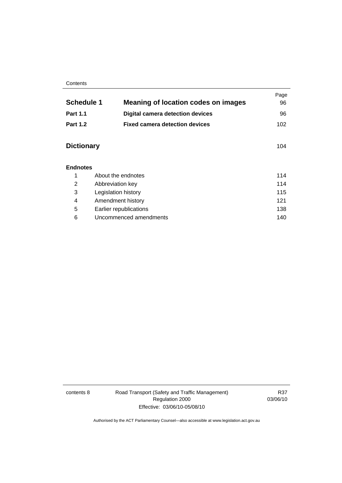#### **Contents**

|                   |                                            | Page |
|-------------------|--------------------------------------------|------|
| <b>Schedule 1</b> | <b>Meaning of location codes on images</b> | 96   |
| <b>Part 1.1</b>   | <b>Digital camera detection devices</b>    | 96   |
| <b>Part 1.2</b>   | <b>Fixed camera detection devices</b>      | 102  |
| <b>Dictionary</b> |                                            | 104  |
| <b>Endnotes</b>   |                                            |      |
| 1                 | About the endnotes                         | 114  |
| 2                 | Abbreviation key                           | 114  |
| 3                 | Legislation history                        | 115  |
| 4                 | Amendment history                          | 121  |
| 5                 | Earlier republications                     | 138  |
| 6                 | Uncommenced amendments                     | 140  |

contents 8 Road Transport (Safety and Traffic Management) Regulation 2000 Effective: 03/06/10-05/08/10

R37 03/06/10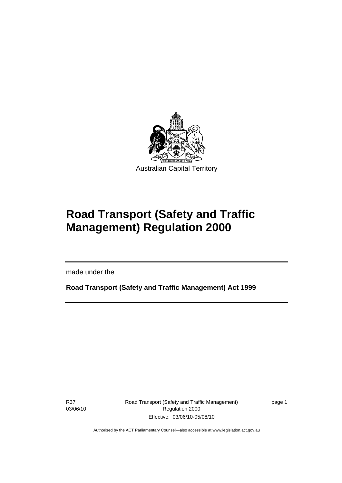<span id="page-10-0"></span>

# **Road Transport (Safety and Traffic Management) Regulation 2000**

made under the

**Road Transport (Safety and Traffic Management) Act 1999** 

R37 03/06/10

I

Road Transport (Safety and Traffic Management) Regulation 2000 Effective: 03/06/10-05/08/10

page 1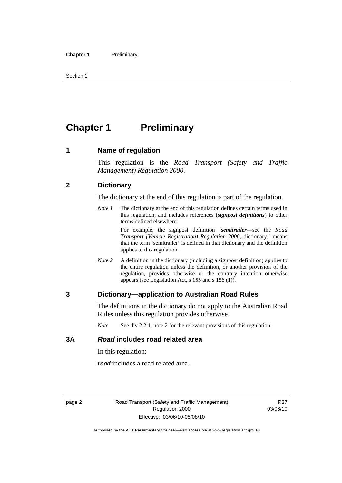<span id="page-11-0"></span>Section 1

# **Chapter 1** Preliminary

#### **1 Name of regulation**

This regulation is the *Road Transport (Safety and Traffic Management) Regulation 2000*.

#### **2 Dictionary**

The dictionary at the end of this regulation is part of the regulation.

*Note 1* The dictionary at the end of this regulation defines certain terms used in this regulation, and includes references (*signpost definitions*) to other terms defined elsewhere.

> For example, the signpost definition '*semitrailer*—see the *Road Transport (Vehicle Registration) Regulation 2000*, dictionary.' means that the term 'semitrailer' is defined in that dictionary and the definition applies to this regulation.

*Note 2* A definition in the dictionary (including a signpost definition) applies to the entire regulation unless the definition, or another provision of the regulation, provides otherwise or the contrary intention otherwise appears (see Legislation Act, s 155 and s 156 (1)).

#### **3 Dictionary—application to Australian Road Rules**

The definitions in the dictionary do not apply to the Australian Road Rules unless this regulation provides otherwise.

*Note* See div 2.2.1, note 2 for the relevant provisions of this regulation.

#### **3A** *Road* **includes road related area**

In this regulation:

*road* includes a road related area.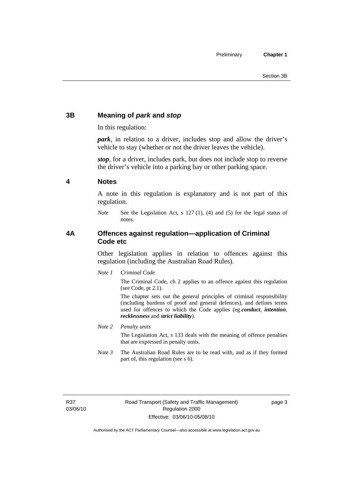### <span id="page-12-0"></span>**3B Meaning of** *park* **and** *stop*

In this regulation:

*park*, in relation to a driver, includes stop and allow the driver's vehicle to stay (whether or not the driver leaves the vehicle).

*stop*, for a driver, includes park, but does not include stop to reverse the driver's vehicle into a parking bay or other parking space.

#### **4 Notes**

A note in this regulation is explanatory and is not part of this regulation.

*Note* See the Legislation Act, s 127 (1), (4) and (5) for the legal status of notes.

#### **4A Offences against regulation—application of Criminal Code etc**

Other legislation applies in relation to offences against this regulation (including the Australian Road Rules).

*Note 1 Criminal Code*

The Criminal Code, ch 2 applies to an offence against this regulation (see Code, pt 2.1).

The chapter sets out the general principles of criminal responsibility (including burdens of proof and general defences), and defines terms used for offences to which the Code applies (eg *conduct*, *intention*, *recklessness* and *strict liability*).

*Note 2 Penalty units* 

The Legislation Act, s 133 deals with the meaning of offence penalties that are expressed in penalty units.

*Note 3* The Australian Road Rules are to be read with, and as if they formed part of, this regulation (see s 6).

R37 03/06/10 page 3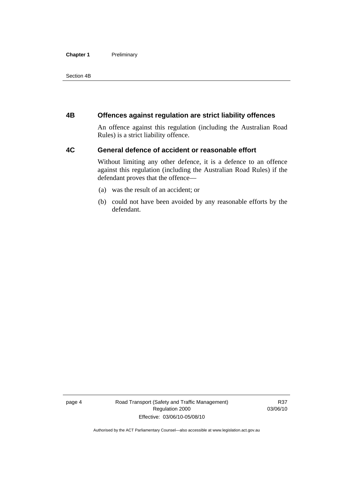#### <span id="page-13-0"></span>**Chapter 1** Preliminary

Section 4B

#### **4B Offences against regulation are strict liability offences**

An offence against this regulation (including the Australian Road Rules) is a strict liability offence.

#### **4C General defence of accident or reasonable effort**

Without limiting any other defence, it is a defence to an offence against this regulation (including the Australian Road Rules) if the defendant proves that the offence—

- (a) was the result of an accident; or
- (b) could not have been avoided by any reasonable efforts by the defendant.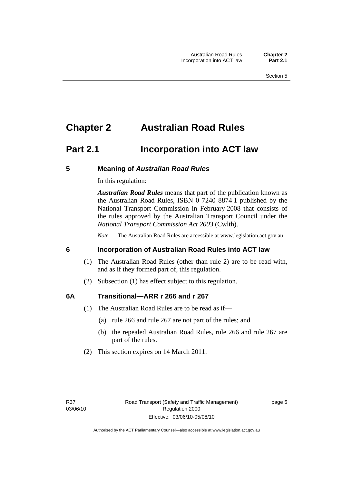## <span id="page-14-0"></span>**Chapter 2 Australian Road Rules**

## **Part 2.1 Incorporation into ACT law**

#### **5 Meaning of** *Australian Road Rules*

In this regulation:

*Australian Road Rules* means that part of the publication known as the Australian Road Rules, ISBN 0 7240 8874 1 published by the National Transport Commission in February 2008 that consists of the rules approved by the Australian Transport Council under the *National Transport Commission Act 2003* (Cwlth).

*Note* The Australian Road Rules are accessible at www.legislation.act.gov.au.

#### **6 Incorporation of Australian Road Rules into ACT law**

- (1) The Australian Road Rules (other than rule 2) are to be read with, and as if they formed part of, this regulation.
- (2) Subsection (1) has effect subject to this regulation.

#### **6A Transitional—ARR r 266 and r 267**

- (1) The Australian Road Rules are to be read as if—
	- (a) rule 266 and rule 267 are not part of the rules; and
	- (b) the repealed Australian Road Rules, rule 266 and rule 267 are part of the rules.
- (2) This section expires on 14 March 2011.

page 5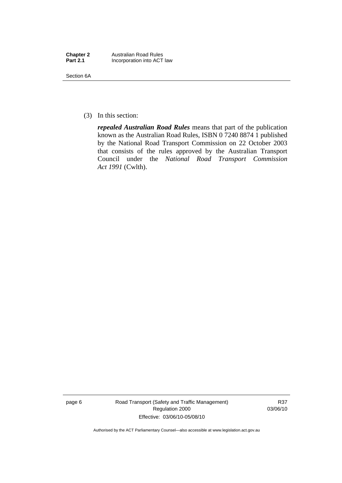| <b>Chapter 2</b> | <b>Australian Road Rules</b> |
|------------------|------------------------------|
| <b>Part 2.1</b>  | Incorporation into ACT law   |

Section 6A

(3) In this section:

*repealed Australian Road Rules* means that part of the publication known as the Australian Road Rules, ISBN 0 7240 8874 1 published by the National Road Transport Commission on 22 October 2003 that consists of the rules approved by the Australian Transport Council under the *National Road Transport Commission Act 1991* (Cwlth).

page 6 Road Transport (Safety and Traffic Management) Regulation 2000 Effective: 03/06/10-05/08/10

R37 03/06/10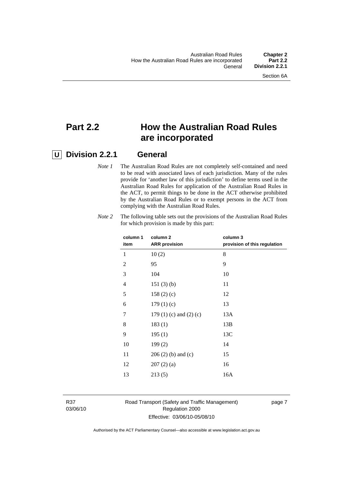## **Part 2.2 How the Australian Road Rules are incorporated**

### **U Division 2.2.1 General**

*Note 1* The Australian Road Rules are not completely self-contained and need to be read with associated laws of each jurisdiction. Many of the rules provide for 'another law of this jurisdiction' to define terms used in the Australian Road Rules for application of the Australian Road Rules in the ACT, to permit things to be done in the ACT otherwise prohibited by the Australian Road Rules or to exempt persons in the ACT from complying with the Australian Road Rules.

| column 1<br>item | column 2<br><b>ARR</b> provision | column 3<br>provision of this regulation |
|------------------|----------------------------------|------------------------------------------|
| 1                | 10(2)                            | 8                                        |
| $\overline{2}$   | 95                               | 9                                        |
| 3                | 104                              | 10                                       |
| 4                | 151(3)(b)                        | 11                                       |
| 5                | 158(2)(c)                        | 12                                       |
| 6                | 179(1)(c)                        | 13                                       |
| 7                | 179 $(1)$ $(c)$ and $(2)$ $(c)$  | 13A                                      |
| 8                | 183(1)                           | 13B                                      |
| 9                | 195(1)                           | 13C                                      |
| 10               | 199(2)                           | 14                                       |
| 11               | $206(2)$ (b) and (c)             | 15                                       |
| 12               | 207(2)(a)                        | 16                                       |
| 13               | 213(5)                           | 16A                                      |
|                  |                                  |                                          |

*Note 2* The following table sets out the provisions of the Australian Road Rules for which provision is made by this part:

R37 03/06/10

#### Road Transport (Safety and Traffic Management) Regulation 2000 Effective: 03/06/10-05/08/10

page 7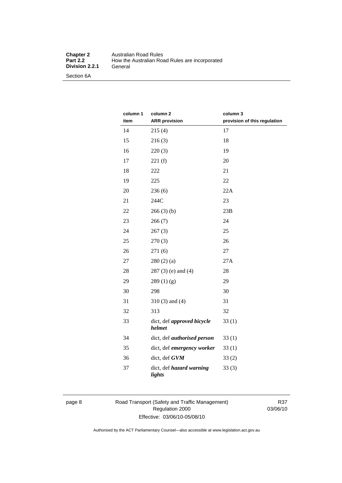#### **Chapter 2** Australian Road Rules<br>**Part 2.2** How the Australian Road **Production Product Product**<br> **Part 2.2 Product**<br> **Part 2.2 Product**<br> **Part 2.2 Product**<br> **Part 2.2 Product**<br> **Part 2.2 Product**<br> **Part 2.4 Product**<br> **Part 2.4 Product**<br> **Part 2.4 Product**<br> **Part 2.4 Product Division 2.2.1**

Section 6A

| column 1<br>item | column 2<br><b>ARR</b> provision          | column 3<br>provision of this regulation |
|------------------|-------------------------------------------|------------------------------------------|
| 14               | 215(4)                                    | 17                                       |
| 15               | 216(3)                                    | 18                                       |
| 16               | 220(3)                                    | 19                                       |
| 17               | 221(f)                                    | 20                                       |
| 18               | 222                                       | 21                                       |
| 19               | 225                                       | 22                                       |
| 20               | 236(6)                                    | 22A                                      |
| 21               | 244C                                      | 23                                       |
| 22               | 266(3)(b)                                 | 23B                                      |
| 23               | 266(7)                                    | 24                                       |
| 24               | 267(3)                                    | 25                                       |
| 25               | 270(3)                                    | 26                                       |
| 26               | 271 (6)                                   | 27                                       |
| 27               | 280(2)(a)                                 | 27A                                      |
| 28               | $287(3)$ (e) and (4)                      | 28                                       |
| 29               | 289(1)(g)                                 | 29                                       |
| 30               | 298                                       | 30                                       |
| 31               | $310(3)$ and $(4)$                        | 31                                       |
| 32               | 313                                       | 32                                       |
| 33               | dict, def approved bicycle<br>helmet      | 33(1)                                    |
| 34               | dict, def <i>authorised</i> person        | 33(1)                                    |
| 35               | dict, def emergency worker                | 33(1)                                    |
| 36               | dict, def GVM                             | 33(2)                                    |
| 37               | dict, def <i>hazard warning</i><br>lights | 33(3)                                    |

page 8 Road Transport (Safety and Traffic Management) Regulation 2000 Effective: 03/06/10-05/08/10

R37 03/06/10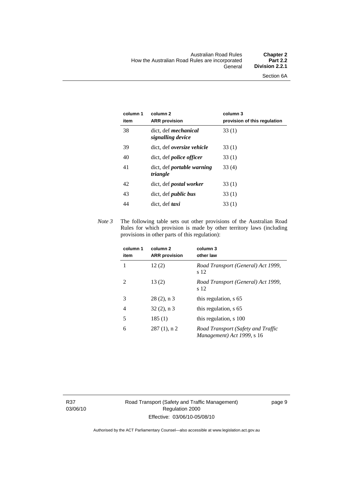| column 1<br>item | column <sub>2</sub><br><b>ARR</b> provision      | column 3<br>provision of this regulation |
|------------------|--------------------------------------------------|------------------------------------------|
| 38               | dict, def <i>mechanical</i><br>signalling device | 33 (1)                                   |
| 39               | dict, def <i>oversize</i> vehicle                | 33(1)                                    |
| 40               | dict, def <i>police</i> officer                  | 33(1)                                    |
| 41               | dict, def <i>portable</i> warning<br>triangle    | 33(4)                                    |
| 42               | dict, def <i>postal</i> worker                   | 33(1)                                    |
| 43               | dict, def <i>public bus</i>                      | 33(1)                                    |
| 44               | dict, def <i>taxi</i>                            | 33(1)                                    |

*Note 3* The following table sets out other provisions of the Australian Road Rules for which provision is made by other territory laws (including provisions in other parts of this regulation):

| column 1<br>item | column <sub>2</sub><br><b>ARR</b> provision | column 3<br>other law                                            |
|------------------|---------------------------------------------|------------------------------------------------------------------|
| 1                | 12(2)                                       | Road Transport (General) Act 1999,<br>s 12                       |
| $\mathfrak{D}$   | 13(2)                                       | Road Transport (General) Act 1999,<br>s 12                       |
| 3                | $28(2)$ , n 3                               | this regulation, s 65                                            |
| 4                | $32(2)$ , n 3                               | this regulation, s 65                                            |
| 5                | 185(1)                                      | this regulation, s 100                                           |
| 6                | $287(1)$ , n 2                              | Road Transport (Safety and Traffic<br>Management) Act 1999, s 16 |

R37 03/06/10 page 9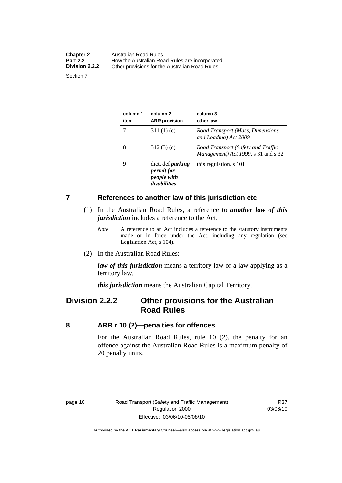<span id="page-19-0"></span>

| <b>Chapter 2</b><br><b>Part 2.2</b><br><b>Division 2.2.2</b> | Australian Road Rules<br>How the Australian Road Rules are incorporated |
|--------------------------------------------------------------|-------------------------------------------------------------------------|
| Section 7                                                    | Other provisions for the Australian Road Rules                          |

**column 1 item column 2 ARR provision column 3 other law**  7 311 (1) (c) *Road Transport (Mass, Dimensions and Loading) Act 2009*  8 312 (3) (c) *Road Transport (Safety and Traffic Management) Act 1999*, s 31 and s 32 9 dict, def *parking permit for people with disabilities* this regulation, s 101

#### **7 References to another law of this jurisdiction etc**

- (1) In the Australian Road Rules, a reference to *another law of this jurisdiction* includes a reference to the Act.
	- *Note* A reference to an Act includes a reference to the statutory instruments made or in force under the Act, including any regulation (see Legislation Act, s 104).
- (2) In the Australian Road Rules:

*law of this jurisdiction* means a territory law or a law applying as a territory law.

*this jurisdiction* means the Australian Capital Territory.

### **Division 2.2.2 Other provisions for the Australian Road Rules**

#### **8 ARR r 10 (2)—penalties for offences**

For the Australian Road Rules, rule 10 (2), the penalty for an offence against the Australian Road Rules is a maximum penalty of 20 penalty units.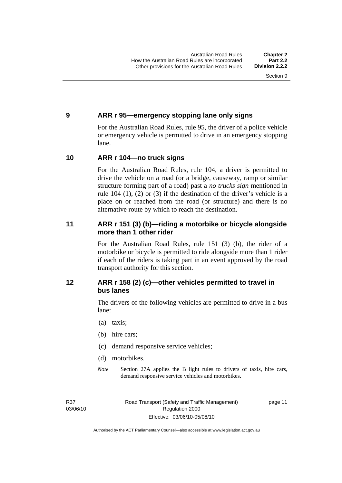#### <span id="page-20-0"></span>**9 ARR r 95—emergency stopping lane only signs**

For the Australian Road Rules, rule 95, the driver of a police vehicle or emergency vehicle is permitted to drive in an emergency stopping lane.

#### **10 ARR r 104—no truck signs**

For the Australian Road Rules, rule 104, a driver is permitted to drive the vehicle on a road (or a bridge, causeway, ramp or similar structure forming part of a road) past a *no trucks sign* mentioned in rule 104 (1), (2) or (3) if the destination of the driver's vehicle is a place on or reached from the road (or structure) and there is no alternative route by which to reach the destination.

#### **11 ARR r 151 (3) (b)—riding a motorbike or bicycle alongside more than 1 other rider**

For the Australian Road Rules, rule 151 (3) (b), the rider of a motorbike or bicycle is permitted to ride alongside more than 1 rider if each of the riders is taking part in an event approved by the road transport authority for this section.

#### **12 ARR r 158 (2) (c)—other vehicles permitted to travel in bus lanes**

The drivers of the following vehicles are permitted to drive in a bus lane:

- (a) taxis;
- (b) hire cars;
- (c) demand responsive service vehicles;
- (d) motorbikes.
- *Note* Section 27A applies the B light rules to drivers of taxis, hire cars, demand responsive service vehicles and motorbikes.

R37 03/06/10 page 11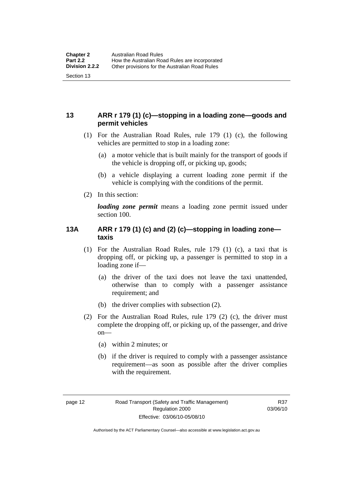#### <span id="page-21-0"></span>**13 ARR r 179 (1) (c)—stopping in a loading zone—goods and permit vehicles**

- (1) For the Australian Road Rules, rule 179 (1) (c), the following vehicles are permitted to stop in a loading zone:
	- (a) a motor vehicle that is built mainly for the transport of goods if the vehicle is dropping off, or picking up, goods;
	- (b) a vehicle displaying a current loading zone permit if the vehicle is complying with the conditions of the permit.
- (2) In this section:

*loading zone permit* means a loading zone permit issued under section 100.

#### **13A ARR r 179 (1) (c) and (2) (c)—stopping in loading zone taxis**

- (1) For the Australian Road Rules, rule 179 (1) (c), a taxi that is dropping off, or picking up, a passenger is permitted to stop in a loading zone if—
	- (a) the driver of the taxi does not leave the taxi unattended, otherwise than to comply with a passenger assistance requirement; and
	- (b) the driver complies with subsection (2).
- (2) For the Australian Road Rules, rule 179 (2) (c), the driver must complete the dropping off, or picking up, of the passenger, and drive  $on$ —
	- (a) within 2 minutes; or
	- (b) if the driver is required to comply with a passenger assistance requirement—as soon as possible after the driver complies with the requirement.

Authorised by the ACT Parliamentary Counsel—also accessible at www.legislation.act.gov.au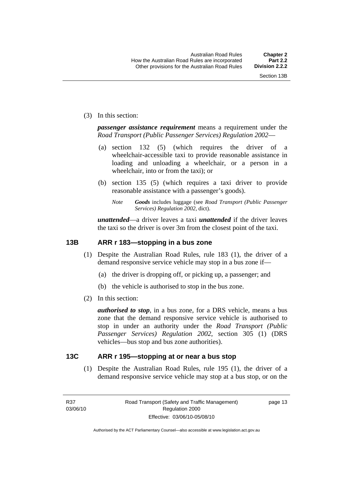<span id="page-22-0"></span>(3) In this section:

*passenger assistance requirement* means a requirement under the *Road Transport (Public Passenger Services) Regulation 2002*—

- (a) section 132 (5) (which requires the driver of a wheelchair-accessible taxi to provide reasonable assistance in loading and unloading a wheelchair, or a person in a wheelchair, into or from the taxi); or
- (b) section 135 (5) (which requires a taxi driver to provide reasonable assistance with a passenger's goods).
	- *Note Goods* includes luggage (see *Road Transport (Public Passenger Services) Regulation 2002*, dict).

*unattended*—a driver leaves a taxi *unattended* if the driver leaves the taxi so the driver is over 3m from the closest point of the taxi.

#### **13B ARR r 183—stopping in a bus zone**

- (1) Despite the Australian Road Rules, rule 183 (1), the driver of a demand responsive service vehicle may stop in a bus zone if—
	- (a) the driver is dropping off, or picking up, a passenger; and
	- (b) the vehicle is authorised to stop in the bus zone.
- (2) In this section:

*authorised to stop*, in a bus zone, for a DRS vehicle, means a bus zone that the demand responsive service vehicle is authorised to stop in under an authority under the *Road Transport (Public Passenger Services) Regulation 2002*, section 305 (1) (DRS vehicles—bus stop and bus zone authorities).

#### **13C ARR r 195—stopping at or near a bus stop**

 (1) Despite the Australian Road Rules, rule 195 (1), the driver of a demand responsive service vehicle may stop at a bus stop, or on the

page 13

Authorised by the ACT Parliamentary Counsel—also accessible at www.legislation.act.gov.au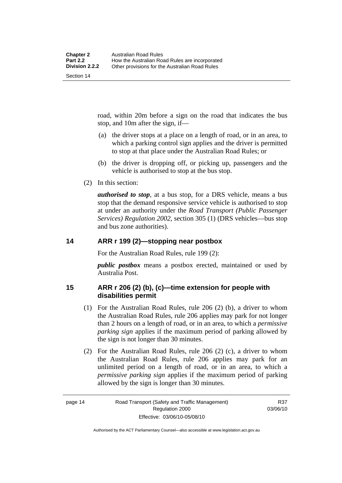<span id="page-23-0"></span>road, within 20m before a sign on the road that indicates the bus stop, and 10m after the sign, if—

- (a) the driver stops at a place on a length of road, or in an area, to which a parking control sign applies and the driver is permitted to stop at that place under the Australian Road Rules; or
- (b) the driver is dropping off, or picking up, passengers and the vehicle is authorised to stop at the bus stop.
- (2) In this section:

*authorised to stop*, at a bus stop, for a DRS vehicle, means a bus stop that the demand responsive service vehicle is authorised to stop at under an authority under the *Road Transport (Public Passenger Services) Regulation 2002*, section 305 (1) (DRS vehicles—bus stop and bus zone authorities).

#### **14 ARR r 199 (2)—stopping near postbox**

For the Australian Road Rules, rule 199 (2):

*public postbox* means a postbox erected, maintained or used by Australia Post.

#### **15 ARR r 206 (2) (b), (c)—time extension for people with disabilities permit**

- (1) For the Australian Road Rules, rule 206 (2) (b), a driver to whom the Australian Road Rules, rule 206 applies may park for not longer than 2 hours on a length of road, or in an area, to which a *permissive parking sign* applies if the maximum period of parking allowed by the sign is not longer than 30 minutes.
- (2) For the Australian Road Rules, rule 206 (2) (c), a driver to whom the Australian Road Rules, rule 206 applies may park for an unlimited period on a length of road, or in an area, to which a *permissive parking sign* applies if the maximum period of parking allowed by the sign is longer than 30 minutes.

R37 03/06/10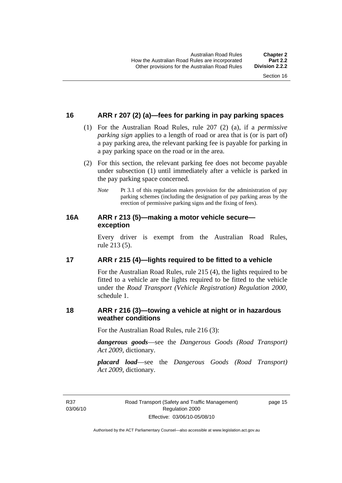#### <span id="page-24-0"></span>**16 ARR r 207 (2) (a)—fees for parking in pay parking spaces**

- (1) For the Australian Road Rules, rule 207 (2) (a), if a *permissive parking sign* applies to a length of road or area that is (or is part of) a pay parking area, the relevant parking fee is payable for parking in a pay parking space on the road or in the area.
- (2) For this section, the relevant parking fee does not become payable under subsection (1) until immediately after a vehicle is parked in the pay parking space concerned.
	- *Note* Pt 3.1 of this regulation makes provision for the administration of pay parking schemes (including the designation of pay parking areas by the erection of permissive parking signs and the fixing of fees).

#### **16A ARR r 213 (5)—making a motor vehicle secure exception**

Every driver is exempt from the Australian Road Rules, rule 213 (5).

#### **17 ARR r 215 (4)—lights required to be fitted to a vehicle**

For the Australian Road Rules, rule 215 (4), the lights required to be fitted to a vehicle are the lights required to be fitted to the vehicle under the *Road Transport (Vehicle Registration) Regulation 2000,*  schedule 1.

#### **18 ARR r 216 (3)—towing a vehicle at night or in hazardous weather conditions**

For the Australian Road Rules, rule 216 (3):

*dangerous goods*—see the *Dangerous Goods (Road Transport) Act 2009*, dictionary.

*placard load*—see the *Dangerous Goods (Road Transport) Act 2009*, dictionary.

R37 03/06/10 page 15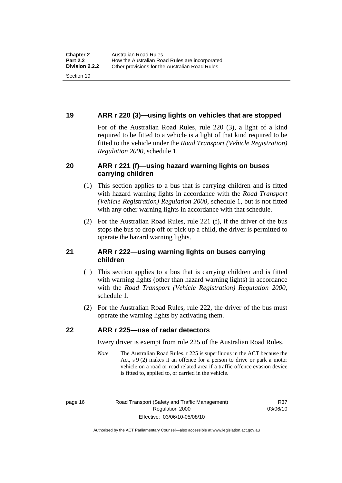#### <span id="page-25-0"></span>**19 ARR r 220 (3)—using lights on vehicles that are stopped**

For of the Australian Road Rules, rule 220 (3), a light of a kind required to be fitted to a vehicle is a light of that kind required to be fitted to the vehicle under the *Road Transport (Vehicle Registration) Regulation 2000*, schedule 1.

#### **20 ARR r 221 (f)—using hazard warning lights on buses carrying children**

- (1) This section applies to a bus that is carrying children and is fitted with hazard warning lights in accordance with the *Road Transport (Vehicle Registration) Regulation 2000*, schedule 1, but is not fitted with any other warning lights in accordance with that schedule.
- (2) For the Australian Road Rules, rule 221 (f), if the driver of the bus stops the bus to drop off or pick up a child, the driver is permitted to operate the hazard warning lights.

#### **21 ARR r 222—using warning lights on buses carrying children**

- (1) This section applies to a bus that is carrying children and is fitted with warning lights (other than hazard warning lights) in accordance with the *Road Transport (Vehicle Registration) Regulation 2000*, schedule 1.
- (2) For the Australian Road Rules, rule 222, the driver of the bus must operate the warning lights by activating them.

#### **22 ARR r 225—use of radar detectors**

Every driver is exempt from rule 225 of the Australian Road Rules.

*Note* The Australian Road Rules, r 225 is superfluous in the ACT because the Act, s 9 (2) makes it an offence for a person to drive or park a motor vehicle on a road or road related area if a traffic offence evasion device is fitted to, applied to, or carried in the vehicle.

R37 03/06/10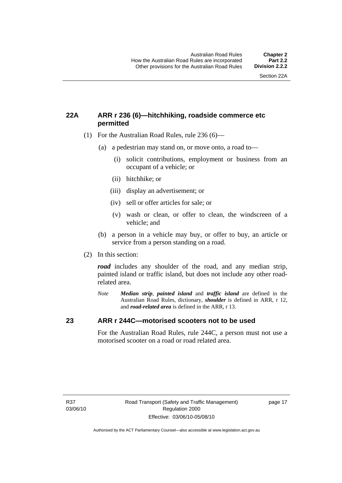#### <span id="page-26-0"></span>**22A ARR r 236 (6)—hitchhiking, roadside commerce etc permitted**

- (1) For the Australian Road Rules, rule 236 (6)—
	- (a) a pedestrian may stand on, or move onto, a road to—
		- (i) solicit contributions, employment or business from an occupant of a vehicle; or
		- (ii) hitchhike; or
		- (iii) display an advertisement; or
		- (iv) sell or offer articles for sale; or
		- (v) wash or clean, or offer to clean, the windscreen of a vehicle; and
	- (b) a person in a vehicle may buy, or offer to buy, an article or service from a person standing on a road.
- (2) In this section:

*road* includes any shoulder of the road, and any median strip, painted island or traffic island, but does not include any other roadrelated area.

*Note Median strip*, *painted island* and *traffic island* are defined in the Australian Road Rules, dictionary, *shoulder* is defined in ARR, r 12, and *road-related area* is defined in the ARR, r 13.

#### **23 ARR r 244C—motorised scooters not to be used**

For the Australian Road Rules, rule 244C, a person must not use a motorised scooter on a road or road related area.

page 17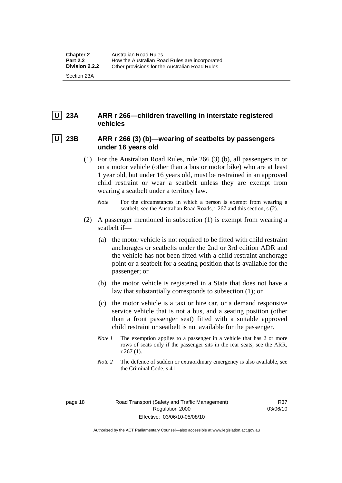### <span id="page-27-0"></span> **U 23A ARR r 266—children travelling in interstate registered vehicles**

#### 23B ARR r 266 (3) (b)—wearing of seatbelts by passengers **under 16 years old**

- (1) For the Australian Road Rules, rule 266 (3) (b), all passengers in or on a motor vehicle (other than a bus or motor bike) who are at least 1 year old, but under 16 years old, must be restrained in an approved child restraint or wear a seatbelt unless they are exempt from wearing a seatbelt under a territory law.
	- *Note* For the circumstances in which a person is exempt from wearing a seatbelt, see the Australian Road Roads, r 267 and this section, s (2).
- (2) A passenger mentioned in subsection (1) is exempt from wearing a seatbelt if—
	- (a) the motor vehicle is not required to be fitted with child restraint anchorages or seatbelts under the 2nd or 3rd edition ADR and the vehicle has not been fitted with a child restraint anchorage point or a seatbelt for a seating position that is available for the passenger; or
	- (b) the motor vehicle is registered in a State that does not have a law that substantially corresponds to subsection (1); or
	- (c) the motor vehicle is a taxi or hire car, or a demand responsive service vehicle that is not a bus, and a seating position (other than a front passenger seat) fitted with a suitable approved child restraint or seatbelt is not available for the passenger.
	- *Note 1* The exemption applies to a passenger in a vehicle that has 2 or more rows of seats only if the passenger sits in the rear seats, see the ARR, r 267 (1).
	- *Note* 2 The defence of sudden or extraordinary emergency is also available, see the Criminal Code, s 41.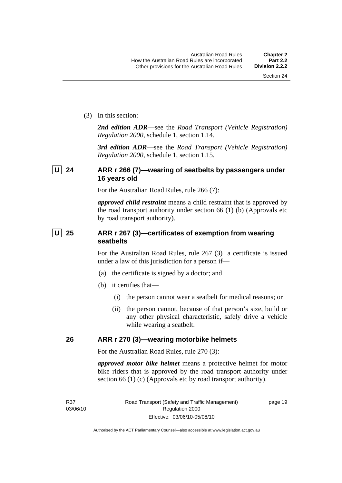<span id="page-28-0"></span>(3) In this section:

*2nd edition ADR*—see the *Road Transport (Vehicle Registration) Regulation 2000*, schedule 1, section 1.14.

*3rd edition ADR*—see the *Road Transport (Vehicle Registration) Regulation 2000*, schedule 1, section 1.15.

#### **U 24 ARR r 266 (7)—wearing of seatbelts by passengers under 16 years old**

For the Australian Road Rules, rule 266 (7):

*approved child restraint* means a child restraint that is approved by the road transport authority under section 66 (1) (b) (Approvals etc by road transport authority).

#### **U** 25 ARR r 267 (3)—certificates of exemption from wearing **seatbelts**

For the Australian Road Rules, rule 267 (3) a certificate is issued under a law of this jurisdiction for a person if—

- (a) the certificate is signed by a doctor; and
- (b) it certifies that—
	- (i) the person cannot wear a seatbelt for medical reasons; or
	- (ii) the person cannot, because of that person's size, build or any other physical characteristic, safely drive a vehicle while wearing a seatbelt.

### **26 ARR r 270 (3)—wearing motorbike helmets**

For the Australian Road Rules, rule 270 (3):

*approved motor bike helmet* means a protective helmet for motor bike riders that is approved by the road transport authority under section 66 (1) (c) (Approvals etc by road transport authority).

page 19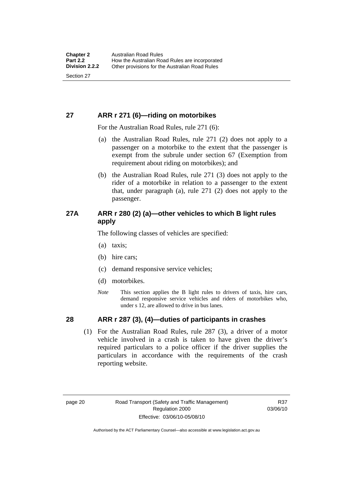#### <span id="page-29-0"></span>**27 ARR r 271 (6)—riding on motorbikes**

For the Australian Road Rules, rule 271 (6):

- (a) the Australian Road Rules, rule 271 (2) does not apply to a passenger on a motorbike to the extent that the passenger is exempt from the subrule under section 67 (Exemption from requirement about riding on motorbikes); and
- (b) the Australian Road Rules, rule 271 (3) does not apply to the rider of a motorbike in relation to a passenger to the extent that, under paragraph (a), rule 271 (2) does not apply to the passenger.

#### **27A ARR r 280 (2) (a)—other vehicles to which B light rules apply**

The following classes of vehicles are specified:

- (a) taxis;
- (b) hire cars;
- (c) demand responsive service vehicles;
- (d) motorbikes.
- *Note* This section applies the B light rules to drivers of taxis, hire cars, demand responsive service vehicles and riders of motorbikes who, under s 12, are allowed to drive in bus lanes.

#### **28 ARR r 287 (3), (4)—duties of participants in crashes**

 (1) For the Australian Road Rules, rule 287 (3), a driver of a motor vehicle involved in a crash is taken to have given the driver's required particulars to a police officer if the driver supplies the particulars in accordance with the requirements of the crash reporting website.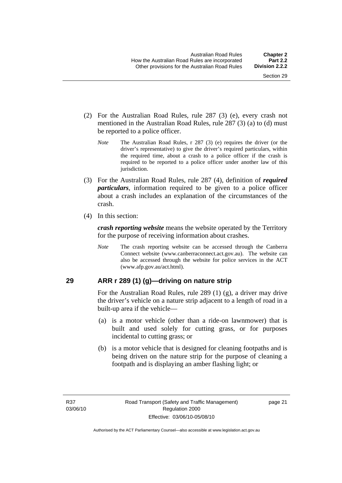- <span id="page-30-0"></span> (2) For the Australian Road Rules, rule 287 (3) (e), every crash not mentioned in the Australian Road Rules, rule 287 (3) (a) to (d) must be reported to a police officer.
	- *Note* The Australian Road Rules, r 287 (3) (e) requires the driver (or the driver's representative) to give the driver's required particulars, within the required time, about a crash to a police officer if the crash is required to be reported to a police officer under another law of this jurisdiction.
- (3) For the Australian Road Rules, rule 287 (4), definition of *required particulars*, information required to be given to a police officer about a crash includes an explanation of the circumstances of the crash.
- (4) In this section:

*crash reporting website* means the website operated by the Territory for the purpose of receiving information about crashes.

*Note* The crash reporting website can be accessed through the Canberra Connect website (www.canberraconnect.act.gov.au). The website can also be accessed through the website for police services in the ACT (www.afp.gov.au/act.html).

#### **29 ARR r 289 (1) (g)—driving on nature strip**

For the Australian Road Rules, rule 289 (1) (g), a driver may drive the driver's vehicle on a nature strip adjacent to a length of road in a built-up area if the vehicle—

- (a) is a motor vehicle (other than a ride-on lawnmower) that is built and used solely for cutting grass, or for purposes incidental to cutting grass; or
- (b) is a motor vehicle that is designed for cleaning footpaths and is being driven on the nature strip for the purpose of cleaning a footpath and is displaying an amber flashing light; or

page 21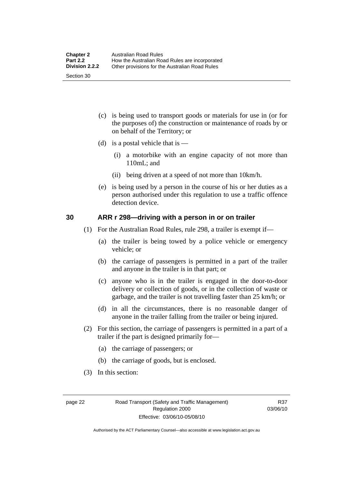- <span id="page-31-0"></span> (c) is being used to transport goods or materials for use in (or for the purposes of) the construction or maintenance of roads by or on behalf of the Territory; or
- (d) is a postal vehicle that is  $-$ 
	- (i) a motorbike with an engine capacity of not more than 110mL; and
	- (ii) being driven at a speed of not more than 10km/h.
- (e) is being used by a person in the course of his or her duties as a person authorised under this regulation to use a traffic offence detection device.

#### **30 ARR r 298—driving with a person in or on trailer**

- (1) For the Australian Road Rules, rule 298, a trailer is exempt if—
	- (a) the trailer is being towed by a police vehicle or emergency vehicle; or
	- (b) the carriage of passengers is permitted in a part of the trailer and anyone in the trailer is in that part; or
	- (c) anyone who is in the trailer is engaged in the door-to-door delivery or collection of goods, or in the collection of waste or garbage, and the trailer is not travelling faster than 25 km/h; or
	- (d) in all the circumstances, there is no reasonable danger of anyone in the trailer falling from the trailer or being injured.
- (2) For this section, the carriage of passengers is permitted in a part of a trailer if the part is designed primarily for—
	- (a) the carriage of passengers; or
	- (b) the carriage of goods, but is enclosed.
- (3) In this section:

R37 03/06/10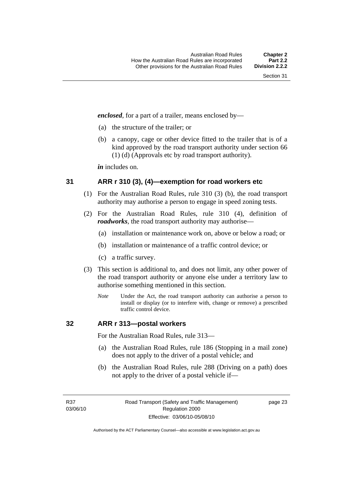<span id="page-32-0"></span>*enclosed*, for a part of a trailer, means enclosed by—

- (a) the structure of the trailer; or
- (b) a canopy, cage or other device fitted to the trailer that is of a kind approved by the road transport authority under section 66 (1) (d) (Approvals etc by road transport authority).

*in* includes on.

#### **31 ARR r 310 (3), (4)—exemption for road workers etc**

- (1) For the Australian Road Rules, rule 310 (3) (b), the road transport authority may authorise a person to engage in speed zoning tests.
- (2) For the Australian Road Rules, rule 310 (4), definition of *roadworks*, the road transport authority may authorise—
	- (a) installation or maintenance work on, above or below a road; or
	- (b) installation or maintenance of a traffic control device; or
	- (c) a traffic survey.
- (3) This section is additional to, and does not limit, any other power of the road transport authority or anyone else under a territory law to authorise something mentioned in this section.
	- *Note* Under the Act, the road transport authority can authorise a person to install or display (or to interfere with, change or remove) a prescribed traffic control device.

#### **32 ARR r 313—postal workers**

For the Australian Road Rules, rule 313—

- (a) the Australian Road Rules, rule 186 (Stopping in a mail zone) does not apply to the driver of a postal vehicle; and
- (b) the Australian Road Rules, rule 288 (Driving on a path) does not apply to the driver of a postal vehicle if—

R37 03/06/10 page 23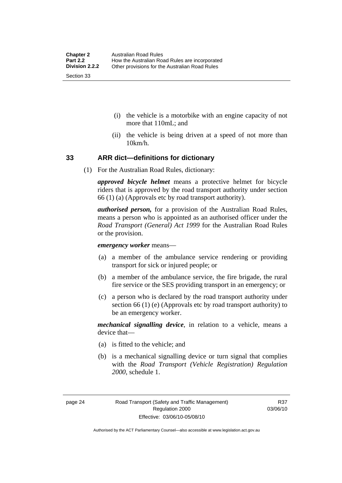- <span id="page-33-0"></span> (i) the vehicle is a motorbike with an engine capacity of not more that 110mL; and
- (ii) the vehicle is being driven at a speed of not more than 10km/h.

#### **33 ARR dict—definitions for dictionary**

(1) For the Australian Road Rules, dictionary:

*approved bicycle helmet* means a protective helmet for bicycle riders that is approved by the road transport authority under section 66 (1) (a) (Approvals etc by road transport authority).

*authorised person,* for a provision of the Australian Road Rules, means a person who is appointed as an authorised officer under the *Road Transport (General) Act 1999* for the Australian Road Rules or the provision.

*emergency worker* means—

- (a) a member of the ambulance service rendering or providing transport for sick or injured people; or
- (b) a member of the ambulance service, the fire brigade, the rural fire service or the SES providing transport in an emergency; or
- (c) a person who is declared by the road transport authority under section 66 (1) (e) (Approvals etc by road transport authority) to be an emergency worker.

*mechanical signalling device*, in relation to a vehicle, means a device that—

- (a) is fitted to the vehicle; and
- (b) is a mechanical signalling device or turn signal that complies with the *Road Transport (Vehicle Registration) Regulation 2000*, schedule 1.

Authorised by the ACT Parliamentary Counsel—also accessible at www.legislation.act.gov.au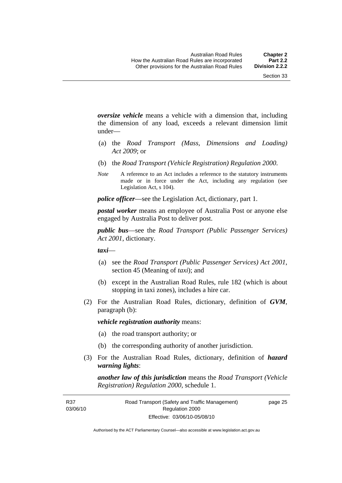*oversize vehicle* means a vehicle with a dimension that, including the dimension of any load, exceeds a relevant dimension limit under—

- (a) the *Road Transport (Mass, Dimensions and Loading) Act 2009*; or
- (b) the *Road Transport (Vehicle Registration) Regulation 2000*.
- *Note* A reference to an Act includes a reference to the statutory instruments made or in force under the Act, including any regulation (see Legislation Act, s 104).

*police officer*—see the Legislation Act, dictionary, part 1.

*postal worker* means an employee of Australia Post or anyone else engaged by Australia Post to deliver post.

*public bus*—see the *Road Transport (Public Passenger Services) Act 2001*, dictionary.

*taxi*—

- (a) see the *Road Transport (Public Passenger Services) Act 2001*, section 45 (Meaning of *taxi*); and
- (b) except in the Australian Road Rules, rule 182 (which is about stopping in taxi zones), includes a hire car.
- (2) For the Australian Road Rules, dictionary, definition of *GVM*, paragraph (b):

*vehicle registration authority* means:

- (a) the road transport authority; or
- (b) the corresponding authority of another jurisdiction.
- (3) For the Australian Road Rules, dictionary, definition of *hazard warning lights*:

*another law of this jurisdiction* means the *Road Transport (Vehicle Registration) Regulation 2000*, schedule 1.

R37 03/06/10 page 25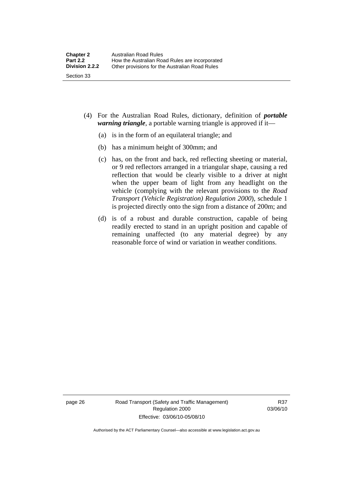- (4) For the Australian Road Rules, dictionary, definition of *portable warning triangle*, a portable warning triangle is approved if it—
	- (a) is in the form of an equilateral triangle; and
	- (b) has a minimum height of 300mm; and
	- (c) has, on the front and back, red reflecting sheeting or material, or 9 red reflectors arranged in a triangular shape, causing a red reflection that would be clearly visible to a driver at night when the upper beam of light from any headlight on the vehicle (complying with the relevant provisions to the *Road Transport (Vehicle Registration) Regulation 2000*), schedule 1 is projected directly onto the sign from a distance of 200m; and
	- (d) is of a robust and durable construction, capable of being readily erected to stand in an upright position and capable of remaining unaffected (to any material degree) by any reasonable force of wind or variation in weather conditions.

page 26 Road Transport (Safety and Traffic Management) Regulation 2000 Effective: 03/06/10-05/08/10

R37 03/06/10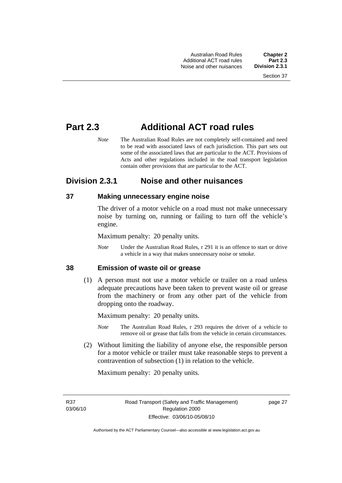# **Part 2.3 Additional ACT road rules**

*Note* The Australian Road Rules are not completely self-contained and need to be read with associated laws of each jurisdiction. This part sets out some of the associated laws that are particular to the ACT. Provisions of Acts and other regulations included in the road transport legislation contain other provisions that are particular to the ACT.

# **Division 2.3.1 Noise and other nuisances**

# **37 Making unnecessary engine noise**

The driver of a motor vehicle on a road must not make unnecessary noise by turning on, running or failing to turn off the vehicle's engine.

Maximum penalty: 20 penalty units.

*Note* Under the Australian Road Rules, r 291 it is an offence to start or drive a vehicle in a way that makes unnecessary noise or smoke.

#### **38 Emission of waste oil or grease**

 (1) A person must not use a motor vehicle or trailer on a road unless adequate precautions have been taken to prevent waste oil or grease from the machinery or from any other part of the vehicle from dropping onto the roadway.

Maximum penalty: 20 penalty units.

- *Note* The Australian Road Rules, r 293 requires the driver of a vehicle to remove oil or grease that falls from the vehicle in certain circumstances.
- (2) Without limiting the liability of anyone else, the responsible person for a motor vehicle or trailer must take reasonable steps to prevent a contravention of subsection (1) in relation to the vehicle.

Maximum penalty: 20 penalty units.

R37 03/06/10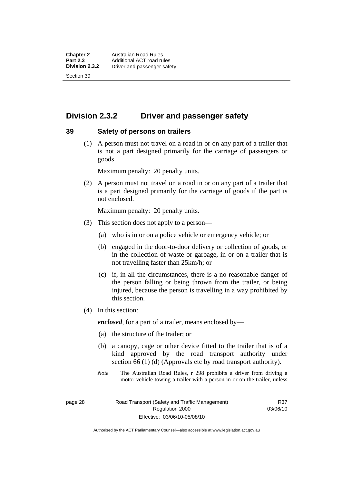# **Division 2.3.2 Driver and passenger safety**

#### **39 Safety of persons on trailers**

 (1) A person must not travel on a road in or on any part of a trailer that is not a part designed primarily for the carriage of passengers or goods.

Maximum penalty: 20 penalty units.

 (2) A person must not travel on a road in or on any part of a trailer that is a part designed primarily for the carriage of goods if the part is not enclosed.

Maximum penalty: 20 penalty units.

- (3) This section does not apply to a person—
	- (a) who is in or on a police vehicle or emergency vehicle; or
	- (b) engaged in the door-to-door delivery or collection of goods, or in the collection of waste or garbage, in or on a trailer that is not travelling faster than 25km/h; or
	- (c) if, in all the circumstances, there is a no reasonable danger of the person falling or being thrown from the trailer, or being injured, because the person is travelling in a way prohibited by this section.
- (4) In this section:

*enclosed*, for a part of a trailer, means enclosed by—

- (a) the structure of the trailer; or
- (b) a canopy, cage or other device fitted to the trailer that is of a kind approved by the road transport authority under section 66 (1) (d) (Approvals etc by road transport authority).
- *Note* The Australian Road Rules, r 298 prohibits a driver from driving a motor vehicle towing a trailer with a person in or on the trailer, unless

page 28 Road Transport (Safety and Traffic Management) Regulation 2000 Effective: 03/06/10-05/08/10

R37 03/06/10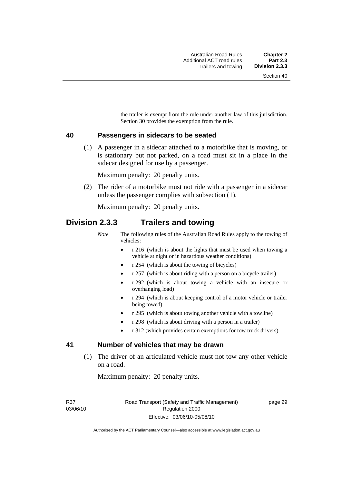the trailer is exempt from the rule under another law of this jurisdiction. Section 30 provides the exemption from the rule.

#### **40 Passengers in sidecars to be seated**

 (1) A passenger in a sidecar attached to a motorbike that is moving, or is stationary but not parked, on a road must sit in a place in the sidecar designed for use by a passenger.

Maximum penalty: 20 penalty units.

 (2) The rider of a motorbike must not ride with a passenger in a sidecar unless the passenger complies with subsection (1).

Maximum penalty: 20 penalty units.

# **Division 2.3.3 Trailers and towing**

*Note* The following rules of the Australian Road Rules apply to the towing of vehicles:

- r 216 (which is about the lights that must be used when towing a vehicle at night or in hazardous weather conditions)
- r 254 (which is about the towing of bicycles)
- r 257 (which is about riding with a person on a bicycle trailer)
- r 292 (which is about towing a vehicle with an insecure or overhanging load)
- r 294 (which is about keeping control of a motor vehicle or trailer being towed)
- r 295 (which is about towing another vehicle with a towline)
- r 298 (which is about driving with a person in a trailer)
- r 312 (which provides certain exemptions for tow truck drivers).

#### **41 Number of vehicles that may be drawn**

 (1) The driver of an articulated vehicle must not tow any other vehicle on a road.

Maximum penalty: 20 penalty units.

R37 03/06/10 page 29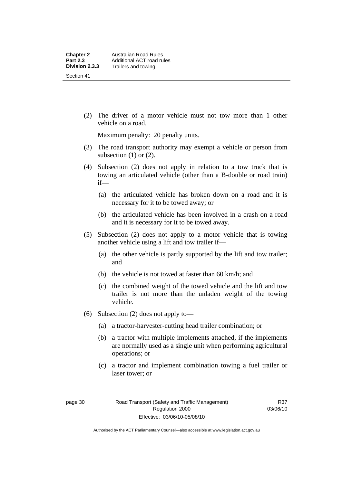(2) The driver of a motor vehicle must not tow more than 1 other vehicle on a road.

Maximum penalty: 20 penalty units.

- (3) The road transport authority may exempt a vehicle or person from subsection  $(1)$  or  $(2)$ .
- (4) Subsection (2) does not apply in relation to a tow truck that is towing an articulated vehicle (other than a B-double or road train) if—
	- (a) the articulated vehicle has broken down on a road and it is necessary for it to be towed away; or
	- (b) the articulated vehicle has been involved in a crash on a road and it is necessary for it to be towed away.
- (5) Subsection (2) does not apply to a motor vehicle that is towing another vehicle using a lift and tow trailer if—
	- (a) the other vehicle is partly supported by the lift and tow trailer; and
	- (b) the vehicle is not towed at faster than 60 km/h; and
	- (c) the combined weight of the towed vehicle and the lift and tow trailer is not more than the unladen weight of the towing vehicle.
- (6) Subsection (2) does not apply to—
	- (a) a tractor-harvester-cutting head trailer combination; or
	- (b) a tractor with multiple implements attached, if the implements are normally used as a single unit when performing agricultural operations; or
	- (c) a tractor and implement combination towing a fuel trailer or laser tower; or

Authorised by the ACT Parliamentary Counsel—also accessible at www.legislation.act.gov.au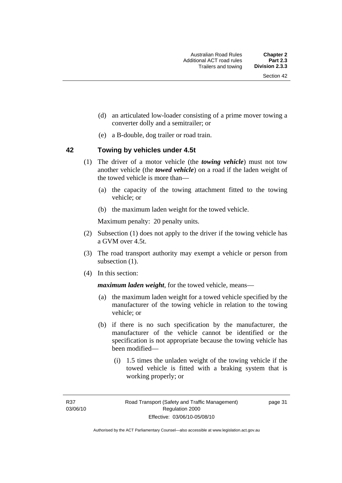- (d) an articulated low-loader consisting of a prime mover towing a converter dolly and a semitrailer; or
- (e) a B-double, dog trailer or road train.

#### **42 Towing by vehicles under 4.5t**

- (1) The driver of a motor vehicle (the *towing vehicle*) must not tow another vehicle (the *towed vehicle*) on a road if the laden weight of the towed vehicle is more than—
	- (a) the capacity of the towing attachment fitted to the towing vehicle; or
	- (b) the maximum laden weight for the towed vehicle.

Maximum penalty: 20 penalty units.

- (2) Subsection (1) does not apply to the driver if the towing vehicle has a GVM over 4.5t.
- (3) The road transport authority may exempt a vehicle or person from subsection  $(1)$ .
- (4) In this section:

*maximum laden weight*, for the towed vehicle, means—

- (a) the maximum laden weight for a towed vehicle specified by the manufacturer of the towing vehicle in relation to the towing vehicle; or
- (b) if there is no such specification by the manufacturer, the manufacturer of the vehicle cannot be identified or the specification is not appropriate because the towing vehicle has been modified—
	- (i) 1.5 times the unladen weight of the towing vehicle if the towed vehicle is fitted with a braking system that is working properly; or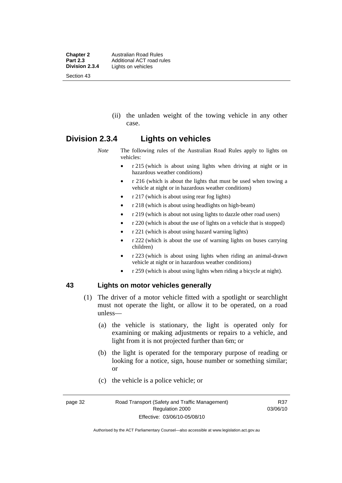**Chapter 2 Australian Road Rules**<br>**Part 2.3 Additional ACT road rules Part 2.3** Additional ACT road rules<br>**Division 2.3.4** Lights on vehicles Lights on vehicles Section 43

> (ii) the unladen weight of the towing vehicle in any other case.

# **Division 2.3.4 Lights on vehicles**

*Note* The following rules of the Australian Road Rules apply to lights on vehicles:

- r 215 (which is about using lights when driving at night or in hazardous weather conditions)
- r 216 (which is about the lights that must be used when towing a vehicle at night or in hazardous weather conditions)
- r 217 (which is about using rear fog lights)
- r 218 (which is about using headlights on high-beam)
- r 219 (which is about not using lights to dazzle other road users)
- r 220 (which is about the use of lights on a vehicle that is stopped)
- r 221 (which is about using hazard warning lights)
- r 222 (which is about the use of warning lights on buses carrying children)
- r 223 (which is about using lights when riding an animal-drawn vehicle at night or in hazardous weather conditions)
- r 259 (which is about using lights when riding a bicycle at night).

## **43 Lights on motor vehicles generally**

- (1) The driver of a motor vehicle fitted with a spotlight or searchlight must not operate the light, or allow it to be operated, on a road unless—
	- (a) the vehicle is stationary, the light is operated only for examining or making adjustments or repairs to a vehicle, and light from it is not projected further than 6m; or
	- (b) the light is operated for the temporary purpose of reading or looking for a notice, sign, house number or something similar; or
	- (c) the vehicle is a police vehicle; or

Authorised by the ACT Parliamentary Counsel—also accessible at www.legislation.act.gov.au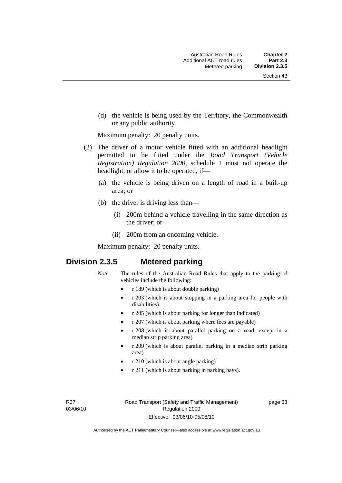(d) the vehicle is being used by the Territory, the Commonwealth or any public authority.

Maximum penalty: 20 penalty units.

- (2) The driver of a motor vehicle fitted with an additional headlight permitted to be fitted under the *Road Transport (Vehicle Registration) Regulation 2000*, schedule 1 must not operate the headlight, or allow it to be operated, if—
	- (a) the vehicle is being driven on a length of road in a built-up area; or
	- (b) the driver is driving less than—
		- (i) 200m behind a vehicle travelling in the same direction as the driver; or
		- (ii) 200m from an oncoming vehicle.

Maximum penalty: 20 penalty units.

# **Division 2.3.5 Metered parking**

- *Note* The rules of the Australian Road Rules that apply to the parking of vehicles include the following:
	- r 189 (which is about double parking)
	- r 203 (which is about stopping in a parking area for people with disabilities)
	- r 205 (which is about parking for longer than indicated)
	- r 207 (which is about parking where fees are payable)
	- r 208 (which is about parallel parking on a road, except in a median strip parking area)
	- r 209 (which is about parallel parking in a median strip parking area)
	- r 210 (which is about angle parking)
	- r 211 (which is about parking in parking bays).

R37 03/06/10 page 33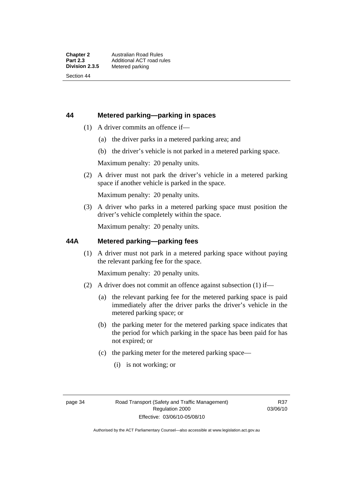# **44 Metered parking—parking in spaces**

- (1) A driver commits an offence if—
	- (a) the driver parks in a metered parking area; and
	- (b) the driver's vehicle is not parked in a metered parking space.

Maximum penalty: 20 penalty units.

 (2) A driver must not park the driver's vehicle in a metered parking space if another vehicle is parked in the space.

Maximum penalty: 20 penalty units.

 (3) A driver who parks in a metered parking space must position the driver's vehicle completely within the space.

Maximum penalty: 20 penalty units.

## **44A Metered parking—parking fees**

 (1) A driver must not park in a metered parking space without paying the relevant parking fee for the space.

Maximum penalty: 20 penalty units.

- (2) A driver does not commit an offence against subsection (1) if—
	- (a) the relevant parking fee for the metered parking space is paid immediately after the driver parks the driver's vehicle in the metered parking space; or
	- (b) the parking meter for the metered parking space indicates that the period for which parking in the space has been paid for has not expired; or
	- (c) the parking meter for the metered parking space—
		- (i) is not working; or

R37 03/06/10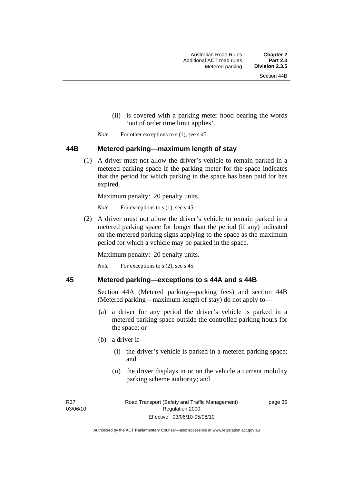- (ii) is covered with a parking meter hood bearing the words 'out of order time limit applies'.
- *Note* For other exceptions to s (1), see s 45.

#### **44B Metered parking—maximum length of stay**

 (1) A driver must not allow the driver's vehicle to remain parked in a metered parking space if the parking meter for the space indicates that the period for which parking in the space has been paid for has expired.

Maximum penalty: 20 penalty units.

*Note* For exceptions to s (1), see s 45.

 (2) A driver must not allow the driver's vehicle to remain parked in a metered parking space for longer than the period (if any) indicated on the metered parking signs applying to the space as the maximum period for which a vehicle may be parked in the space.

Maximum penalty: 20 penalty units.

*Note* For exceptions to s (2), see s 45.

#### **45 Metered parking—exceptions to s 44A and s 44B**

Section 44A (Metered parking—parking fees) and section 44B (Metered parking—maximum length of stay) do not apply to—

- (a) a driver for any period the driver's vehicle is parked in a metered parking space outside the controlled parking hours for the space; or
- (b) a driver if—
	- (i) the driver's vehicle is parked in a metered parking space; and
	- (ii) the driver displays in or on the vehicle a current mobility parking scheme authority; and

R37 03/06/10 page 35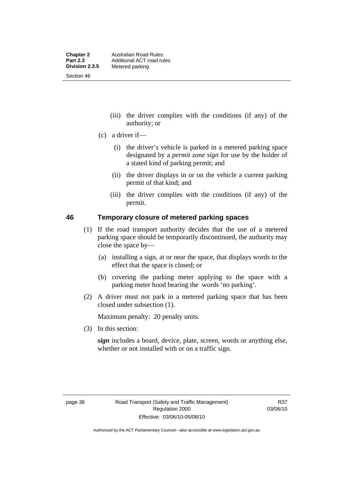- (iii) the driver complies with the conditions (if any) of the authority; or
- (c) a driver if—
	- (i) the driver's vehicle is parked in a metered parking space designated by a *permit zone sign* for use by the holder of a stated kind of parking permit; and
	- (ii) the driver displays in or on the vehicle a current parking permit of that kind; and
	- (iii) the driver complies with the conditions (if any) of the permit.

#### **46 Temporary closure of metered parking spaces**

- (1) If the road transport authority decides that the use of a metered parking space should be temporarily discontinued, the authority may close the space by—
	- (a) installing a sign, at or near the space, that displays words to the effect that the space is closed; or
	- (b) covering the parking meter applying to the space with a parking meter hood bearing the words 'no parking'.
- (2) A driver must not park in a metered parking space that has been closed under subsection (1).

Maximum penalty: 20 penalty units.

(3) In this section:

*sign* includes a board, device, plate, screen, words or anything else, whether or not installed with or on a traffic sign.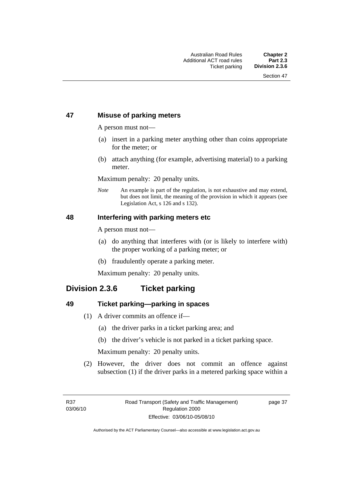# **47 Misuse of parking meters**

A person must not—

- (a) insert in a parking meter anything other than coins appropriate for the meter; or
- (b) attach anything (for example, advertising material) to a parking meter.

Maximum penalty: 20 penalty units.

*Note* An example is part of the regulation, is not exhaustive and may extend, but does not limit, the meaning of the provision in which it appears (see Legislation Act, s 126 and s 132).

#### **48 Interfering with parking meters etc**

A person must not—

- (a) do anything that interferes with (or is likely to interfere with) the proper working of a parking meter; or
- (b) fraudulently operate a parking meter.

Maximum penalty: 20 penalty units.

# **Division 2.3.6 Ticket parking**

#### **49 Ticket parking—parking in spaces**

- (1) A driver commits an offence if—
	- (a) the driver parks in a ticket parking area; and
	- (b) the driver's vehicle is not parked in a ticket parking space.

Maximum penalty: 20 penalty units.

 (2) However, the driver does not commit an offence against subsection (1) if the driver parks in a metered parking space within a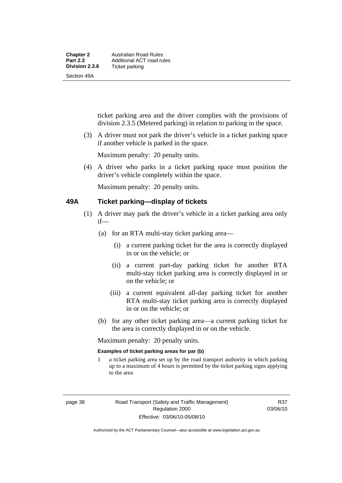| <b>Chapter 2</b> | Australian Road Rules     |
|------------------|---------------------------|
| <b>Part 2.3</b>  | Additional ACT road rules |
| Division 2.3.6   | Ticket parking            |
| Section 49A      |                           |

ticket parking area and the driver complies with the provisions of division 2.3.5 (Metered parking) in relation to parking in the space.

 (3) A driver must not park the driver's vehicle in a ticket parking space if another vehicle is parked in the space.

Maximum penalty: 20 penalty units.

 (4) A driver who parks in a ticket parking space must position the driver's vehicle completely within the space.

Maximum penalty: 20 penalty units.

#### **49A Ticket parking—display of tickets**

- (1) A driver may park the driver's vehicle in a ticket parking area only if—
	- (a) for an RTA multi-stay ticket parking area—
		- (i) a current parking ticket for the area is correctly displayed in or on the vehicle; or
		- (ii) a current part-day parking ticket for another RTA multi-stay ticket parking area is correctly displayed in or on the vehicle; or
		- (iii) a current equivalent all-day parking ticket for another RTA multi-stay ticket parking area is correctly displayed in or on the vehicle; or
	- (b) for any other ticket parking area—a current parking ticket for the area is correctly displayed in or on the vehicle.

Maximum penalty: 20 penalty units.

#### **Examples of ticket parking areas for par (b)**

1 a ticket parking area set up by the road transport authority in which parking up to a maximum of 4 hours is permitted by the ticket parking signs applying to the area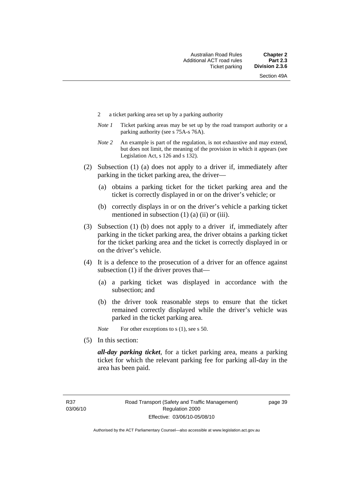- 2 a ticket parking area set up by a parking authority
- *Note 1* Ticket parking areas may be set up by the road transport authority or a parking authority (see s 75A-s 76A).
- *Note 2* An example is part of the regulation, is not exhaustive and may extend, but does not limit, the meaning of the provision in which it appears (see Legislation Act, s 126 and s 132).
- (2) Subsection (1) (a) does not apply to a driver if, immediately after parking in the ticket parking area, the driver—
	- (a) obtains a parking ticket for the ticket parking area and the ticket is correctly displayed in or on the driver's vehicle; or
	- (b) correctly displays in or on the driver's vehicle a parking ticket mentioned in subsection  $(1)$   $(a)$   $(ii)$  or  $(iii)$ .
- (3) Subsection (1) (b) does not apply to a driver if, immediately after parking in the ticket parking area, the driver obtains a parking ticket for the ticket parking area and the ticket is correctly displayed in or on the driver's vehicle.
- (4) It is a defence to the prosecution of a driver for an offence against subsection (1) if the driver proves that—
	- (a) a parking ticket was displayed in accordance with the subsection; and
	- (b) the driver took reasonable steps to ensure that the ticket remained correctly displayed while the driver's vehicle was parked in the ticket parking area.
	- *Note* For other exceptions to s (1), see s 50.
- (5) In this section:

*all-day parking ticket*, for a ticket parking area, means a parking ticket for which the relevant parking fee for parking all-day in the area has been paid.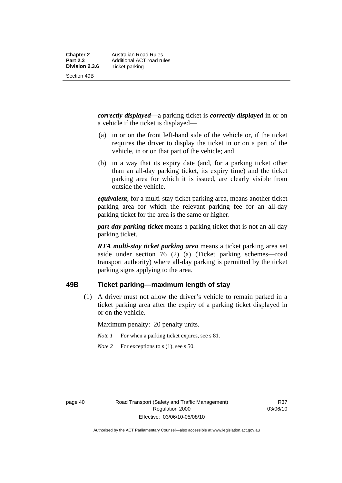*correctly displayed*—a parking ticket is *correctly displayed* in or on a vehicle if the ticket is displayed—

- (a) in or on the front left-hand side of the vehicle or, if the ticket requires the driver to display the ticket in or on a part of the vehicle, in or on that part of the vehicle; and
- (b) in a way that its expiry date (and, for a parking ticket other than an all-day parking ticket, its expiry time) and the ticket parking area for which it is issued, are clearly visible from outside the vehicle.

*equivalent*, for a multi-stay ticket parking area, means another ticket parking area for which the relevant parking fee for an all-day parking ticket for the area is the same or higher.

*part-day parking ticket* means a parking ticket that is not an all-day parking ticket.

*RTA multi-stay ticket parking area* means a ticket parking area set aside under section 76 (2) (a) (Ticket parking schemes—road transport authority) where all-day parking is permitted by the ticket parking signs applying to the area.

#### **49B Ticket parking—maximum length of stay**

 (1) A driver must not allow the driver's vehicle to remain parked in a ticket parking area after the expiry of a parking ticket displayed in or on the vehicle.

Maximum penalty: 20 penalty units.

- *Note 1* For when a parking ticket expires, see s 81.
- *Note* 2 For exceptions to s (1), see s 50.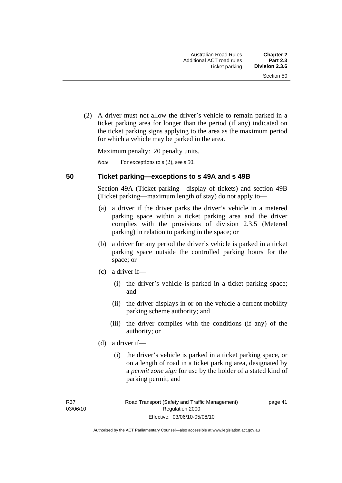(2) A driver must not allow the driver's vehicle to remain parked in a ticket parking area for longer than the period (if any) indicated on the ticket parking signs applying to the area as the maximum period for which a vehicle may be parked in the area.

Maximum penalty: 20 penalty units.

*Note* For exceptions to s (2), see s 50.

#### **50 Ticket parking—exceptions to s 49A and s 49B**

Section 49A (Ticket parking—display of tickets) and section 49B (Ticket parking—maximum length of stay) do not apply to—

- (a) a driver if the driver parks the driver's vehicle in a metered parking space within a ticket parking area and the driver complies with the provisions of division 2.3.5 (Metered parking) in relation to parking in the space; or
- (b) a driver for any period the driver's vehicle is parked in a ticket parking space outside the controlled parking hours for the space; or
- (c) a driver if—
	- (i) the driver's vehicle is parked in a ticket parking space; and
	- (ii) the driver displays in or on the vehicle a current mobility parking scheme authority; and
	- (iii) the driver complies with the conditions (if any) of the authority; or
- (d) a driver if—
	- (i) the driver's vehicle is parked in a ticket parking space, or on a length of road in a ticket parking area, designated by a *permit zone sign* for use by the holder of a stated kind of parking permit; and

page 41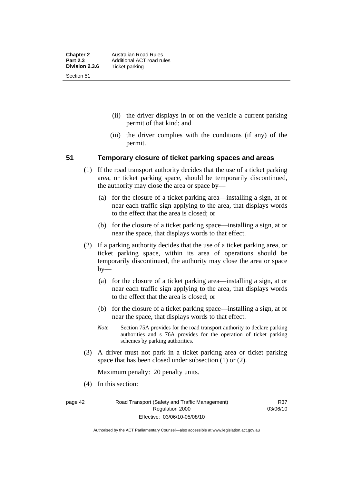- (ii) the driver displays in or on the vehicle a current parking permit of that kind; and
- (iii) the driver complies with the conditions (if any) of the permit.

#### **51 Temporary closure of ticket parking spaces and areas**

- (1) If the road transport authority decides that the use of a ticket parking area, or ticket parking space, should be temporarily discontinued, the authority may close the area or space by—
	- (a) for the closure of a ticket parking area—installing a sign, at or near each traffic sign applying to the area, that displays words to the effect that the area is closed; or
	- (b) for the closure of a ticket parking space—installing a sign, at or near the space, that displays words to that effect.
- (2) If a parking authority decides that the use of a ticket parking area, or ticket parking space, within its area of operations should be temporarily discontinued, the authority may close the area or space by—
	- (a) for the closure of a ticket parking area—installing a sign, at or near each traffic sign applying to the area, that displays words to the effect that the area is closed; or
	- (b) for the closure of a ticket parking space—installing a sign, at or near the space, that displays words to that effect.
	- *Note* Section 75A provides for the road transport authority to declare parking authorities and s 76A provides for the operation of ticket parking schemes by parking authorities.
- (3) A driver must not park in a ticket parking area or ticket parking space that has been closed under subsection (1) or (2).

Maximum penalty: 20 penalty units.

(4) In this section:

page 42 Road Transport (Safety and Traffic Management) Regulation 2000 Effective: 03/06/10-05/08/10

R37 03/06/10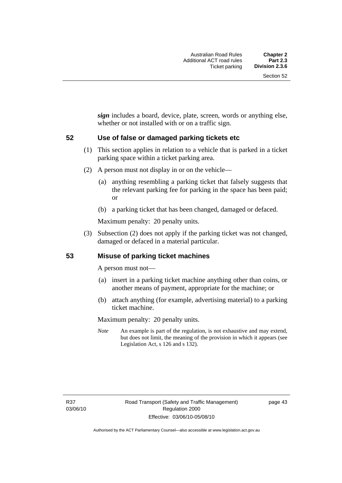*sign* includes a board, device, plate, screen, words or anything else, whether or not installed with or on a traffic sign.

#### **52 Use of false or damaged parking tickets etc**

- (1) This section applies in relation to a vehicle that is parked in a ticket parking space within a ticket parking area.
- (2) A person must not display in or on the vehicle—
	- (a) anything resembling a parking ticket that falsely suggests that the relevant parking fee for parking in the space has been paid; or
	- (b) a parking ticket that has been changed, damaged or defaced.

Maximum penalty: 20 penalty units.

 (3) Subsection (2) does not apply if the parking ticket was not changed, damaged or defaced in a material particular.

#### **53 Misuse of parking ticket machines**

A person must not—

- (a) insert in a parking ticket machine anything other than coins, or another means of payment, appropriate for the machine; or
- (b) attach anything (for example, advertising material) to a parking ticket machine.

Maximum penalty: 20 penalty units.

*Note* An example is part of the regulation, is not exhaustive and may extend, but does not limit, the meaning of the provision in which it appears (see Legislation Act, s 126 and s 132).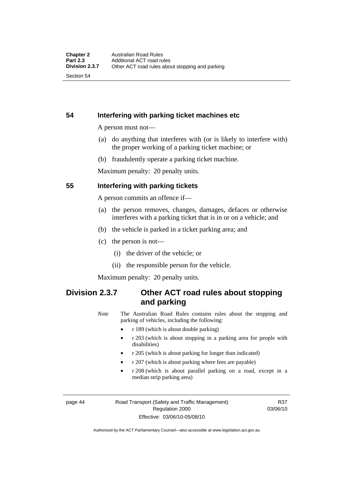Section 54

# **54 Interfering with parking ticket machines etc**

A person must not—

- (a) do anything that interferes with (or is likely to interfere with) the proper working of a parking ticket machine; or
- (b) fraudulently operate a parking ticket machine.

Maximum penalty: 20 penalty units.

## **55 Interfering with parking tickets**

A person commits an offence if—

- (a) the person removes, changes, damages, defaces or otherwise interferes with a parking ticket that is in or on a vehicle; and
- (b) the vehicle is parked in a ticket parking area; and
- (c) the person is not—
	- (i) the driver of the vehicle; or
	- (ii) the responsible person for the vehicle.

Maximum penalty: 20 penalty units.

# **Division 2.3.7 Other ACT road rules about stopping and parking**

*Note* The Australian Road Rules contains rules about the stopping and parking of vehicles, including the following:

- r 189 (which is about double parking)
- r 203 (which is about stopping in a parking area for people with disabilities)
- r 205 (which is about parking for longer than indicated)
- r 207 (which is about parking where fees are payable)
- r 208 (which is about parallel parking on a road, except in a median strip parking area)

page 44 Road Transport (Safety and Traffic Management) Regulation 2000 Effective: 03/06/10-05/08/10

R37 03/06/10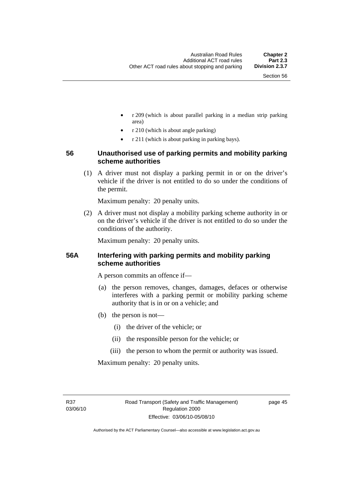- r 209 (which is about parallel parking in a median strip parking area)
- r 210 (which is about angle parking)
- r 211 (which is about parking in parking bays).

# **56 Unauthorised use of parking permits and mobility parking scheme authorities**

 (1) A driver must not display a parking permit in or on the driver's vehicle if the driver is not entitled to do so under the conditions of the permit.

Maximum penalty: 20 penalty units.

 (2) A driver must not display a mobility parking scheme authority in or on the driver's vehicle if the driver is not entitled to do so under the conditions of the authority.

Maximum penalty: 20 penalty units.

# **56A Interfering with parking permits and mobility parking scheme authorities**

A person commits an offence if—

- (a) the person removes, changes, damages, defaces or otherwise interferes with a parking permit or mobility parking scheme authority that is in or on a vehicle; and
- (b) the person is not—
	- (i) the driver of the vehicle; or
	- (ii) the responsible person for the vehicle; or
	- (iii) the person to whom the permit or authority was issued.

Maximum penalty: 20 penalty units.

R37 03/06/10 page 45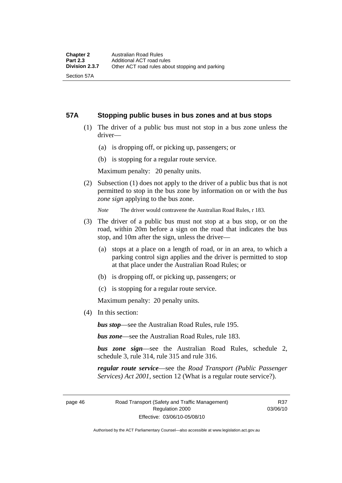#### **57A Stopping public buses in bus zones and at bus stops**

- (1) The driver of a public bus must not stop in a bus zone unless the driver—
	- (a) is dropping off, or picking up, passengers; or
	- (b) is stopping for a regular route service.

Maximum penalty: 20 penalty units.

 (2) Subsection (1) does not apply to the driver of a public bus that is not permitted to stop in the bus zone by information on or with the *bus zone sign* applying to the bus zone.

*Note* The driver would contravene the Australian Road Rules, r 183.

- (3) The driver of a public bus must not stop at a bus stop, or on the road, within 20m before a sign on the road that indicates the bus stop, and 10m after the sign, unless the driver—
	- (a) stops at a place on a length of road, or in an area, to which a parking control sign applies and the driver is permitted to stop at that place under the Australian Road Rules; or
	- (b) is dropping off, or picking up, passengers; or
	- (c) is stopping for a regular route service.

Maximum penalty: 20 penalty units.

(4) In this section:

*bus stop*—see the Australian Road Rules, rule 195.

*bus zone*—see the Australian Road Rules, rule 183.

*bus zone sign*—see the Australian Road Rules, schedule 2, schedule 3, rule 314, rule 315 and rule 316.

*regular route service*—see the *Road Transport (Public Passenger Services) Act 2001*, section 12 (What is a regular route service?).

page 46 Road Transport (Safety and Traffic Management) Regulation 2000 Effective: 03/06/10-05/08/10

R37 03/06/10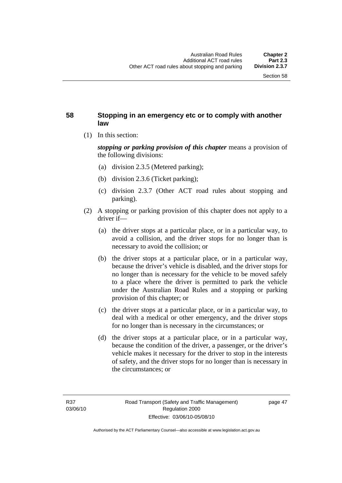## **58 Stopping in an emergency etc or to comply with another law**

(1) In this section:

*stopping or parking provision of this chapter* means a provision of the following divisions:

- (a) division 2.3.5 (Metered parking);
- (b) division 2.3.6 (Ticket parking);
- (c) division 2.3.7 (Other ACT road rules about stopping and parking).
- (2) A stopping or parking provision of this chapter does not apply to a driver if—
	- (a) the driver stops at a particular place, or in a particular way, to avoid a collision, and the driver stops for no longer than is necessary to avoid the collision; or
	- (b) the driver stops at a particular place, or in a particular way, because the driver's vehicle is disabled, and the driver stops for no longer than is necessary for the vehicle to be moved safely to a place where the driver is permitted to park the vehicle under the Australian Road Rules and a stopping or parking provision of this chapter; or
	- (c) the driver stops at a particular place, or in a particular way, to deal with a medical or other emergency, and the driver stops for no longer than is necessary in the circumstances; or
	- (d) the driver stops at a particular place, or in a particular way, because the condition of the driver, a passenger, or the driver's vehicle makes it necessary for the driver to stop in the interests of safety, and the driver stops for no longer than is necessary in the circumstances; or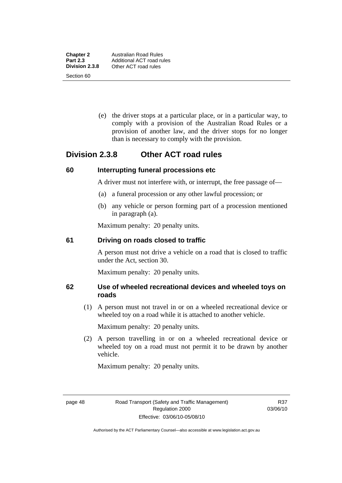Section 60

 (e) the driver stops at a particular place, or in a particular way, to comply with a provision of the Australian Road Rules or a provision of another law, and the driver stops for no longer than is necessary to comply with the provision.

# **Division 2.3.8 Other ACT road rules**

## **60 Interrupting funeral processions etc**

A driver must not interfere with, or interrupt, the free passage of—

- (a) a funeral procession or any other lawful procession; or
- (b) any vehicle or person forming part of a procession mentioned in paragraph (a).

Maximum penalty: 20 penalty units.

## **61 Driving on roads closed to traffic**

A person must not drive a vehicle on a road that is closed to traffic under the Act, section 30.

Maximum penalty: 20 penalty units.

# **62 Use of wheeled recreational devices and wheeled toys on roads**

 (1) A person must not travel in or on a wheeled recreational device or wheeled toy on a road while it is attached to another vehicle.

Maximum penalty: 20 penalty units.

 (2) A person travelling in or on a wheeled recreational device or wheeled toy on a road must not permit it to be drawn by another vehicle.

Maximum penalty: 20 penalty units.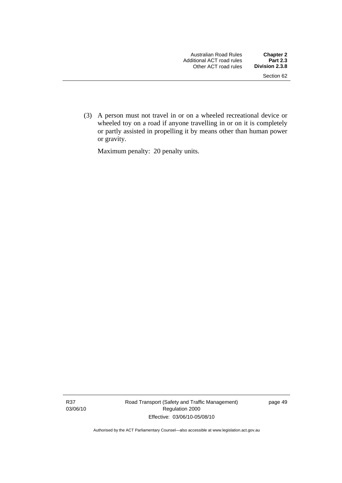(3) A person must not travel in or on a wheeled recreational device or wheeled toy on a road if anyone travelling in or on it is completely or partly assisted in propelling it by means other than human power or gravity.

Maximum penalty: 20 penalty units.

R37 03/06/10 Road Transport (Safety and Traffic Management) Regulation 2000 Effective: 03/06/10-05/08/10

page 49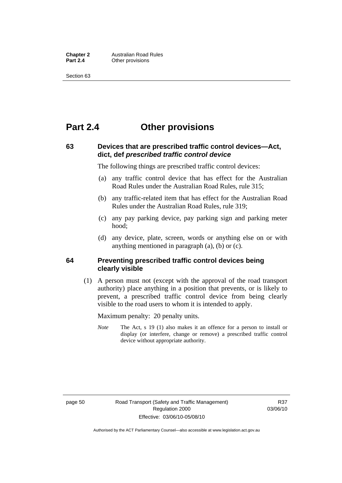**Chapter 2** Australian Road Rules<br>**Part 2.4** Other provisions **Other provisions** 

Section 63

# **Part 2.4 Other provisions**

# **63 Devices that are prescribed traffic control devices—Act, dict, def** *prescribed traffic control device*

The following things are prescribed traffic control devices:

- (a) any traffic control device that has effect for the Australian Road Rules under the Australian Road Rules, rule 315;
- (b) any traffic-related item that has effect for the Australian Road Rules under the Australian Road Rules, rule 319;
- (c) any pay parking device, pay parking sign and parking meter hood;
- (d) any device, plate, screen, words or anything else on or with anything mentioned in paragraph (a), (b) or (c).

#### **64 Preventing prescribed traffic control devices being clearly visible**

 (1) A person must not (except with the approval of the road transport authority) place anything in a position that prevents, or is likely to prevent, a prescribed traffic control device from being clearly visible to the road users to whom it is intended to apply.

Maximum penalty: 20 penalty units.

*Note* The Act, s 19 (1) also makes it an offence for a person to install or display (or interfere, change or remove) a prescribed traffic control device without appropriate authority.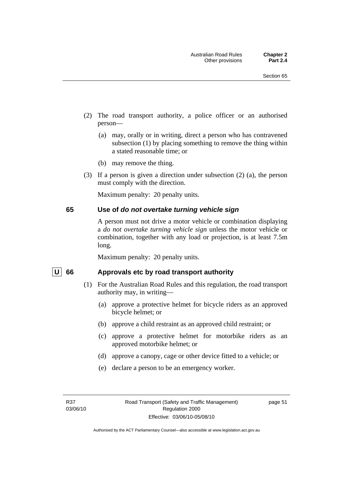- (2) The road transport authority, a police officer or an authorised person—
	- (a) may, orally or in writing, direct a person who has contravened subsection (1) by placing something to remove the thing within a stated reasonable time; or
	- (b) may remove the thing.
- (3) If a person is given a direction under subsection (2) (a), the person must comply with the direction.

Maximum penalty: 20 penalty units.

#### **65 Use of** *do not overtake turning vehicle sign*

A person must not drive a motor vehicle or combination displaying a *do not overtake turning vehicle sign* unless the motor vehicle or combination, together with any load or projection, is at least 7.5m long.

Maximum penalty: 20 penalty units.

#### U 66 Approvals etc by road transport authority

- (1) For the Australian Road Rules and this regulation, the road transport authority may, in writing—
	- (a) approve a protective helmet for bicycle riders as an approved bicycle helmet; or
	- (b) approve a child restraint as an approved child restraint; or
	- (c) approve a protective helmet for motorbike riders as an approved motorbike helmet; or
	- (d) approve a canopy, cage or other device fitted to a vehicle; or
	- (e) declare a person to be an emergency worker.

page 51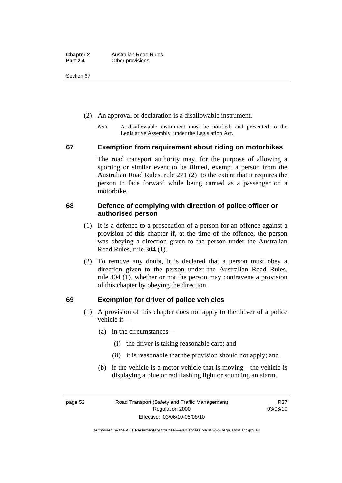Section 67

- (2) An approval or declaration is a disallowable instrument.
	- *Note* A disallowable instrument must be notified, and presented to the Legislative Assembly, under the Legislation Act.

#### **67 Exemption from requirement about riding on motorbikes**

The road transport authority may, for the purpose of allowing a sporting or similar event to be filmed, exempt a person from the Australian Road Rules, rule 271 (2) to the extent that it requires the person to face forward while being carried as a passenger on a motorbike.

# **68 Defence of complying with direction of police officer or authorised person**

- (1) It is a defence to a prosecution of a person for an offence against a provision of this chapter if, at the time of the offence, the person was obeying a direction given to the person under the Australian Road Rules, rule 304 (1).
- (2) To remove any doubt, it is declared that a person must obey a direction given to the person under the Australian Road Rules, rule 304 (1), whether or not the person may contravene a provision of this chapter by obeying the direction.

# **69 Exemption for driver of police vehicles**

- (1) A provision of this chapter does not apply to the driver of a police vehicle if—
	- (a) in the circumstances—
		- (i) the driver is taking reasonable care; and
		- (ii) it is reasonable that the provision should not apply; and
	- (b) if the vehicle is a motor vehicle that is moving—the vehicle is displaying a blue or red flashing light or sounding an alarm.

page 52 Road Transport (Safety and Traffic Management) Regulation 2000 Effective: 03/06/10-05/08/10

R37 03/06/10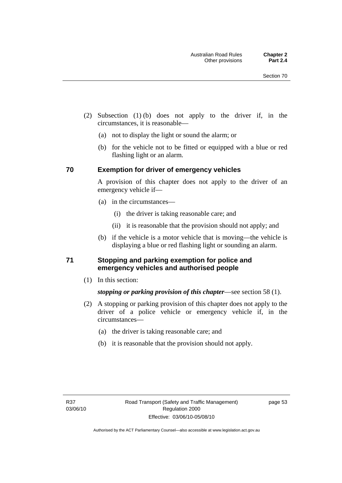- (2) Subsection (1) (b) does not apply to the driver if, in the circumstances, it is reasonable—
	- (a) not to display the light or sound the alarm; or
	- (b) for the vehicle not to be fitted or equipped with a blue or red flashing light or an alarm.

#### **70 Exemption for driver of emergency vehicles**

A provision of this chapter does not apply to the driver of an emergency vehicle if—

- (a) in the circumstances—
	- (i) the driver is taking reasonable care; and
	- (ii) it is reasonable that the provision should not apply; and
- (b) if the vehicle is a motor vehicle that is moving—the vehicle is displaying a blue or red flashing light or sounding an alarm.

## **71 Stopping and parking exemption for police and emergency vehicles and authorised people**

(1) In this section:

# *stopping or parking provision of this chapter*—see section 58 (1).

- (2) A stopping or parking provision of this chapter does not apply to the driver of a police vehicle or emergency vehicle if, in the circumstances—
	- (a) the driver is taking reasonable care; and
	- (b) it is reasonable that the provision should not apply.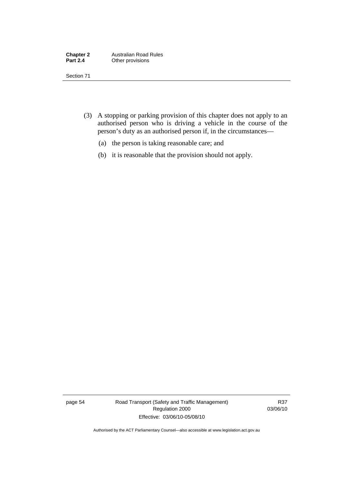| <b>Chapter 2</b> | <b>Australian Road Rules</b> |
|------------------|------------------------------|
| <b>Part 2.4</b>  | Other provisions             |

Section 71

- (3) A stopping or parking provision of this chapter does not apply to an authorised person who is driving a vehicle in the course of the person's duty as an authorised person if, in the circumstances—
	- (a) the person is taking reasonable care; and
	- (b) it is reasonable that the provision should not apply.

page 54 Road Transport (Safety and Traffic Management) Regulation 2000 Effective: 03/06/10-05/08/10

R37 03/06/10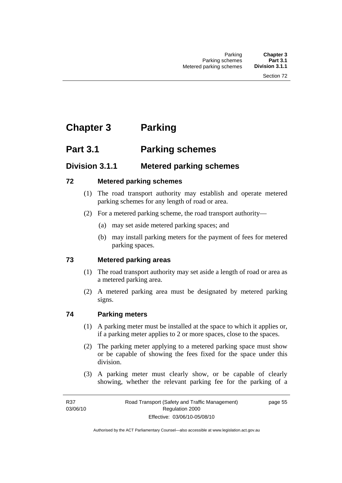# **Chapter 3 Parking**

# **Part 3.1 Parking schemes**

# **Division 3.1.1 Metered parking schemes**

# **72 Metered parking schemes**

- (1) The road transport authority may establish and operate metered parking schemes for any length of road or area.
- (2) For a metered parking scheme, the road transport authority—
	- (a) may set aside metered parking spaces; and
	- (b) may install parking meters for the payment of fees for metered parking spaces.

# **73 Metered parking areas**

- (1) The road transport authority may set aside a length of road or area as a metered parking area.
- (2) A metered parking area must be designated by metered parking signs.

# **74 Parking meters**

- (1) A parking meter must be installed at the space to which it applies or, if a parking meter applies to 2 or more spaces, close to the spaces.
- (2) The parking meter applying to a metered parking space must show or be capable of showing the fees fixed for the space under this division.
- (3) A parking meter must clearly show, or be capable of clearly showing, whether the relevant parking fee for the parking of a

page 55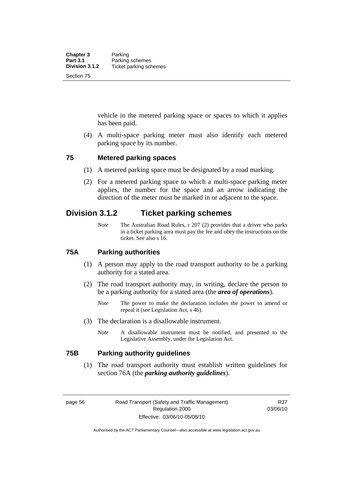vehicle in the metered parking space or spaces to which it applies has been paid.

 (4) A multi-space parking meter must also identify each metered parking space by its number.

#### **75 Metered parking spaces**

- (1) A metered parking space must be designated by a road marking.
- (2) For a metered parking space to which a multi-space parking meter applies, the number for the space and an arrow indicating the direction of the meter must be marked in or adjacent to the space.

# **Division 3.1.2 Ticket parking schemes**

*Note* The Australian Road Rules, r 207 (2) provides that a driver who parks in a ticket parking area must pay the fee and obey the instructions on the ticket. See also s 16.

# **75A Parking authorities**

- (1) A person may apply to the road transport authority to be a parking authority for a stated area.
- (2) The road transport authority may, in writing, declare the person to be a parking authority for a stated area (the *area of operations*).
	- *Note* The power to make the declaration includes the power to amend or repeal it (see Legislation Act, s 46).
- (3) The declaration is a disallowable instrument.
	- *Note* A disallowable instrument must be notified, and presented to the Legislative Assembly, under the Legislation Act.

#### **75B Parking authority guidelines**

 (1) The road transport authority must establish written guidelines for section 76A (the *parking authority guidelines*).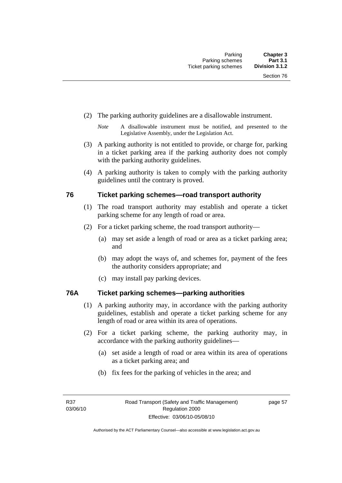- (2) The parking authority guidelines are a disallowable instrument.
	- *Note* A disallowable instrument must be notified, and presented to the Legislative Assembly, under the Legislation Act.
- (3) A parking authority is not entitled to provide, or charge for, parking in a ticket parking area if the parking authority does not comply with the parking authority guidelines.
- (4) A parking authority is taken to comply with the parking authority guidelines until the contrary is proved.

## **76 Ticket parking schemes—road transport authority**

- (1) The road transport authority may establish and operate a ticket parking scheme for any length of road or area.
- (2) For a ticket parking scheme, the road transport authority—
	- (a) may set aside a length of road or area as a ticket parking area; and
	- (b) may adopt the ways of, and schemes for, payment of the fees the authority considers appropriate; and
	- (c) may install pay parking devices.

# **76A Ticket parking schemes—parking authorities**

- (1) A parking authority may, in accordance with the parking authority guidelines, establish and operate a ticket parking scheme for any length of road or area within its area of operations.
- (2) For a ticket parking scheme, the parking authority may, in accordance with the parking authority guidelines—
	- (a) set aside a length of road or area within its area of operations as a ticket parking area; and
	- (b) fix fees for the parking of vehicles in the area; and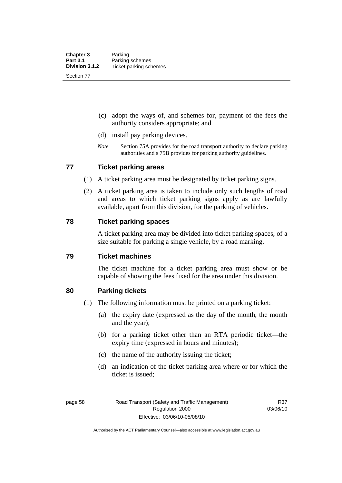- (c) adopt the ways of, and schemes for, payment of the fees the authority considers appropriate; and
- (d) install pay parking devices.
- *Note* Section 75A provides for the road transport authority to declare parking authorities and s 75B provides for parking authority guidelines.

#### **77 Ticket parking areas**

- (1) A ticket parking area must be designated by ticket parking signs.
- (2) A ticket parking area is taken to include only such lengths of road and areas to which ticket parking signs apply as are lawfully available, apart from this division, for the parking of vehicles.

#### **78 Ticket parking spaces**

A ticket parking area may be divided into ticket parking spaces, of a size suitable for parking a single vehicle, by a road marking.

#### **79 Ticket machines**

The ticket machine for a ticket parking area must show or be capable of showing the fees fixed for the area under this division.

#### **80 Parking tickets**

- (1) The following information must be printed on a parking ticket:
	- (a) the expiry date (expressed as the day of the month, the month and the year);
	- (b) for a parking ticket other than an RTA periodic ticket—the expiry time (expressed in hours and minutes);
	- (c) the name of the authority issuing the ticket;
	- (d) an indication of the ticket parking area where or for which the ticket is issued;

R37 03/06/10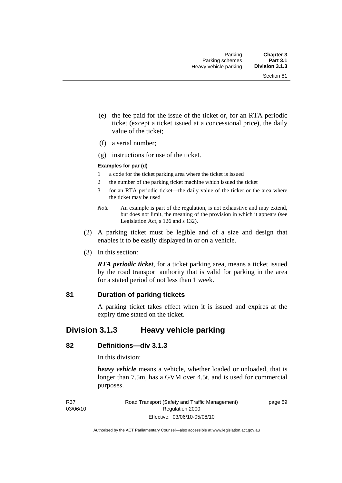- (e) the fee paid for the issue of the ticket or, for an RTA periodic ticket (except a ticket issued at a concessional price), the daily value of the ticket;
- (f) a serial number;
- (g) instructions for use of the ticket.

#### **Examples for par (d)**

- 1 a code for the ticket parking area where the ticket is issued
- 2 the number of the parking ticket machine which issued the ticket
- 3 for an RTA periodic ticket—the daily value of the ticket or the area where the ticket may be used
- *Note* An example is part of the regulation, is not exhaustive and may extend, but does not limit, the meaning of the provision in which it appears (see Legislation Act, s 126 and s 132).
- (2) A parking ticket must be legible and of a size and design that enables it to be easily displayed in or on a vehicle.
- (3) In this section:

*RTA periodic ticket*, for a ticket parking area, means a ticket issued by the road transport authority that is valid for parking in the area for a stated period of not less than 1 week.

#### **81 Duration of parking tickets**

A parking ticket takes effect when it is issued and expires at the expiry time stated on the ticket.

# **Division 3.1.3 Heavy vehicle parking**

#### **82 Definitions—div 3.1.3**

In this division:

*heavy vehicle* means a vehicle, whether loaded or unloaded, that is longer than 7.5m, has a GVM over 4.5t, and is used for commercial purposes.

page 59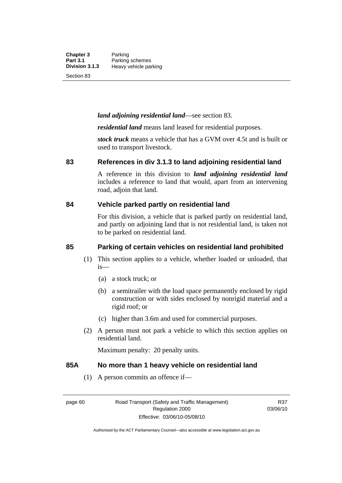**Chapter 3** Parking<br>**Part 3.1** Parking **Part 3.1 Parking schemes**<br>**Division 3.1.3 Heavy vehicle pa Division 3.1.3** Heavy vehicle parking

Section 83

#### *land adjoining residential land*—see section 83.

*residential land* means land leased for residential purposes.

*stock truck* means a vehicle that has a GVM over 4.5t and is built or used to transport livestock.

#### **83 References in div 3.1.3 to land adjoining residential land**

A reference in this division to *land adjoining residential land* includes a reference to land that would, apart from an intervening road, adjoin that land.

#### **84 Vehicle parked partly on residential land**

For this division, a vehicle that is parked partly on residential land, and partly on adjoining land that is not residential land, is taken not to be parked on residential land.

#### **85 Parking of certain vehicles on residential land prohibited**

- (1) This section applies to a vehicle, whether loaded or unloaded, that is—
	- (a) a stock truck; or
	- (b) a semitrailer with the load space permanently enclosed by rigid construction or with sides enclosed by nonrigid material and a rigid roof; or
	- (c) higher than 3.6m and used for commercial purposes.
- (2) A person must not park a vehicle to which this section applies on residential land.

Maximum penalty: 20 penalty units.

#### **85A No more than 1 heavy vehicle on residential land**

(1) A person commits an offence if—

R37 03/06/10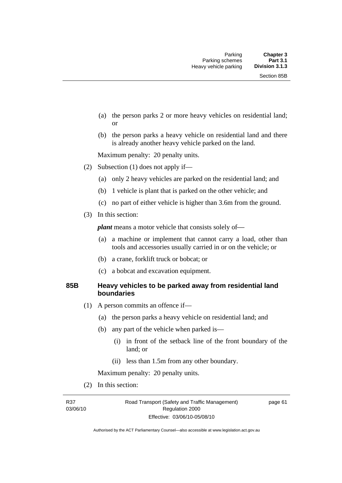- (a) the person parks 2 or more heavy vehicles on residential land; or
- (b) the person parks a heavy vehicle on residential land and there is already another heavy vehicle parked on the land.

Maximum penalty: 20 penalty units.

- (2) Subsection (1) does not apply if—
	- (a) only 2 heavy vehicles are parked on the residential land; and
	- (b) 1 vehicle is plant that is parked on the other vehicle; and
	- (c) no part of either vehicle is higher than 3.6m from the ground.
- (3) In this section:

*plant* means a motor vehicle that consists solely of—

- (a) a machine or implement that cannot carry a load, other than tools and accessories usually carried in or on the vehicle; or
- (b) a crane, forklift truck or bobcat; or
- (c) a bobcat and excavation equipment.

#### **85B Heavy vehicles to be parked away from residential land boundaries**

- (1) A person commits an offence if—
	- (a) the person parks a heavy vehicle on residential land; and
	- (b) any part of the vehicle when parked is—
		- (i) in front of the setback line of the front boundary of the land; or
		- (ii) less than 1.5m from any other boundary.

Maximum penalty: 20 penalty units.

(2) In this section:

R37 03/06/10 Road Transport (Safety and Traffic Management) Regulation 2000 Effective: 03/06/10-05/08/10

page 61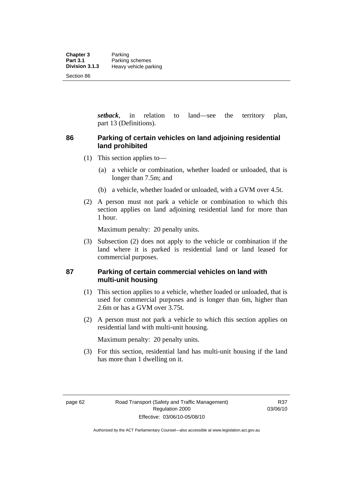*setback*, in relation to land—see the territory plan, part 13 (Definitions).

# **86 Parking of certain vehicles on land adjoining residential land prohibited**

- (1) This section applies to—
	- (a) a vehicle or combination, whether loaded or unloaded, that is longer than 7.5m; and
	- (b) a vehicle, whether loaded or unloaded, with a GVM over 4.5t.
- (2) A person must not park a vehicle or combination to which this section applies on land adjoining residential land for more than 1 hour.

Maximum penalty: 20 penalty units.

 (3) Subsection (2) does not apply to the vehicle or combination if the land where it is parked is residential land or land leased for commercial purposes.

## **87 Parking of certain commercial vehicles on land with multi-unit housing**

- (1) This section applies to a vehicle, whether loaded or unloaded, that is used for commercial purposes and is longer than 6m, higher than 2.6m or has a GVM over 3.75t.
- (2) A person must not park a vehicle to which this section applies on residential land with multi-unit housing.

Maximum penalty: 20 penalty units.

 (3) For this section, residential land has multi-unit housing if the land has more than 1 dwelling on it.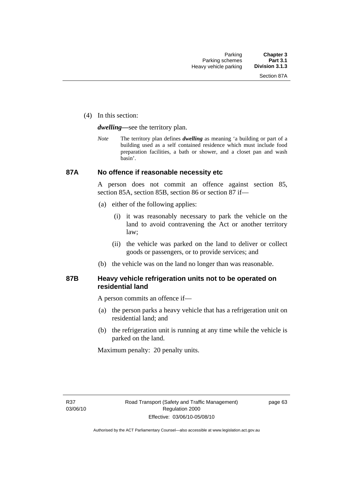(4) In this section:

*dwelling—*see the territory plan.

*Note* The territory plan defines *dwelling* as meaning 'a building or part of a building used as a self contained residence which must include food preparation facilities, a bath or shower, and a closet pan and wash basin'.

#### **87A No offence if reasonable necessity etc**

A person does not commit an offence against section 85, section 85A, section 85B, section 86 or section 87 if—

- (a) either of the following applies:
	- (i) it was reasonably necessary to park the vehicle on the land to avoid contravening the Act or another territory law;
	- (ii) the vehicle was parked on the land to deliver or collect goods or passengers, or to provide services; and
- (b) the vehicle was on the land no longer than was reasonable.

### **87B Heavy vehicle refrigeration units not to be operated on residential land**

A person commits an offence if—

- (a) the person parks a heavy vehicle that has a refrigeration unit on residential land; and
- (b) the refrigeration unit is running at any time while the vehicle is parked on the land.

Maximum penalty: 20 penalty units.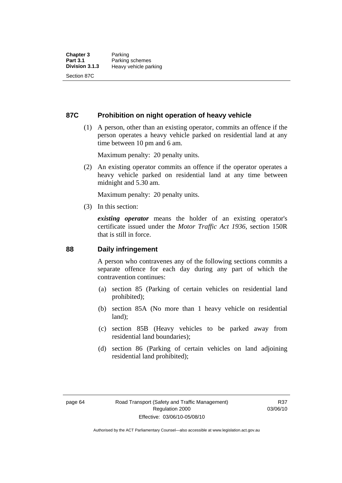### **87C Prohibition on night operation of heavy vehicle**

 (1) A person, other than an existing operator, commits an offence if the person operates a heavy vehicle parked on residential land at any time between 10 pm and 6 am.

Maximum penalty: 20 penalty units.

 (2) An existing operator commits an offence if the operator operates a heavy vehicle parked on residential land at any time between midnight and 5.30 am.

Maximum penalty: 20 penalty units.

(3) In this section:

*existing operator* means the holder of an existing operator's certificate issued under the *Motor Traffic Act 1936*, section 150R that is still in force.

### **88 Daily infringement**

A person who contravenes any of the following sections commits a separate offence for each day during any part of which the contravention continues:

- (a) section 85 (Parking of certain vehicles on residential land prohibited);
- (b) section 85A (No more than 1 heavy vehicle on residential land);
- (c) section 85B (Heavy vehicles to be parked away from residential land boundaries);
- (d) section 86 (Parking of certain vehicles on land adjoining residential land prohibited);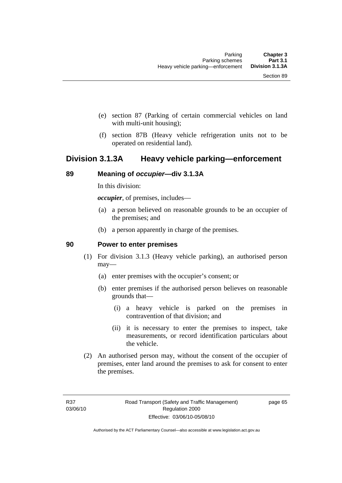- (e) section 87 (Parking of certain commercial vehicles on land with multi-unit housing);
- (f) section 87B (Heavy vehicle refrigeration units not to be operated on residential land).

## **Division 3.1.3A Heavy vehicle parking—enforcement**

### **89 Meaning of** *occupier***—div 3.1.3A**

In this division:

*occupier*, of premises, includes—

- (a) a person believed on reasonable grounds to be an occupier of the premises; and
- (b) a person apparently in charge of the premises.

#### **90 Power to enter premises**

- (1) For division 3.1.3 (Heavy vehicle parking), an authorised person may—
	- (a) enter premises with the occupier's consent; or
	- (b) enter premises if the authorised person believes on reasonable grounds that—
		- (i) a heavy vehicle is parked on the premises in contravention of that division; and
		- (ii) it is necessary to enter the premises to inspect, take measurements, or record identification particulars about the vehicle.
- (2) An authorised person may, without the consent of the occupier of premises, enter land around the premises to ask for consent to enter the premises.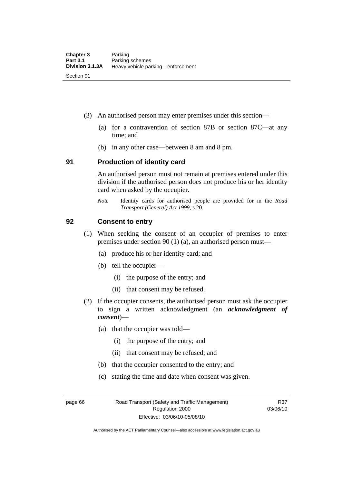- (3) An authorised person may enter premises under this section––
	- (a) for a contravention of section 87B or section 87C––at any time; and
	- (b) in any other case––between 8 am and 8 pm.

#### **91 Production of identity card**

An authorised person must not remain at premises entered under this division if the authorised person does not produce his or her identity card when asked by the occupier.

*Note* Identity cards for authorised people are provided for in the *Road Transport (General) Act 1999*, s 20.

#### **92 Consent to entry**

- (1) When seeking the consent of an occupier of premises to enter premises under section 90 (1) (a), an authorised person must—
	- (a) produce his or her identity card; and
	- (b) tell the occupier—
		- (i) the purpose of the entry; and
		- (ii) that consent may be refused.
- (2) If the occupier consents, the authorised person must ask the occupier to sign a written acknowledgment (an *acknowledgment of consent*)—
	- (a) that the occupier was told—
		- (i) the purpose of the entry; and
		- (ii) that consent may be refused; and
	- (b) that the occupier consented to the entry; and
	- (c) stating the time and date when consent was given.

page 66 Road Transport (Safety and Traffic Management) Regulation 2000 Effective: 03/06/10-05/08/10

R37 03/06/10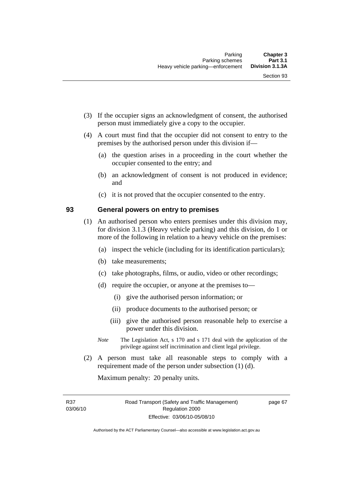- (3) If the occupier signs an acknowledgment of consent, the authorised person must immediately give a copy to the occupier.
- (4) A court must find that the occupier did not consent to entry to the premises by the authorised person under this division if—
	- (a) the question arises in a proceeding in the court whether the occupier consented to the entry; and
	- (b) an acknowledgment of consent is not produced in evidence; and
	- (c) it is not proved that the occupier consented to the entry.

#### **93 General powers on entry to premises**

- (1) An authorised person who enters premises under this division may, for division 3.1.3 (Heavy vehicle parking) and this division, do 1 or more of the following in relation to a heavy vehicle on the premises:
	- (a) inspect the vehicle (including for its identification particulars);
	- (b) take measurements;
	- (c) take photographs, films, or audio, video or other recordings;
	- (d) require the occupier, or anyone at the premises to—
		- (i) give the authorised person information; or
		- (ii) produce documents to the authorised person; or
		- (iii) give the authorised person reasonable help to exercise a power under this division.
	- *Note* The Legislation Act, s 170 and s 171 deal with the application of the privilege against self incrimination and client legal privilege.
- (2) A person must take all reasonable steps to comply with a requirement made of the person under subsection (1) (d).

Maximum penalty: 20 penalty units.

R37 03/06/10 page 67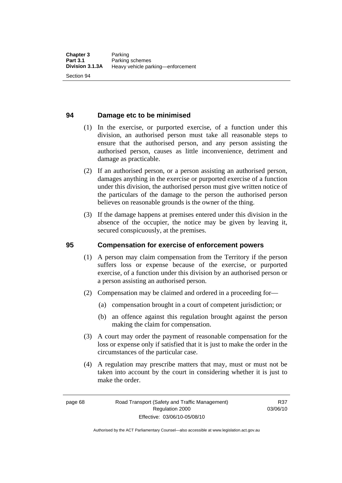### **94 Damage etc to be minimised**

- (1) In the exercise, or purported exercise, of a function under this division, an authorised person must take all reasonable steps to ensure that the authorised person, and any person assisting the authorised person, causes as little inconvenience, detriment and damage as practicable.
- (2) If an authorised person, or a person assisting an authorised person, damages anything in the exercise or purported exercise of a function under this division, the authorised person must give written notice of the particulars of the damage to the person the authorised person believes on reasonable grounds is the owner of the thing.
- (3) If the damage happens at premises entered under this division in the absence of the occupier, the notice may be given by leaving it, secured conspicuously, at the premises.

#### **95 Compensation for exercise of enforcement powers**

- (1) A person may claim compensation from the Territory if the person suffers loss or expense because of the exercise, or purported exercise, of a function under this division by an authorised person or a person assisting an authorised person.
- (2) Compensation may be claimed and ordered in a proceeding for—
	- (a) compensation brought in a court of competent jurisdiction; or
	- (b) an offence against this regulation brought against the person making the claim for compensation.
- (3) A court may order the payment of reasonable compensation for the loss or expense only if satisfied that it is just to make the order in the circumstances of the particular case.
- (4) A regulation may prescribe matters that may, must or must not be taken into account by the court in considering whether it is just to make the order.

Authorised by the ACT Parliamentary Counsel—also accessible at www.legislation.act.gov.au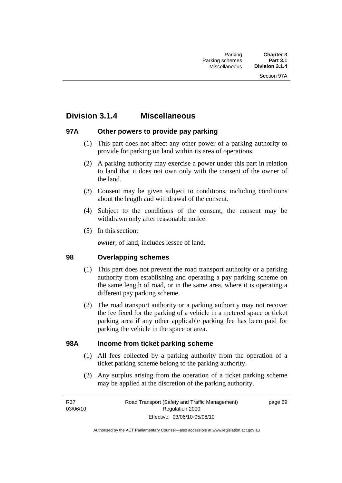## **Division 3.1.4 Miscellaneous**

## **97A Other powers to provide pay parking**

- (1) This part does not affect any other power of a parking authority to provide for parking on land within its area of operations.
- (2) A parking authority may exercise a power under this part in relation to land that it does not own only with the consent of the owner of the land.
- (3) Consent may be given subject to conditions, including conditions about the length and withdrawal of the consent.
- (4) Subject to the conditions of the consent, the consent may be withdrawn only after reasonable notice.
- (5) In this section:

*owner*, of land, includes lessee of land.

## **98 Overlapping schemes**

- (1) This part does not prevent the road transport authority or a parking authority from establishing and operating a pay parking scheme on the same length of road, or in the same area, where it is operating a different pay parking scheme.
- (2) The road transport authority or a parking authority may not recover the fee fixed for the parking of a vehicle in a metered space or ticket parking area if any other applicable parking fee has been paid for parking the vehicle in the space or area.

### **98A Income from ticket parking scheme**

- (1) All fees collected by a parking authority from the operation of a ticket parking scheme belong to the parking authority.
- (2) Any surplus arising from the operation of a ticket parking scheme may be applied at the discretion of the parking authority.

page 69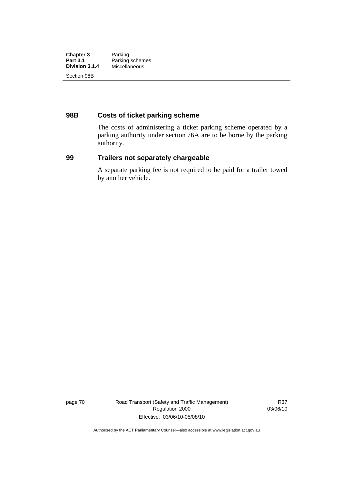| <b>Chapter 3</b> | Parking         |
|------------------|-----------------|
| <b>Part 3.1</b>  | Parking schemes |
| Division 3.1.4   | Miscellaneous   |
| Section 98B      |                 |

## **98B Costs of ticket parking scheme**

The costs of administering a ticket parking scheme operated by a parking authority under section 76A are to be borne by the parking authority.

#### **99 Trailers not separately chargeable**

A separate parking fee is not required to be paid for a trailer towed by another vehicle.

page 70 Road Transport (Safety and Traffic Management) Regulation 2000 Effective: 03/06/10-05/08/10

R37 03/06/10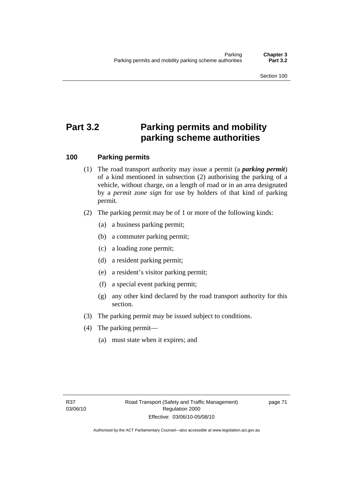# **Part 3.2 Parking permits and mobility parking scheme authorities**

## **100 Parking permits**

- (1) The road transport authority may issue a permit (a *parking permit*) of a kind mentioned in subsection (2) authorising the parking of a vehicle, without charge, on a length of road or in an area designated by a *permit zone sign* for use by holders of that kind of parking permit.
- (2) The parking permit may be of 1 or more of the following kinds:
	- (a) a business parking permit;
	- (b) a commuter parking permit;
	- (c) a loading zone permit;
	- (d) a resident parking permit;
	- (e) a resident's visitor parking permit;
	- (f) a special event parking permit;
	- (g) any other kind declared by the road transport authority for this section.
- (3) The parking permit may be issued subject to conditions.
- (4) The parking permit—
	- (a) must state when it expires; and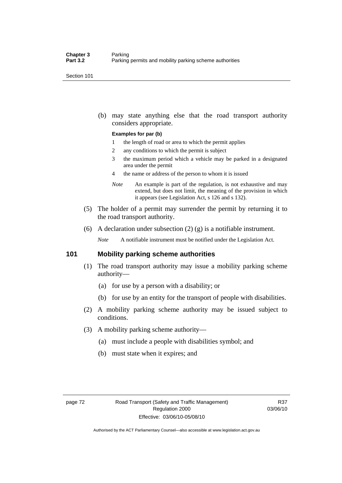Section 101

 (b) may state anything else that the road transport authority considers appropriate.

#### **Examples for par (b)**

- 1 the length of road or area to which the permit applies
- 2 any conditions to which the permit is subject
- 3 the maximum period which a vehicle may be parked in a designated area under the permit
- 4 the name or address of the person to whom it is issued
- *Note* An example is part of the regulation, is not exhaustive and may extend, but does not limit, the meaning of the provision in which it appears (see Legislation Act, s 126 and s 132).
- (5) The holder of a permit may surrender the permit by returning it to the road transport authority.
- (6) A declaration under subsection  $(2)$   $(g)$  is a notifiable instrument.

*Note* A notifiable instrument must be notified under the Legislation Act.

#### **101 Mobility parking scheme authorities**

- (1) The road transport authority may issue a mobility parking scheme authority—
	- (a) for use by a person with a disability; or
	- (b) for use by an entity for the transport of people with disabilities.
- (2) A mobility parking scheme authority may be issued subject to conditions.
- (3) A mobility parking scheme authority—
	- (a) must include a people with disabilities symbol; and
	- (b) must state when it expires; and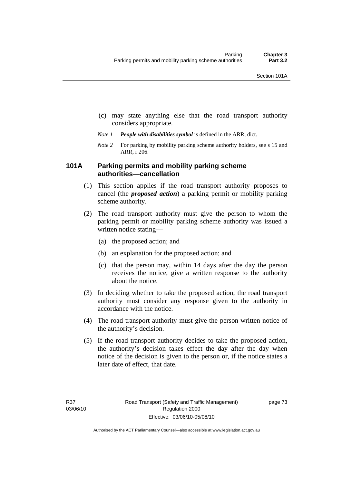- (c) may state anything else that the road transport authority considers appropriate.
- *Note 1 People with disabilities symbol* is defined in the ARR, dict.
- *Note 2* For parking by mobility parking scheme authority holders, see s 15 and ARR, r 206.

## **101A Parking permits and mobility parking scheme authorities—cancellation**

- (1) This section applies if the road transport authority proposes to cancel (the *proposed action*) a parking permit or mobility parking scheme authority.
- (2) The road transport authority must give the person to whom the parking permit or mobility parking scheme authority was issued a written notice stating—
	- (a) the proposed action; and
	- (b) an explanation for the proposed action; and
	- (c) that the person may, within 14 days after the day the person receives the notice, give a written response to the authority about the notice.
- (3) In deciding whether to take the proposed action, the road transport authority must consider any response given to the authority in accordance with the notice.
- (4) The road transport authority must give the person written notice of the authority's decision.
- (5) If the road transport authority decides to take the proposed action, the authority's decision takes effect the day after the day when notice of the decision is given to the person or, if the notice states a later date of effect, that date.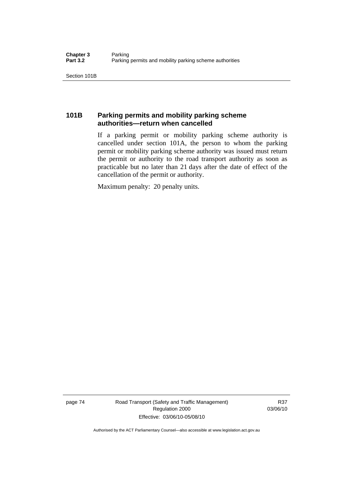Section 101B

## **101B Parking permits and mobility parking scheme authorities—return when cancelled**

If a parking permit or mobility parking scheme authority is cancelled under section 101A, the person to whom the parking permit or mobility parking scheme authority was issued must return the permit or authority to the road transport authority as soon as practicable but no later than 21 days after the date of effect of the cancellation of the permit or authority.

Maximum penalty: 20 penalty units.

page 74 Road Transport (Safety and Traffic Management) Regulation 2000 Effective: 03/06/10-05/08/10

R37 03/06/10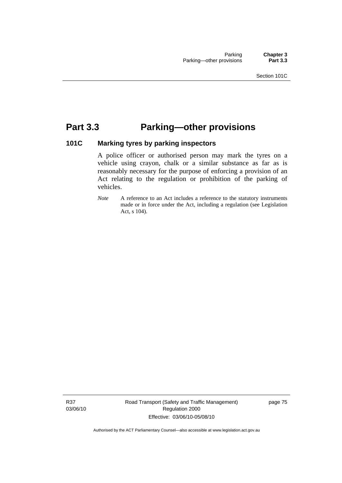## **Part 3.3 Parking—other provisions**

## **101C Marking tyres by parking inspectors**

A police officer or authorised person may mark the tyres on a vehicle using crayon, chalk or a similar substance as far as is reasonably necessary for the purpose of enforcing a provision of an Act relating to the regulation or prohibition of the parking of vehicles.

*Note* A reference to an Act includes a reference to the statutory instruments made or in force under the Act, including a regulation (see Legislation Act, s 104).

R37 03/06/10 Road Transport (Safety and Traffic Management) Regulation 2000 Effective: 03/06/10-05/08/10

page 75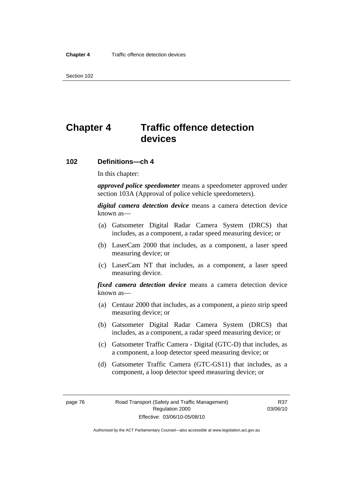Section 102

# **Chapter 4 Traffic offence detection devices**

#### **102 Definitions—ch 4**

In this chapter:

*approved police speedometer* means a speedometer approved under section 103A (Approval of police vehicle speedometers).

*digital camera detection device* means a camera detection device known as—

- (a) Gatsometer Digital Radar Camera System (DRCS) that includes, as a component, a radar speed measuring device; or
- (b) LaserCam 2000 that includes, as a component, a laser speed measuring device; or
- (c) LaserCam NT that includes, as a component, a laser speed measuring device.

*fixed camera detection device* means a camera detection device known as—

- (a) Centaur 2000 that includes, as a component, a piezo strip speed measuring device; or
- (b) Gatsometer Digital Radar Camera System (DRCS) that includes, as a component, a radar speed measuring device; or
- (c) Gatsometer Traffic Camera Digital (GTC-D) that includes, as a component, a loop detector speed measuring device; or
- (d) Gatsometer Traffic Camera (GTC-GS11) that includes, as a component, a loop detector speed measuring device; or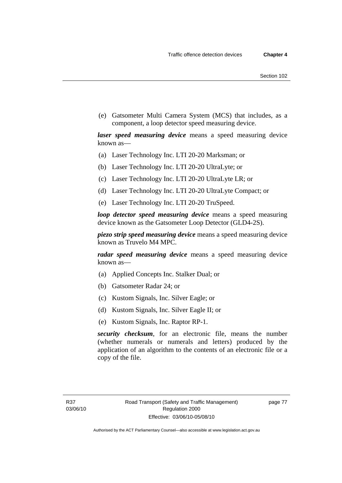(e) Gatsometer Multi Camera System (MCS) that includes, as a component, a loop detector speed measuring device.

*laser speed measuring device* means a speed measuring device known as—

- (a) Laser Technology Inc. LTI 20-20 Marksman; or
- (b) Laser Technology Inc. LTI 20-20 UltraLyte; or
- (c) Laser Technology Inc. LTI 20-20 UltraLyte LR; or
- (d) Laser Technology Inc. LTI 20-20 UltraLyte Compact; or
- (e) Laser Technology Inc. LTI 20-20 TruSpeed.

*loop detector speed measuring device* means a speed measuring device known as the Gatsometer Loop Detector (GLD4-2S).

*piezo strip speed measuring device* means a speed measuring device known as Truvelo M4 MPC.

*radar speed measuring device* means a speed measuring device known as—

- (a) Applied Concepts Inc. Stalker Dual; or
- (b) Gatsometer Radar 24; or
- (c) Kustom Signals, Inc. Silver Eagle; or
- (d) Kustom Signals, Inc. Silver Eagle II; or
- (e) Kustom Signals, Inc. Raptor RP-1.

*security checksum*, for an electronic file, means the number (whether numerals or numerals and letters) produced by the application of an algorithm to the contents of an electronic file or a copy of the file.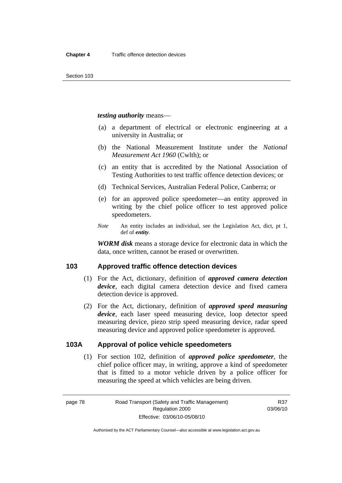*testing authority* means—

- (a) a department of electrical or electronic engineering at a university in Australia; or
- (b) the National Measurement Institute under the *National Measurement Act 1960* (Cwlth); or
- (c) an entity that is accredited by the National Association of Testing Authorities to test traffic offence detection devices; or
- (d) Technical Services, Australian Federal Police, Canberra; or
- (e) for an approved police speedometer—an entity approved in writing by the chief police officer to test approved police speedometers.
- *Note* An entity includes an individual, see the Legislation Act, dict, pt 1, def of *entity*.

*WORM disk* means a storage device for electronic data in which the data, once written, cannot be erased or overwritten.

### **103 Approved traffic offence detection devices**

- (1) For the Act, dictionary, definition of *approved camera detection device*, each digital camera detection device and fixed camera detection device is approved.
- (2) For the Act, dictionary, definition of *approved speed measuring device*, each laser speed measuring device, loop detector speed measuring device, piezo strip speed measuring device, radar speed measuring device and approved police speedometer is approved.

## **103A Approval of police vehicle speedometers**

 (1) For section 102, definition of *approved police speedometer*, the chief police officer may, in writing, approve a kind of speedometer that is fitted to a motor vehicle driven by a police officer for measuring the speed at which vehicles are being driven.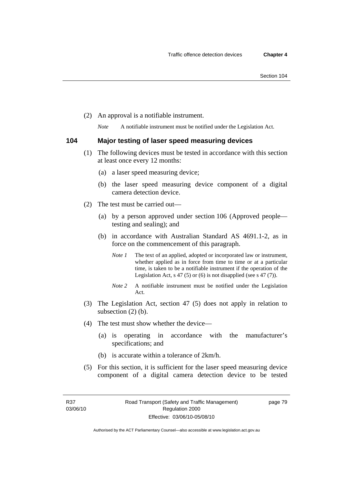(2) An approval is a notifiable instrument.

*Note* A notifiable instrument must be notified under the Legislation Act.

#### **104 Major testing of laser speed measuring devices**

- (1) The following devices must be tested in accordance with this section at least once every 12 months:
	- (a) a laser speed measuring device;
	- (b) the laser speed measuring device component of a digital camera detection device.
- (2) The test must be carried out—
	- (a) by a person approved under section 106 (Approved people testing and sealing); and
	- (b) in accordance with Australian Standard AS 4691.1-2, as in force on the commencement of this paragraph.
		- *Note 1* The text of an applied, adopted or incorporated law or instrument, whether applied as in force from time to time or at a particular time, is taken to be a notifiable instrument if the operation of the Legislation Act,  $s$  47 (5) or (6) is not disapplied (see s 47 (7)).
		- *Note 2* A notifiable instrument must be notified under the Legislation Act.
- (3) The Legislation Act, section 47 (5) does not apply in relation to subsection (2) (b).
- (4) The test must show whether the device—
	- (a) is operating in accordance with the manufacturer's specifications; and
	- (b) is accurate within a tolerance of 2km/h.
- (5) For this section, it is sufficient for the laser speed measuring device component of a digital camera detection device to be tested

page 79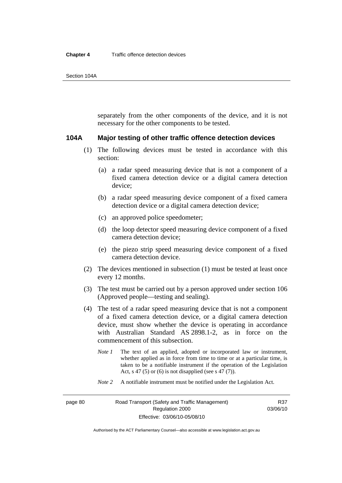separately from the other components of the device, and it is not necessary for the other components to be tested.

#### **104A Major testing of other traffic offence detection devices**

- (1) The following devices must be tested in accordance with this section:
	- (a) a radar speed measuring device that is not a component of a fixed camera detection device or a digital camera detection device;
	- (b) a radar speed measuring device component of a fixed camera detection device or a digital camera detection device;
	- (c) an approved police speedometer;
	- (d) the loop detector speed measuring device component of a fixed camera detection device;
	- (e) the piezo strip speed measuring device component of a fixed camera detection device.
- (2) The devices mentioned in subsection (1) must be tested at least once every 12 months.
- (3) The test must be carried out by a person approved under section 106 (Approved people—testing and sealing).
- (4) The test of a radar speed measuring device that is not a component of a fixed camera detection device, or a digital camera detection device, must show whether the device is operating in accordance with Australian Standard AS 2898.1-2, as in force on the commencement of this subsection.
	- *Note 1* The text of an applied, adopted or incorporated law or instrument, whether applied as in force from time to time or at a particular time, is taken to be a notifiable instrument if the operation of the Legislation Act, s 47 (5) or (6) is not disapplied (see s 47 (7)).
	- *Note 2* A notifiable instrument must be notified under the Legislation Act.

R37 03/06/10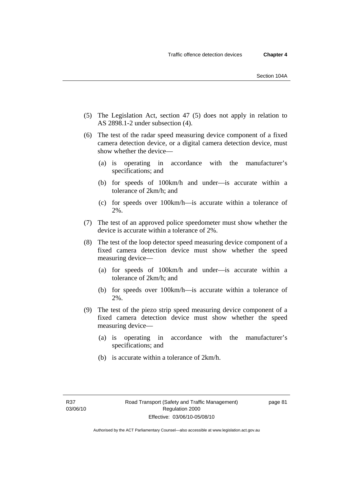- (5) The Legislation Act, section 47 (5) does not apply in relation to AS 2898.1-2 under subsection (4).
- (6) The test of the radar speed measuring device component of a fixed camera detection device, or a digital camera detection device, must show whether the device—
	- (a) is operating in accordance with the manufacturer's specifications; and
	- (b) for speeds of 100km/h and under—is accurate within a tolerance of 2km/h; and
	- (c) for speeds over 100km/h—is accurate within a tolerance of 2%.
- (7) The test of an approved police speedometer must show whether the device is accurate within a tolerance of 2%.
- (8) The test of the loop detector speed measuring device component of a fixed camera detection device must show whether the speed measuring device—
	- (a) for speeds of 100km/h and under—is accurate within a tolerance of 2km/h; and
	- (b) for speeds over 100km/h—is accurate within a tolerance of 2%.
- (9) The test of the piezo strip speed measuring device component of a fixed camera detection device must show whether the speed measuring device—
	- (a) is operating in accordance with the manufacturer's specifications; and
	- (b) is accurate within a tolerance of 2km/h.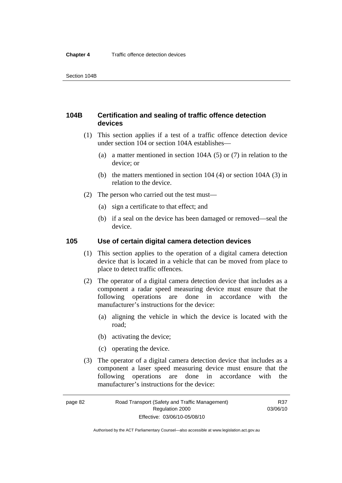## **104B Certification and sealing of traffic offence detection devices**

- (1) This section applies if a test of a traffic offence detection device under section 104 or section 104A establishes—
	- (a) a matter mentioned in section 104A (5) or (7) in relation to the device; or
	- (b) the matters mentioned in section 104 (4) or section 104A (3) in relation to the device.
- (2) The person who carried out the test must—
	- (a) sign a certificate to that effect; and
	- (b) if a seal on the device has been damaged or removed—seal the device.

### **105 Use of certain digital camera detection devices**

- (1) This section applies to the operation of a digital camera detection device that is located in a vehicle that can be moved from place to place to detect traffic offences.
- (2) The operator of a digital camera detection device that includes as a component a radar speed measuring device must ensure that the following operations are done in accordance with the manufacturer's instructions for the device:
	- (a) aligning the vehicle in which the device is located with the road;
	- (b) activating the device;
	- (c) operating the device.
- (3) The operator of a digital camera detection device that includes as a component a laser speed measuring device must ensure that the following operations are done in accordance with the manufacturer's instructions for the device:

R37 03/06/10

Authorised by the ACT Parliamentary Counsel—also accessible at www.legislation.act.gov.au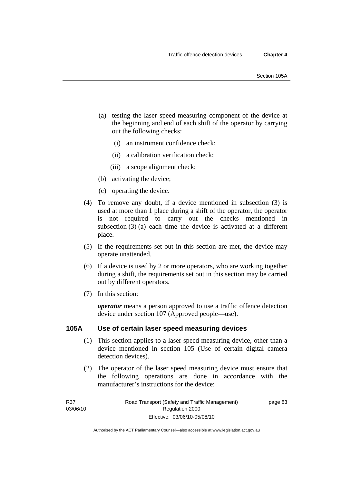- (a) testing the laser speed measuring component of the device at the beginning and end of each shift of the operator by carrying out the following checks:
	- (i) an instrument confidence check;
	- (ii) a calibration verification check;
	- (iii) a scope alignment check;
- (b) activating the device;
- (c) operating the device.
- (4) To remove any doubt, if a device mentioned in subsection (3) is used at more than 1 place during a shift of the operator, the operator is not required to carry out the checks mentioned in subsection (3) (a) each time the device is activated at a different place.
- (5) If the requirements set out in this section are met, the device may operate unattended.
- (6) If a device is used by 2 or more operators, who are working together during a shift, the requirements set out in this section may be carried out by different operators.
- (7) In this section:

*operator* means a person approved to use a traffic offence detection device under section 107 (Approved people—use).

#### **105A Use of certain laser speed measuring devices**

- (1) This section applies to a laser speed measuring device, other than a device mentioned in section 105 (Use of certain digital camera detection devices).
- (2) The operator of the laser speed measuring device must ensure that the following operations are done in accordance with the manufacturer's instructions for the device:

page 83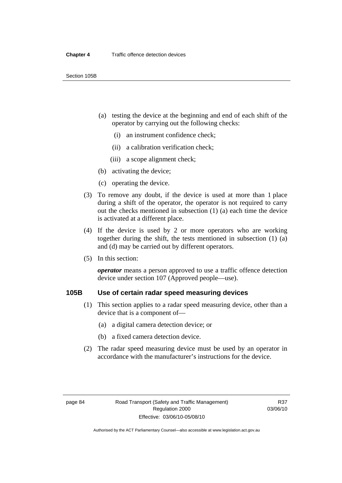- (a) testing the device at the beginning and end of each shift of the operator by carrying out the following checks:
	- (i) an instrument confidence check;
	- (ii) a calibration verification check;
	- (iii) a scope alignment check;
- (b) activating the device;
- (c) operating the device.
- (3) To remove any doubt, if the device is used at more than 1 place during a shift of the operator, the operator is not required to carry out the checks mentioned in subsection (1) (a) each time the device is activated at a different place.
- (4) If the device is used by 2 or more operators who are working together during the shift, the tests mentioned in subsection (1) (a) and (d) may be carried out by different operators.
- (5) In this section:

*operator* means a person approved to use a traffic offence detection device under section 107 (Approved people—use).

## **105B Use of certain radar speed measuring devices**

- (1) This section applies to a radar speed measuring device, other than a device that is a component of—
	- (a) a digital camera detection device; or
	- (b) a fixed camera detection device.
- (2) The radar speed measuring device must be used by an operator in accordance with the manufacturer's instructions for the device.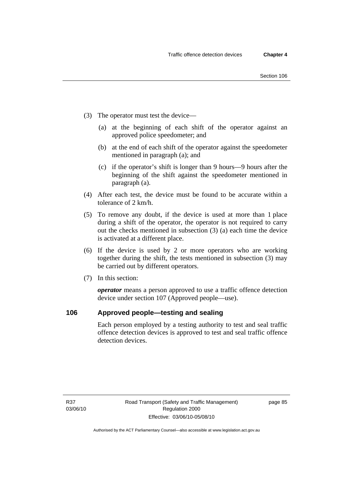- (3) The operator must test the device—
	- (a) at the beginning of each shift of the operator against an approved police speedometer; and
	- (b) at the end of each shift of the operator against the speedometer mentioned in paragraph (a); and
	- (c) if the operator's shift is longer than 9 hours—9 hours after the beginning of the shift against the speedometer mentioned in paragraph (a).
- (4) After each test, the device must be found to be accurate within a tolerance of 2 km/h.
- (5) To remove any doubt, if the device is used at more than 1 place during a shift of the operator, the operator is not required to carry out the checks mentioned in subsection (3) (a) each time the device is activated at a different place.
- (6) If the device is used by 2 or more operators who are working together during the shift, the tests mentioned in subsection (3) may be carried out by different operators.
- (7) In this section:

*operator* means a person approved to use a traffic offence detection device under section 107 (Approved people—use).

### **106 Approved people—testing and sealing**

Each person employed by a testing authority to test and seal traffic offence detection devices is approved to test and seal traffic offence detection devices.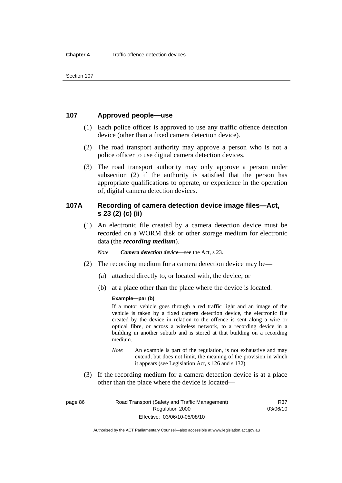## **107 Approved people—use**

- (1) Each police officer is approved to use any traffic offence detection device (other than a fixed camera detection device).
- (2) The road transport authority may approve a person who is not a police officer to use digital camera detection devices.
- (3) The road transport authority may only approve a person under subsection (2) if the authority is satisfied that the person has appropriate qualifications to operate, or experience in the operation of, digital camera detection devices.

## **107A Recording of camera detection device image files—Act, s 23 (2) (c) (ii)**

 (1) An electronic file created by a camera detection device must be recorded on a WORM disk or other storage medium for electronic data (the *recording medium*).

*Note Camera detection device*—see the Act, s 23.

- (2) The recording medium for a camera detection device may be—
	- (a) attached directly to, or located with, the device; or
	- (b) at a place other than the place where the device is located.

#### **Example—par (b)**

If a motor vehicle goes through a red traffic light and an image of the vehicle is taken by a fixed camera detection device, the electronic file created by the device in relation to the offence is sent along a wire or optical fibre, or across a wireless network, to a recording device in a building in another suburb and is stored at that building on a recording medium.

- *Note* An example is part of the regulation, is not exhaustive and may extend, but does not limit, the meaning of the provision in which it appears (see Legislation Act, s 126 and s 132).
- (3) If the recording medium for a camera detection device is at a place other than the place where the device is located—

page 86 Road Transport (Safety and Traffic Management) Regulation 2000 Effective: 03/06/10-05/08/10

R37 03/06/10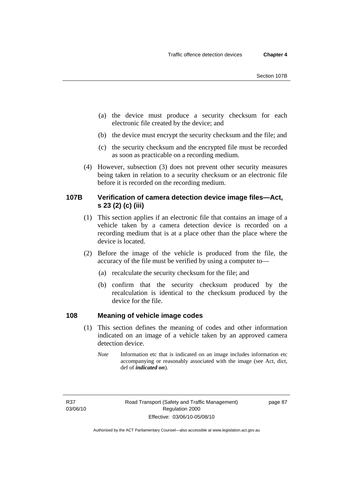- (a) the device must produce a security checksum for each electronic file created by the device; and
- (b) the device must encrypt the security checksum and the file; and
- (c) the security checksum and the encrypted file must be recorded as soon as practicable on a recording medium.
- (4) However, subsection (3) does not prevent other security measures being taken in relation to a security checksum or an electronic file before it is recorded on the recording medium.

## **107B Verification of camera detection device image files—Act, s 23 (2) (c) (iii)**

- (1) This section applies if an electronic file that contains an image of a vehicle taken by a camera detection device is recorded on a recording medium that is at a place other than the place where the device is located.
- (2) Before the image of the vehicle is produced from the file, the accuracy of the file must be verified by using a computer to—
	- (a) recalculate the security checksum for the file; and
	- (b) confirm that the security checksum produced by the recalculation is identical to the checksum produced by the device for the file.

### **108 Meaning of vehicle image codes**

- (1) This section defines the meaning of codes and other information indicated on an image of a vehicle taken by an approved camera detection device.
	- *Note* Information etc that is indicated on an image includes information etc accompanying or reasonably associated with the image (see Act, dict, def of *indicated on*).

R37 03/06/10

Authorised by the ACT Parliamentary Counsel—also accessible at www.legislation.act.gov.au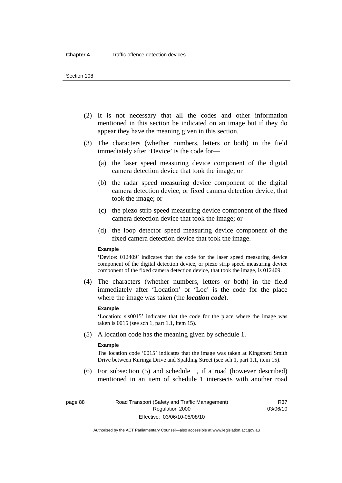#### Section 108

- (2) It is not necessary that all the codes and other information mentioned in this section be indicated on an image but if they do appear they have the meaning given in this section.
- (3) The characters (whether numbers, letters or both) in the field immediately after 'Device' is the code for—
	- (a) the laser speed measuring device component of the digital camera detection device that took the image; or
	- (b) the radar speed measuring device component of the digital camera detection device, or fixed camera detection device, that took the image; or
	- (c) the piezo strip speed measuring device component of the fixed camera detection device that took the image; or
	- (d) the loop detector speed measuring device component of the fixed camera detection device that took the image.

#### **Example**

'Device: 012409' indicates that the code for the laser speed measuring device component of the digital detection device, or piezo strip speed measuring device component of the fixed camera detection device, that took the image, is 012409.

 (4) The characters (whether numbers, letters or both) in the field immediately after 'Location' or 'Loc' is the code for the place where the image was taken (the *location code*).

#### **Example**

'Location: sls0015' indicates that the code for the place where the image was taken is 0015 (see sch 1, part 1.1, item 15).

(5) A location code has the meaning given by schedule 1.

#### **Example**

The location code '0015' indicates that the image was taken at Kingsford Smith Drive between Kuringa Drive and Spalding Street (see sch 1, part 1.1, item 15).

 (6) For subsection (5) and schedule 1, if a road (however described) mentioned in an item of schedule 1 intersects with another road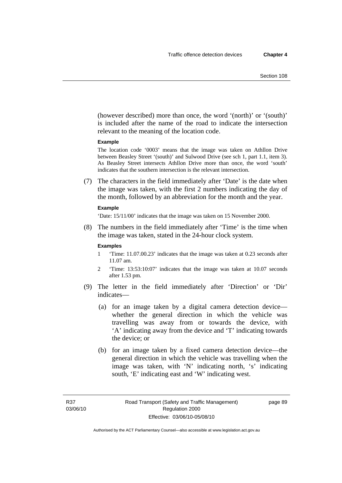(however described) more than once, the word '(north)' or '(south)' is included after the name of the road to indicate the intersection relevant to the meaning of the location code.

#### **Example**

The location code '0003' means that the image was taken on Athllon Drive between Beasley Street '(south)' and Sulwood Drive (see sch 1, part 1.1, item 3). As Beasley Street intersects Athllon Drive more than once, the word 'south' indicates that the southern intersection is the relevant intersection.

 (7) The characters in the field immediately after 'Date' is the date when the image was taken, with the first 2 numbers indicating the day of the month, followed by an abbreviation for the month and the year.

#### **Example**

'Date: 15/11/00' indicates that the image was taken on 15 November 2000.

 (8) The numbers in the field immediately after 'Time' is the time when the image was taken, stated in the 24-hour clock system.

#### **Examples**

- 1 'Time: 11.07.00.23' indicates that the image was taken at 0.23 seconds after 11.07 am.
- 2 'Time: 13:53:10:07' indicates that the image was taken at 10.07 seconds after 1.53 pm.
- (9) The letter in the field immediately after 'Direction' or 'Dir' indicates—
	- (a) for an image taken by a digital camera detection device whether the general direction in which the vehicle was travelling was away from or towards the device, with 'A' indicating away from the device and 'T' indicating towards the device; or
	- (b) for an image taken by a fixed camera detection device—the general direction in which the vehicle was travelling when the image was taken, with 'N' indicating north, 's' indicating south, 'E' indicating east and 'W' indicating west.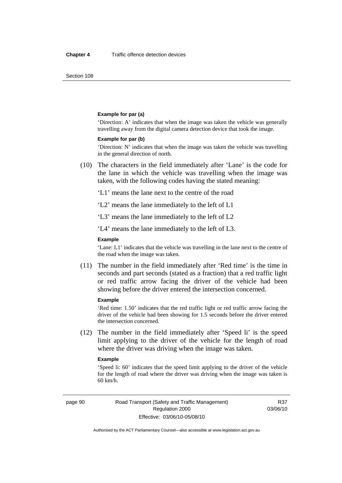Section 108

#### **Example for par (a)**

'Direction: A' indicates that when the image was taken the vehicle was generally travelling away from the digital camera detection device that took the image.

#### **Example for par (b)**

'Direction: N' indicates that when the image was taken the vehicle was travelling in the general direction of north.

 (10) The characters in the field immediately after 'Lane' is the code for the lane in which the vehicle was travelling when the image was taken, with the following codes having the stated meaning:

'L1' means the lane next to the centre of the road

'L2' means the lane immediately to the left of L1

'L3' means the lane immediately to the left of L2

'L4' means the lane immediately to the left of L3.

#### **Example**

'Lane: L1' indicates that the vehicle was travelling in the lane next to the centre of the road when the image was taken.

 (11) The number in the field immediately after 'Red time' is the time in seconds and part seconds (stated as a fraction) that a red traffic light or red traffic arrow facing the driver of the vehicle had been showing before the driver entered the intersection concerned.

#### **Example**

'Red time: 1.50' indicates that the red traffic light or red traffic arrow facing the driver of the vehicle had been showing for 1.5 seconds before the driver entered the intersection concerned.

 (12) The number in the field immediately after 'Speed li' is the speed limit applying to the driver of the vehicle for the length of road where the driver was driving when the image was taken.

#### **Example**

'Speed li: 60' indicates that the speed limit applying to the driver of the vehicle for the length of road where the driver was driving when the image was taken is 60 km/h.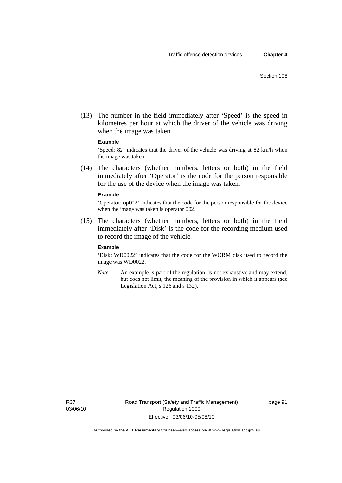(13) The number in the field immediately after 'Speed' is the speed in kilometres per hour at which the driver of the vehicle was driving when the image was taken.

#### **Example**

'Speed: 82' indicates that the driver of the vehicle was driving at 82 km/h when the image was taken.

 (14) The characters (whether numbers, letters or both) in the field immediately after 'Operator' is the code for the person responsible for the use of the device when the image was taken.

#### **Example**

'Operator: op002' indicates that the code for the person responsible for the device when the image was taken is operator 002.

 (15) The characters (whether numbers, letters or both) in the field immediately after 'Disk' is the code for the recording medium used to record the image of the vehicle.

#### **Example**

'Disk: WD0022' indicates that the code for the WORM disk used to record the image was WD0022.

*Note* An example is part of the regulation, is not exhaustive and may extend, but does not limit, the meaning of the provision in which it appears (see Legislation Act, s 126 and s 132).

R37 03/06/10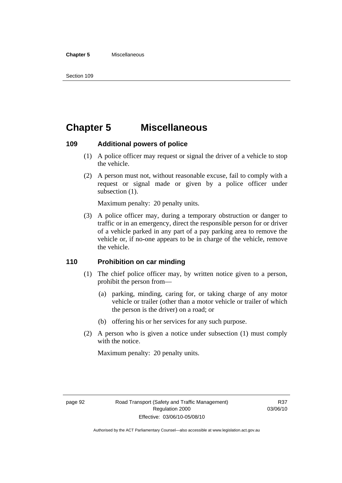#### **Chapter 5** Miscellaneous

## **Chapter 5 Miscellaneous**

### **109 Additional powers of police**

- (1) A police officer may request or signal the driver of a vehicle to stop the vehicle.
- (2) A person must not, without reasonable excuse, fail to comply with a request or signal made or given by a police officer under subsection  $(1)$ .

Maximum penalty: 20 penalty units.

 (3) A police officer may, during a temporary obstruction or danger to traffic or in an emergency, direct the responsible person for or driver of a vehicle parked in any part of a pay parking area to remove the vehicle or, if no-one appears to be in charge of the vehicle, remove the vehicle.

## **110 Prohibition on car minding**

- (1) The chief police officer may, by written notice given to a person, prohibit the person from—
	- (a) parking, minding, caring for, or taking charge of any motor vehicle or trailer (other than a motor vehicle or trailer of which the person is the driver) on a road; or
	- (b) offering his or her services for any such purpose.
- (2) A person who is given a notice under subsection (1) must comply with the notice.

Maximum penalty: 20 penalty units.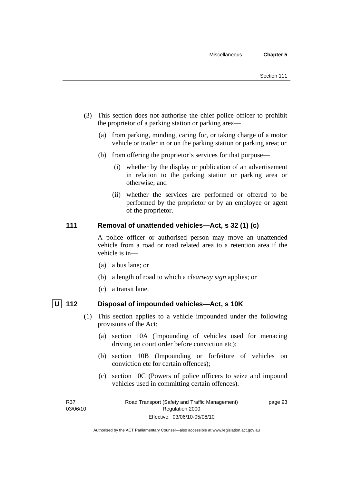- (3) This section does not authorise the chief police officer to prohibit the proprietor of a parking station or parking area—
	- (a) from parking, minding, caring for, or taking charge of a motor vehicle or trailer in or on the parking station or parking area; or
	- (b) from offering the proprietor's services for that purpose—
		- (i) whether by the display or publication of an advertisement in relation to the parking station or parking area or otherwise; and
		- (ii) whether the services are performed or offered to be performed by the proprietor or by an employee or agent of the proprietor.

## **111 Removal of unattended vehicles—Act, s 32 (1) (c)**

A police officer or authorised person may move an unattended vehicle from a road or road related area to a retention area if the vehicle is in—

- (a) a bus lane; or
- (b) a length of road to which a *clearway sign* applies; or
- (c) a transit lane.

- **U 112 Disposal of impounded vehicles—Act, s 10K** 
	- (1) This section applies to a vehicle impounded under the following provisions of the Act:
		- (a) section 10A (Impounding of vehicles used for menacing driving on court order before conviction etc);
		- (b) section 10B (Impounding or forfeiture of vehicles on conviction etc for certain offences);
		- (c) section 10C (Powers of police officers to seize and impound vehicles used in committing certain offences).

page 93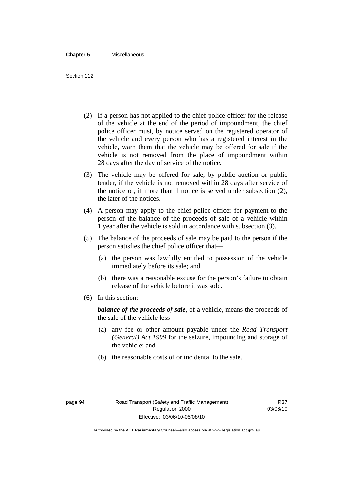#### **Chapter 5** Miscellaneous

Section 112

- (2) If a person has not applied to the chief police officer for the release of the vehicle at the end of the period of impoundment, the chief police officer must, by notice served on the registered operator of the vehicle and every person who has a registered interest in the vehicle, warn them that the vehicle may be offered for sale if the vehicle is not removed from the place of impoundment within 28 days after the day of service of the notice.
- (3) The vehicle may be offered for sale, by public auction or public tender, if the vehicle is not removed within 28 days after service of the notice or, if more than 1 notice is served under subsection (2), the later of the notices.
- (4) A person may apply to the chief police officer for payment to the person of the balance of the proceeds of sale of a vehicle within 1 year after the vehicle is sold in accordance with subsection (3).
- (5) The balance of the proceeds of sale may be paid to the person if the person satisfies the chief police officer that—
	- (a) the person was lawfully entitled to possession of the vehicle immediately before its sale; and
	- (b) there was a reasonable excuse for the person's failure to obtain release of the vehicle before it was sold.
- (6) In this section:

*balance of the proceeds of sale*, of a vehicle, means the proceeds of the sale of the vehicle less—

- (a) any fee or other amount payable under the *Road Transport (General) Act 1999* for the seizure, impounding and storage of the vehicle; and
- (b) the reasonable costs of or incidental to the sale.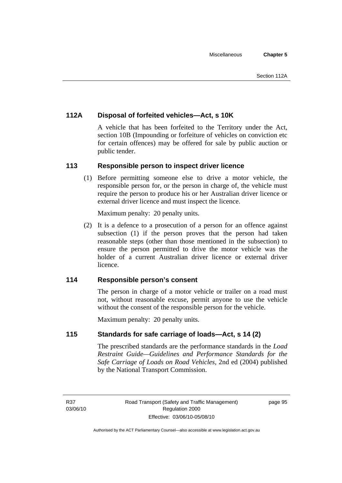## **112A Disposal of forfeited vehicles—Act, s 10K**

A vehicle that has been forfeited to the Territory under the Act, section 10B (Impounding or forfeiture of vehicles on conviction etc for certain offences) may be offered for sale by public auction or public tender.

## **113 Responsible person to inspect driver licence**

 (1) Before permitting someone else to drive a motor vehicle, the responsible person for, or the person in charge of, the vehicle must require the person to produce his or her Australian driver licence or external driver licence and must inspect the licence.

Maximum penalty: 20 penalty units.

 (2) It is a defence to a prosecution of a person for an offence against subsection (1) if the person proves that the person had taken reasonable steps (other than those mentioned in the subsection) to ensure the person permitted to drive the motor vehicle was the holder of a current Australian driver licence or external driver licence.

## **114 Responsible person's consent**

The person in charge of a motor vehicle or trailer on a road must not, without reasonable excuse, permit anyone to use the vehicle without the consent of the responsible person for the vehicle.

Maximum penalty: 20 penalty units.

## **115 Standards for safe carriage of loads—Act, s 14 (2)**

The prescribed standards are the performance standards in the *Load Restraint Guide—Guidelines and Performance Standards for the Safe Carriage of Loads on Road Vehicles*, 2nd ed (2004) published by the National Transport Commission.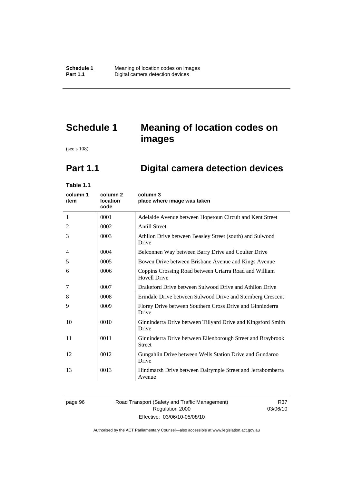# **Schedule 1 Meaning of location codes on images**

(see s 108)

# **Part 1.1 Digital camera detection devices**

**Table 1.1** 

| column 1<br>item | column 2<br>location<br>code | column 3<br>place where image was taken                                       |
|------------------|------------------------------|-------------------------------------------------------------------------------|
| 1                | 0001                         | Adelaide Avenue between Hopetoun Circuit and Kent Street                      |
| 2                | 0002                         | <b>Antill Street</b>                                                          |
| 3                | 0003                         | Athllon Drive between Beasley Street (south) and Sulwood<br>Drive             |
| 4                | 0004                         | Belconnen Way between Barry Drive and Coulter Drive                           |
| 5                | 0005                         | Bowen Drive between Brisbane Avenue and Kings Avenue                          |
| 6                | 0006                         | Coppins Crossing Road between Uriarra Road and William<br><b>Hovell Drive</b> |
| 7                | 0007                         | Drakeford Drive between Sulwood Drive and Athllon Drive                       |
| 8                | 0008                         | Erindale Drive between Sulwood Drive and Sternberg Crescent                   |
| 9                | 0009                         | Florey Drive between Southern Cross Drive and Ginninderra<br>Drive            |
| 10               | 0010                         | Ginninderra Drive between Tillyard Drive and Kingsford Smith<br>Drive         |
| 11               | 0011                         | Ginninderra Drive between Ellenborough Street and Braybrook<br><b>Street</b>  |
| 12               | 0012                         | Gungahlin Drive between Wells Station Drive and Gundaroo<br>Drive             |
| 13               | 0013                         | Hindmarsh Drive between Dalrymple Street and Jerrabomberra<br>Avenue          |

#### page 96 Road Transport (Safety and Traffic Management) Regulation 2000 Effective: 03/06/10-05/08/10

R37 03/06/10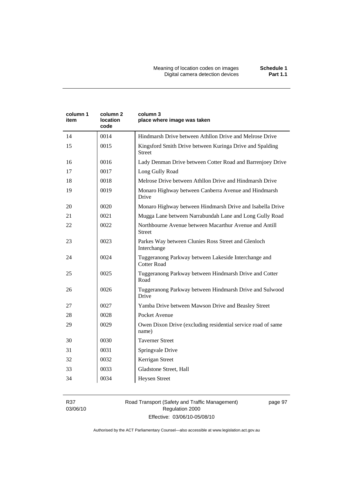| column 1<br>item | column 2<br>location<br>code | column 3<br>place where image was taken                                    |
|------------------|------------------------------|----------------------------------------------------------------------------|
| 14               | 0014                         | Hindmarsh Drive between Athllon Drive and Melrose Drive                    |
| 15               | 0015                         | Kingsford Smith Drive between Kuringa Drive and Spalding<br><b>Street</b>  |
| 16               | 0016                         | Lady Denman Drive between Cotter Road and Barrenjoey Drive                 |
| 17               | 0017                         | Long Gully Road                                                            |
| 18               | 0018                         | Melrose Drive between Athllon Drive and Hindmarsh Drive                    |
| 19               | 0019                         | Monaro Highway between Canberra Avenue and Hindmarsh<br>Drive              |
| 20               | 0020                         | Monaro Highway between Hindmarsh Drive and Isabella Drive                  |
| 21               | 0021                         | Mugga Lane between Narrabundah Lane and Long Gully Road                    |
| 22               | 0022                         | Northbourne Avenue between Macarthur Avenue and Antill<br><b>Street</b>    |
| 23               | 0023                         | Parkes Way between Clunies Ross Street and Glenloch<br>Interchange         |
| 24               | 0024                         | Tuggeranong Parkway between Lakeside Interchange and<br><b>Cotter Road</b> |
| 25               | 0025                         | Tuggeranong Parkway between Hindmarsh Drive and Cotter<br>Road             |
| 26               | 0026                         | Tuggeranong Parkway between Hindmarsh Drive and Sulwood<br>Drive           |
| 27               | 0027                         | Yamba Drive between Mawson Drive and Beasley Street                        |
| 28               | 0028                         | Pocket Avenue                                                              |
| 29               | 0029                         | Owen Dixon Drive (excluding residential service road of same<br>name)      |
| 30               | 0030                         | <b>Taverner Street</b>                                                     |
| 31               | 0031                         | Springvale Drive                                                           |
| 32               | 0032                         | Kerrigan Street                                                            |
| 33               | 0033                         | Gladstone Street, Hall                                                     |
| 34               | 0034                         | <b>Heysen Street</b>                                                       |

R37 03/06/10

#### Road Transport (Safety and Traffic Management) Regulation 2000 Effective: 03/06/10-05/08/10

page 97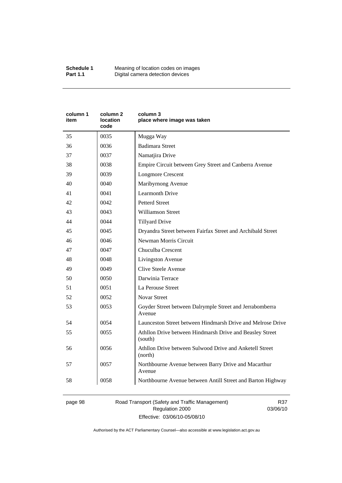| column 1<br>item | column 2<br><b>location</b><br>code | column 3<br>place where image was taken                             |
|------------------|-------------------------------------|---------------------------------------------------------------------|
| 35               | 0035                                | Mugga Way                                                           |
| 36               | 0036                                | <b>Badimara Street</b>                                              |
| 37               | 0037                                | Namatjira Drive                                                     |
| 38               | 0038                                | Empire Circuit between Grey Street and Canberra Avenue              |
| 39               | 0039                                | <b>Longmore Crescent</b>                                            |
| 40               | 0040                                | Maribyrnong Avenue                                                  |
| 41               | 0041                                | <b>Learmonth Drive</b>                                              |
| 42               | 0042                                | <b>Petterd Street</b>                                               |
| 43               | 0043                                | <b>Williamson Street</b>                                            |
| 44               | 0044                                | <b>Tillyard Drive</b>                                               |
| 45               | 0045                                | Dryandra Street between Fairfax Street and Archibald Street         |
| 46               | 0046                                | Newman Morris Circuit                                               |
| 47               | 0047                                | Chuculba Crescent                                                   |
| 48               | 0048                                | Livingston Avenue                                                   |
| 49               | 0049                                | Clive Steele Avenue                                                 |
| 50               | 0050                                | Darwinia Terrace                                                    |
| 51               | 0051                                | La Perouse Street                                                   |
| 52               | 0052                                | <b>Novar Street</b>                                                 |
| 53               | 0053                                | Goyder Street between Dalrymple Street and Jerrabomberra<br>Avenue  |
| 54               | 0054                                | Launceston Street between Hindmarsh Drive and Melrose Drive         |
| 55               | 0055                                | Athllon Drive between Hindmarsh Drive and Beasley Street<br>(south) |
| 56               | 0056                                | Athllon Drive between Sulwood Drive and Anketell Street<br>(north)  |
| 57               | 0057                                | Northbourne Avenue between Barry Drive and Macarthur<br>Avenue      |
| 58               | 0058                                | Northbourne Avenue between Antill Street and Barton Highway         |

page 98 Road Transport (Safety and Traffic Management) Regulation 2000 Effective: 03/06/10-05/08/10

R37 03/06/10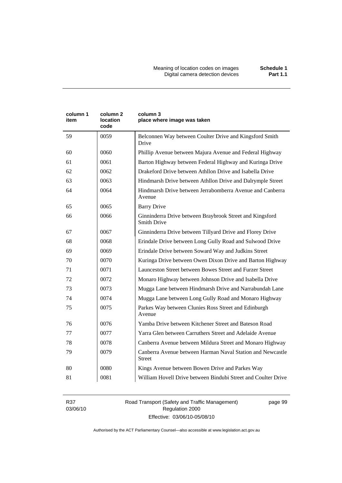| column 1<br>item | column <sub>2</sub><br><b>location</b><br>code | column 3<br>place where image was taken                                        |
|------------------|------------------------------------------------|--------------------------------------------------------------------------------|
| 59               | 0059                                           | Belconnen Way between Coulter Drive and Kingsford Smith<br>Drive               |
| 60               | 0060                                           | Phillip Avenue between Majura Avenue and Federal Highway                       |
| 61               | 0061                                           | Barton Highway between Federal Highway and Kuringa Drive                       |
| 62               | 0062                                           | Drakeford Drive between Athllon Drive and Isabella Drive                       |
| 63               | 0063                                           | Hindmarsh Drive between Athllon Drive and Dalrymple Street                     |
| 64               | 0064                                           | Hindmarsh Drive between Jerrabomberra Avenue and Canberra<br>Avenue            |
| 65               | 0065                                           | <b>Barry Drive</b>                                                             |
| 66               | 0066                                           | Ginninderra Drive between Braybrook Street and Kingsford<br><b>Smith Drive</b> |
| 67               | 0067                                           | Ginninderra Drive between Tillyard Drive and Florey Drive                      |
| 68               | 0068                                           | Erindale Drive between Long Gully Road and Sulwood Drive                       |
| 69               | 0069                                           | Erindale Drive between Soward Way and Judkins Street                           |
| 70               | 0070                                           | Kuringa Drive between Owen Dixon Drive and Barton Highway                      |
| 71               | 0071                                           | Launceston Street between Bowes Street and Furzer Street                       |
| 72               | 0072                                           | Monaro Highway between Johnson Drive and Isabella Drive                        |
| 73               | 0073                                           | Mugga Lane between Hindmarsh Drive and Narrabundah Lane                        |
| 74               | 0074                                           | Mugga Lane between Long Gully Road and Monaro Highway                          |
| 75               | 0075                                           | Parkes Way between Clunies Ross Street and Edinburgh<br>Avenue                 |
| 76               | 0076                                           | Yamba Drive between Kitchener Street and Bateson Road                          |
| 77               | 0077                                           | Yarra Glen between Carruthers Street and Adelaide Avenue                       |
| 78               | 0078                                           | Canberra Avenue between Mildura Street and Monaro Highway                      |
| 79               | 0079                                           | Canberra Avenue between Harman Naval Station and Newcastle<br><b>Street</b>    |
| 80               | 0080                                           | Kings Avenue between Bowen Drive and Parkes Way                                |
| 81               | 0081                                           | William Hovell Drive between Bindubi Street and Coulter Drive                  |

R37 03/06/10 Road Transport (Safety and Traffic Management) Regulation 2000 Effective: 03/06/10-05/08/10

page 99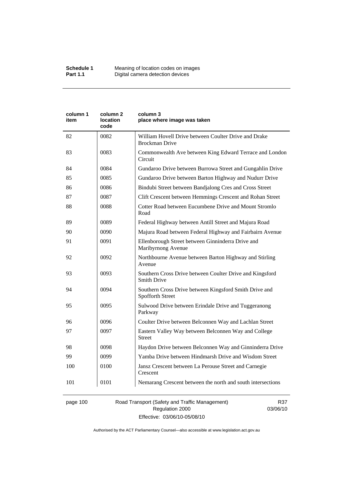| column 1<br>item | column 2<br>location<br>code | column 3<br>place where image was taken                                        |
|------------------|------------------------------|--------------------------------------------------------------------------------|
| 82               | 0082                         | William Hovell Drive between Coulter Drive and Drake<br><b>Brockman Drive</b>  |
| 83               | 0083                         | Commonwealth Ave between King Edward Terrace and London<br>Circuit             |
| 84               | 0084                         | Gundaroo Drive between Burrowa Street and Gungahlin Drive                      |
| 85               | 0085                         | Gundaroo Drive between Barton Highway and Nudurr Drive                         |
| 86               | 0086                         | Bindubi Street between Bandjalong Cres and Cross Street                        |
| 87               | 0087                         | Clift Crescent between Hemmings Crescent and Rohan Street                      |
| 88               | 0088                         | Cotter Road between Eucumbene Drive and Mount Stromlo<br>Road                  |
| 89               | 0089                         | Federal Highway between Antill Street and Majura Road                          |
| 90               | 0090                         | Majura Road between Federal Highway and Fairbairn Avenue                       |
| 91               | 0091                         | Ellenborough Street between Ginninderra Drive and<br>Maribyrnong Avenue        |
| 92               | 0092                         | Northbourne Avenue between Barton Highway and Stirling<br>Avenue               |
| 93               | 0093                         | Southern Cross Drive between Coulter Drive and Kingsford<br><b>Smith Drive</b> |
| 94               | 0094                         | Southern Cross Drive between Kingsford Smith Drive and<br>Spofforth Street     |
| 95               | 0095                         | Sulwood Drive between Erindale Drive and Tuggeranong<br>Parkway                |
| 96               | 0096                         | Coulter Drive between Belconnen Way and Lachlan Street                         |
| 97               | 0097                         | Eastern Valley Way between Belconnen Way and College<br><b>Street</b>          |
| 98               | 0098                         | Haydon Drive between Belconnen Way and Ginninderra Drive                       |
| 99               | 0099                         | Yamba Drive between Hindmarsh Drive and Wisdom Street                          |
| 100              | 0100                         | Jansz Crescent between La Perouse Street and Carnegie<br>Crescent              |
| 101              | 0101                         | Nemarang Crescent between the north and south intersections                    |

# page 100 Road Transport (Safety and Traffic Management) Regulation 2000 Effective: 03/06/10-05/08/10

R37 03/06/10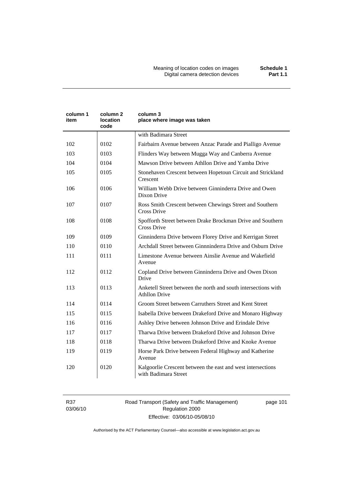Meaning of location codes on images **Schedule 1**  Digital camera detection devices **Part 1.1** 

| column 1<br>item | column 2<br>location<br>code | column 3<br>place where image was taken                                                |
|------------------|------------------------------|----------------------------------------------------------------------------------------|
|                  |                              | with Badimara Street                                                                   |
| 102              | 0102                         | Fairbairn Avenue between Anzac Parade and Pialligo Avenue                              |
| 103              | 0103                         | Flinders Way between Mugga Way and Canberra Avenue                                     |
| 104              | 0104                         | Mawson Drive between Athllon Drive and Yamba Drive                                     |
| 105              | 0105                         | Stonehaven Crescent between Hopetoun Circuit and Strickland<br>Crescent                |
| 106              | 0106                         | William Webb Drive between Ginninderra Drive and Owen<br>Dixon Drive                   |
| 107              | 0107                         | Ross Smith Crescent between Chewings Street and Southern<br><b>Cross Drive</b>         |
| 108              | 0108                         | Spofforth Street between Drake Brockman Drive and Southern<br><b>Cross Drive</b>       |
| 109              | 0109                         | Ginninderra Drive between Florey Drive and Kerrigan Street                             |
| 110              | 0110                         | Archdall Street between Ginnninderra Drive and Osburn Drive                            |
| 111              | 0111                         | Limestone Avenue between Ainslie Avenue and Wakefield<br>Avenue                        |
| 112              | 0112                         | Copland Drive between Ginninderra Drive and Owen Dixon<br>Drive                        |
| 113              | 0113                         | Anketell Street between the north and south intersections with<br><b>Athllon Drive</b> |
| 114              | 0114                         | Groom Street between Carruthers Street and Kent Street                                 |
| 115              | 0115                         | Isabella Drive between Drakeford Drive and Monaro Highway                              |
| 116              | 0116                         | Ashley Drive between Johnson Drive and Erindale Drive                                  |
| 117              | 0117                         | Tharwa Drive between Drakeford Drive and Johnson Drive                                 |
| 118              | 0118                         | Tharwa Drive between Drakeford Drive and Knoke Avenue                                  |
| 119              | 0119                         | Horse Park Drive between Federal Highway and Katherine<br>Avenue                       |
| 120              | 0120                         | Kalgoorlie Crescent between the east and west intersections<br>with Badimara Street    |

R37 03/06/10 Road Transport (Safety and Traffic Management) Regulation 2000 Effective: 03/06/10-05/08/10

page 101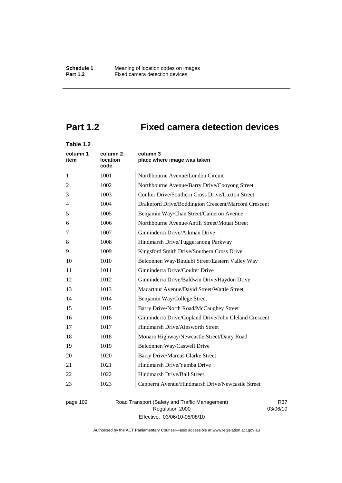# **Part 1.2 Fixed camera detection devices**

# **Table 1.2**

| column 1<br>item | column 2<br><b>location</b><br>code | column 3<br>place where image was taken               |
|------------------|-------------------------------------|-------------------------------------------------------|
| 1                | 1001                                | Northbourne Avenue/London Circuit                     |
| 2                | 1002                                | Northbourne Avenue/Barry Drive/Cooyong Street         |
| 3                | 1003                                | Coulter Drive/Southern Cross Drive/Luxton Street      |
| $\overline{4}$   | 1004                                | Drakeford Drive/Boddington Crescent/Marconi Crescent  |
| 5                | 1005                                | Benjamin Way/Chan Street/Cameron Avenue               |
| 6                | 1006                                | Northbourne Avenue/Antill Street/Mouat Street         |
| 7                | 1007                                | Ginninderra Drive/Aikman Drive                        |
| 8                | 1008                                | Hindmarsh Drive/Tuggeranong Parkway                   |
| 9                | 1009                                | Kingsford Smith Drive/Southern Cross Drive            |
| 10               | 1010                                | Belconnen Way/Bindubi Street/Eastern Valley Way       |
| 11               | 1011                                | Ginninderra Drive/Coulter Drive                       |
| 12               | 1012                                | Ginninderra Drive/Baldwin Drive/Haydon Drive          |
| 13               | 1013                                | Macarthur Avenue/David Street/Wattle Street           |
| 14               | 1014                                | Benjamin Way/College Street                           |
| 15               | 1015                                | Barry Drive/North Road/McCaughey Street               |
| 16               | 1016                                | Ginninderra Drive/Copland Drive/John Cleland Crescent |
| 17               | 1017                                | Hindmarsh Drive/Ainsworth Street                      |
| 18               | 1018                                | Monaro Highway/Newcastle Street/Dairy Road            |
| 19               | 1019                                | Belconnen Way/Caswell Drive                           |
| 20               | 1020                                | <b>Barry Drive/Marcus Clarke Street</b>               |
| 21               | 1021                                | Hindmarsh Drive/Yamba Drive                           |
| 22               | 1022                                | Hindmarsh Drive/Ball Street                           |
| 23               | 1023                                | Canberra Avenue/Hindmarsh Drive/Newcastle Street      |

page 102 Road Transport (Safety and Traffic Management) Regulation 2000 Effective: 03/06/10-05/08/10

R37 03/06/10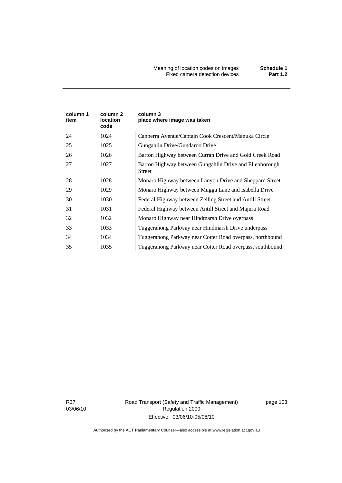| column 1<br>item | column 2<br>location<br>code | column 3<br>place where image was taken                                  |
|------------------|------------------------------|--------------------------------------------------------------------------|
| 24               | 1024                         | Canberra Avenue/Captain Cook Crescent/Manuka Circle                      |
| 25               | 1025                         | Gungahlin Drive/Gundaroo Drive                                           |
| 26               | 1026                         | Barton Highway between Curran Drive and Gold Creek Road                  |
| 27               | 1027                         | Barton Highway between Gungahlin Drive and Ellenborough<br><b>Street</b> |
| 28               | 1028                         | Monaro Highway between Lanyon Drive and Sheppard Street                  |
| 29               | 1029                         | Monaro Highway between Mugga Lane and Isabella Drive                     |
| 30               | 1030                         | Federal Highway between Zelling Street and Antill Street                 |
| 31               | 1031                         | Federal Highway between Antill Street and Majura Road                    |
| 32               | 1032                         | Monaro Highway near Hindmarsh Drive overpass                             |
| 33               | 1033                         | Tuggeranong Parkway near Hindmarsh Drive underpass                       |
| 34               | 1034                         | Tuggeranong Parkway near Cotter Road overpass, northbound                |
| 35               | 1035                         | Tuggeranong Parkway near Cotter Road overpass, southbound                |

R37 03/06/10 Road Transport (Safety and Traffic Management) Regulation 2000 Effective: 03/06/10-05/08/10

page 103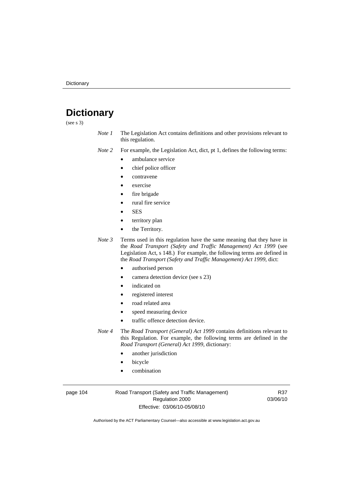# **Dictionary**

(see s 3)

*Note 1* The Legislation Act contains definitions and other provisions relevant to this regulation.

*Note 2* For example, the Legislation Act, dict, pt 1, defines the following terms:

- ambulance service
	- chief police officer
- contravene
- exercise
- fire brigade
- rural fire service
- SES
- territory plan
- the Territory.
- *Note 3* Terms used in this regulation have the same meaning that they have in the *Road Transport (Safety and Traffic Management) Act 1999* (see Legislation Act, s 148.) For example, the following terms are defined in the *Road Transport (Safety and Traffic Management) Act 1999*, dict:
	- authorised person
	- camera detection device (see s 23)
	- indicated on
	- registered interest
	- road related area
	- speed measuring device
	- traffic offence detection device.

*Note 4* The *Road Transport (General) Act 1999* contains definitions relevant to this Regulation. For example, the following terms are defined in the *Road Transport (General) Act 1999*, dictionary:

- another jurisdiction
- **bicycle**
- combination

page 104 Road Transport (Safety and Traffic Management) Regulation 2000 Effective: 03/06/10-05/08/10

R37 03/06/10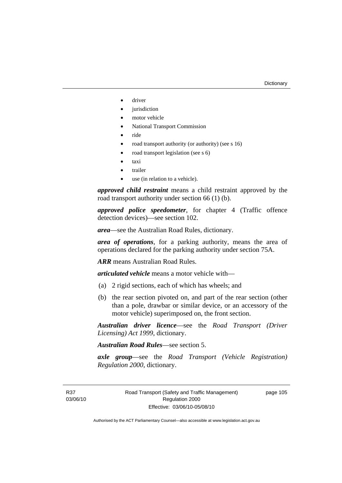- driver
- jurisdiction
- motor vehicle
- National Transport Commission
- ride
- road transport authority (or authority) (see s 16)
- road transport legislation (see s 6)
- taxi
- trailer
- use (in relation to a vehicle).

*approved child restraint* means a child restraint approved by the road transport authority under section 66 (1) (b).

*approved police speedometer*, for chapter 4 (Traffic offence detection devices)—see section 102.

*area*—see the Australian Road Rules, dictionary.

*area of operations*, for a parking authority, means the area of operations declared for the parking authority under section 75A.

*ARR* means Australian Road Rules.

*articulated vehicle* means a motor vehicle with—

- (a) 2 rigid sections, each of which has wheels; and
- (b) the rear section pivoted on, and part of the rear section (other than a pole, drawbar or similar device, or an accessory of the motor vehicle) superimposed on, the front section.

*Australian driver licence*—see the *Road Transport (Driver Licensing) Act 1999*, dictionary.

*Australian Road Rules*—see section 5.

*axle group*—see the *Road Transport (Vehicle Registration) Regulation 2000*, dictionary.

R37 03/06/10 page 105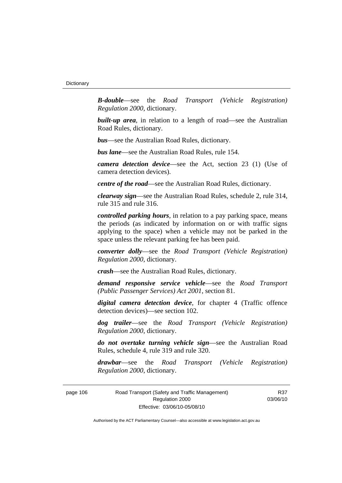*B-double*—see the *Road Transport (Vehicle Registration) Regulation 2000*, dictionary.

**built-up area**, in relation to a length of road—see the Australian Road Rules, dictionary.

*bus*—see the Australian Road Rules, dictionary.

*bus lane*—see the Australian Road Rules, rule 154.

*camera detection device*—see the Act, section 23 (1) (Use of camera detection devices).

*centre of the road*—see the Australian Road Rules, dictionary.

*clearway sign*—see the Australian Road Rules, schedule 2, rule 314, rule 315 and rule 316.

*controlled parking hours*, in relation to a pay parking space, means the periods (as indicated by information on or with traffic signs applying to the space) when a vehicle may not be parked in the space unless the relevant parking fee has been paid.

*converter dolly*—see the *Road Transport (Vehicle Registration) Regulation 2000*, dictionary.

*crash*—see the Australian Road Rules, dictionary.

*demand responsive service vehicle*—see the *Road Transport (Public Passenger Services) Act 2001*, section 81.

*digital camera detection device*, for chapter 4 (Traffic offence detection devices)—see section 102.

*dog trailer*—see the *Road Transport (Vehicle Registration) Regulation 2000*, dictionary.

*do not overtake turning vehicle sign*—see the Australian Road Rules, schedule 4, rule 319 and rule 320.

*drawbar*—see the *Road Transport (Vehicle Registration) Regulation 2000*, dictionary.

page 106 Road Transport (Safety and Traffic Management) Regulation 2000 Effective: 03/06/10-05/08/10

R37 03/06/10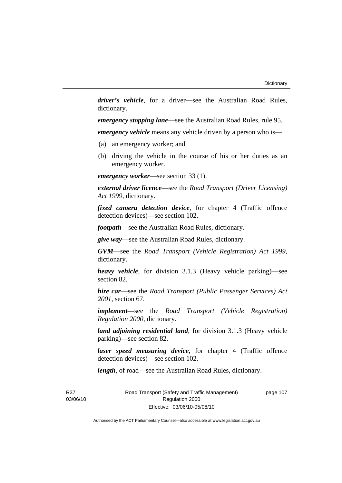*driver's vehicle*, for a driver*—*see the Australian Road Rules, dictionary.

*emergency stopping lane*—see the Australian Road Rules, rule 95.

*emergency vehicle* means any vehicle driven by a person who is—

- (a) an emergency worker; and
- (b) driving the vehicle in the course of his or her duties as an emergency worker.

*emergency worker*—see section 33 (1).

*external driver licence*—see the *Road Transport (Driver Licensing) Act 1999*, dictionary.

*fixed camera detection device*, for chapter 4 (Traffic offence detection devices)—see section 102.

*footpath*—see the Australian Road Rules, dictionary.

*give way*—see the Australian Road Rules, dictionary.

*GVM*—see the *Road Transport (Vehicle Registration) Act 1999*, dictionary.

*heavy vehicle*, for division 3.1.3 (Heavy vehicle parking)—see section 82.

*hire car*—see the *Road Transport (Public Passenger Services) Act 2001*, section 67.

*implement*—see the *Road Transport (Vehicle Registration) Regulation 2000*, dictionary.

*land adjoining residential land*, for division 3.1.3 (Heavy vehicle parking)—see section 82.

*laser speed measuring device*, for chapter 4 (Traffic offence detection devices)—see section 102.

*length*, of road—see the Australian Road Rules, dictionary.

R37 03/06/10 Road Transport (Safety and Traffic Management) Regulation 2000 Effective: 03/06/10-05/08/10

page 107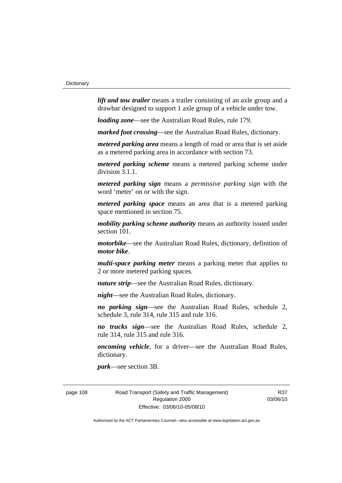*lift and tow trailer* means a trailer consisting of an axle group and a drawbar designed to support 1 axle group of a vehicle under tow.

*loading zone*—see the Australian Road Rules, rule 179.

*marked foot crossing*—see the Australian Road Rules, dictionary.

*metered parking area* means a length of road or area that is set aside as a metered parking area in accordance with section 73.

*metered parking scheme* means a metered parking scheme under division 3.1.1.

*metered parking sign* means a *permissive parking sign* with the word 'meter' on or with the sign.

*metered parking space* means an area that is a metered parking space mentioned in section 75.

*mobility parking scheme authority* means an authority issued under section 101.

*motorbike*—see the Australian Road Rules, dictionary, definition of *motor bike*.

*multi-space parking meter* means a parking meter that applies to 2 or more metered parking spaces.

*nature strip*—see the Australian Road Rules, dictionary.

*night*—see the Australian Road Rules, dictionary.

*no parking sign*—see the Australian Road Rules, schedule 2, schedule 3, rule 314, rule 315 and rule 316.

*no trucks sign*—see the Australian Road Rules, schedule 2, rule 314, rule 315 and rule 316.

*oncoming vehicle*, for a driver—see the Australian Road Rules, dictionary.

*park*—see section 3B.

page 108 Road Transport (Safety and Traffic Management) Regulation 2000 Effective: 03/06/10-05/08/10

R37 03/06/10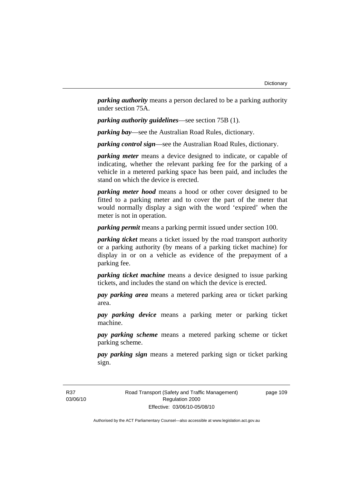*parking authority* means a person declared to be a parking authority under section 75A.

*parking authority guidelines*—see section 75B (1).

*parking bay*—see the Australian Road Rules, dictionary.

*parking control sign*—see the Australian Road Rules, dictionary.

*parking meter* means a device designed to indicate, or capable of indicating, whether the relevant parking fee for the parking of a vehicle in a metered parking space has been paid, and includes the stand on which the device is erected.

*parking meter hood* means a hood or other cover designed to be fitted to a parking meter and to cover the part of the meter that would normally display a sign with the word 'expired' when the meter is not in operation.

*parking permit* means a parking permit issued under section 100.

*parking ticket* means a ticket issued by the road transport authority or a parking authority (by means of a parking ticket machine) for display in or on a vehicle as evidence of the prepayment of a parking fee.

*parking ticket machine* means a device designed to issue parking tickets, and includes the stand on which the device is erected.

*pay parking area* means a metered parking area or ticket parking area.

*pay parking device* means a parking meter or parking ticket machine.

*pay parking scheme* means a metered parking scheme or ticket parking scheme.

*pay parking sign* means a metered parking sign or ticket parking sign.

R37 03/06/10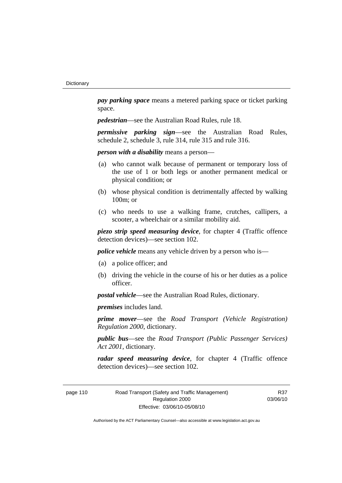*pay parking space* means a metered parking space or ticket parking space.

*pedestrian*—see the Australian Road Rules, rule 18.

*permissive parking sign*—see the Australian Road Rules, schedule 2, schedule 3, rule 314, rule 315 and rule 316.

*person with a disability* means a person—

- (a) who cannot walk because of permanent or temporary loss of the use of 1 or both legs or another permanent medical or physical condition; or
- (b) whose physical condition is detrimentally affected by walking 100m; or
- (c) who needs to use a walking frame, crutches, callipers, a scooter, a wheelchair or a similar mobility aid.

*piezo strip speed measuring device*, for chapter 4 (Traffic offence detection devices)—see section 102.

*police vehicle* means any vehicle driven by a person who is—

- (a) a police officer; and
- (b) driving the vehicle in the course of his or her duties as a police officer.

*postal vehicle*—see the Australian Road Rules, dictionary.

*premises* includes land.

*prime mover*—see the *Road Transport (Vehicle Registration) Regulation 2000*, dictionary.

*public bus*—see the *Road Transport (Public Passenger Services) Act 2001*, dictionary.

*radar speed measuring device*, for chapter 4 (Traffic offence detection devices)—see section 102.

page 110 Road Transport (Safety and Traffic Management) Regulation 2000 Effective: 03/06/10-05/08/10

R37 03/06/10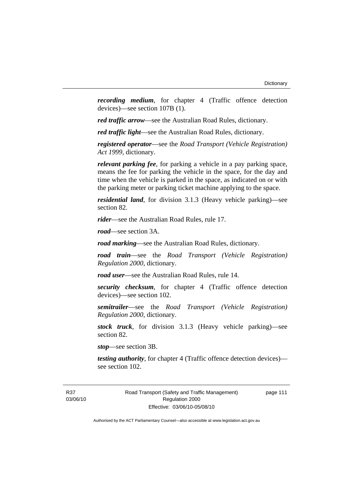*recording medium*, for chapter 4 (Traffic offence detection devices)—see section 107B (1).

*red traffic arrow*—see the Australian Road Rules, dictionary.

*red traffic light*—see the Australian Road Rules, dictionary.

*registered operator*—see the *Road Transport (Vehicle Registration) Act 1999*, dictionary.

*relevant parking fee*, for parking a vehicle in a pay parking space, means the fee for parking the vehicle in the space, for the day and time when the vehicle is parked in the space, as indicated on or with the parking meter or parking ticket machine applying to the space.

*residential land*, for division 3.1.3 (Heavy vehicle parking)—see section 82.

*rider*—see the Australian Road Rules, rule 17.

*road*—see section 3A.

*road marking*—see the Australian Road Rules, dictionary.

*road train*—see the *Road Transport (Vehicle Registration) Regulation 2000*, dictionary.

*road user*—see the Australian Road Rules, rule 14.

*security checksum*, for chapter 4 (Traffic offence detection devices)—see section 102.

*semitrailer*—see the *Road Transport (Vehicle Registration) Regulation 2000*, dictionary.

*stock truck*, for division 3.1.3 (Heavy vehicle parking)—see section 82.

*stop*—see section 3B.

*testing authority*, for chapter 4 (Traffic offence detection devices) see section 102.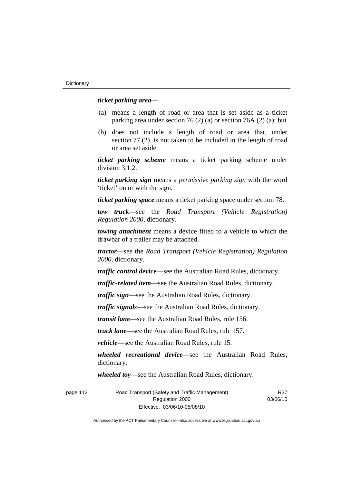#### *ticket parking area*—

- (a) means a length of road or area that is set aside as a ticket parking area under section 76 (2) (a) or section 76A (2) (a); but
- (b) does not include a length of road or area that, under section 77 (2), is not taken to be included in the length of road or area set aside.

*ticket parking scheme* means a ticket parking scheme under division 3.1.2.

*ticket parking sign* means a *permissive parking sign* with the word 'ticket' on or with the sign.

*ticket parking space* means a ticket parking space under section 78.

*tow truck*—see the *Road Transport (Vehicle Registration) Regulation 2000*, dictionary.

*towing attachment* means a device fitted to a vehicle to which the drawbar of a trailer may be attached.

*tractor*—see the *Road Transport (Vehicle Registration) Regulation 2000*, dictionary.

*traffic control device*—see the Australian Road Rules, dictionary.

*traffic-related item*—see the Australian Road Rules, dictionary.

*traffic sign*—see the Australian Road Rules, dictionary.

*traffic signals*—see the Australian Road Rules, dictionary.

*transit lane*—see the Australian Road Rules, rule 156.

*truck lane*—see the Australian Road Rules, rule 157.

*vehicle*—see the Australian Road Rules, rule 15.

*wheeled recreational device*—see the Australian Road Rules, dictionary.

*wheeled toy*—see the Australian Road Rules, dictionary.

page 112 Road Transport (Safety and Traffic Management) Regulation 2000 Effective: 03/06/10-05/08/10 R37 03/06/10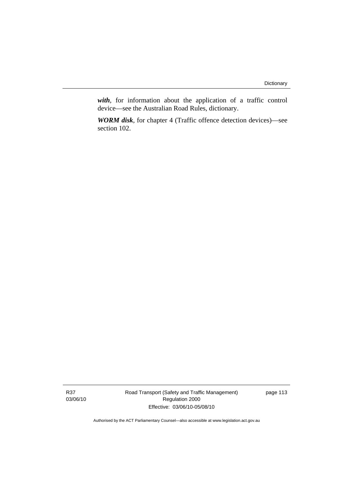*with*, for information about the application of a traffic control device—see the Australian Road Rules, dictionary.

*WORM disk*, for chapter 4 (Traffic offence detection devices)—see section 102.

Road Transport (Safety and Traffic Management) Regulation 2000 Effective: 03/06/10-05/08/10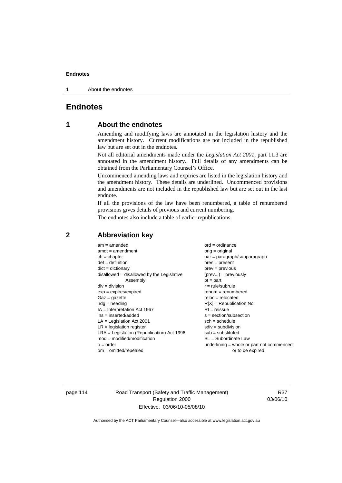1 About the endnotes

# **Endnotes**

# **1 About the endnotes**

Amending and modifying laws are annotated in the legislation history and the amendment history. Current modifications are not included in the republished law but are set out in the endnotes.

Not all editorial amendments made under the *Legislation Act 2001*, part 11.3 are annotated in the amendment history. Full details of any amendments can be obtained from the Parliamentary Counsel's Office.

Uncommenced amending laws and expiries are listed in the legislation history and the amendment history. These details are underlined. Uncommenced provisions and amendments are not included in the republished law but are set out in the last endnote.

If all the provisions of the law have been renumbered, a table of renumbered provisions gives details of previous and current numbering.

The endnotes also include a table of earlier republications.

| $am = amended$                               | $ord = ordinance$                         |
|----------------------------------------------|-------------------------------------------|
| $amdt = amendment$                           | $orig = original$                         |
| $ch = chapter$                               | par = paragraph/subparagraph              |
| $def = definition$                           | $pres = present$                          |
| $dict = dictionary$                          | $prev = previous$                         |
| $disallowed = disallowed by the Legislative$ | $(\text{prev}) = \text{previously}$       |
| Assembly                                     | $pt = part$                               |
| $div = division$                             | $r = rule/subrule$                        |
| $exp = expires/expired$                      | $renum = renumbered$                      |
| $Gaz = gazette$                              | $reloc = relocated$                       |
| $hdg =$ heading                              | $R[X]$ = Republication No                 |
| $IA = Interpretation Act 1967$               | $RI = reissue$                            |
| $ins = inserted/added$                       | $s = section/subsection$                  |
| $LA =$ Legislation Act 2001                  | $sch = schedule$                          |
| $LR =$ legislation register                  | $sdiv = subdivision$                      |
| $LRA =$ Legislation (Republication) Act 1996 | $sub = substituted$                       |
| $mod = modified/modification$                | $SL = Subordinate$ Law                    |
| $o = order$                                  | underlining = whole or part not commenced |
| $om = omitted/repealed$                      | or to be expired                          |
|                                              |                                           |

# **2 Abbreviation key**

page 114 Road Transport (Safety and Traffic Management) Regulation 2000 Effective: 03/06/10-05/08/10

R37 03/06/10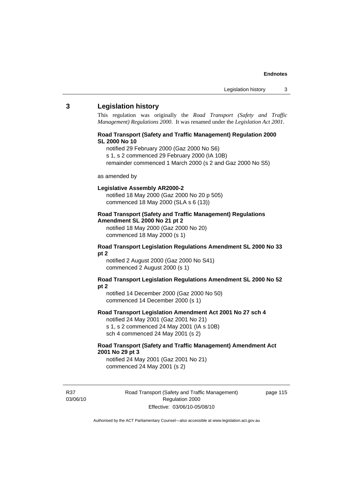### **3 Legislation history**

This regulation was originally the *Road Transport (Safety and Traffic Management) Regulations 2000*. It was renamed under the *Legislation Act 2001*.

#### **Road Transport (Safety and Traffic Management) Regulation 2000 SL 2000 No 10**

- notified 29 February 2000 (Gaz 2000 No S6)
- s 1, s 2 commenced 29 February 2000 (IA 10B)
- remainder commenced 1 March 2000 (s 2 and Gaz 2000 No S5)

#### as amended by

#### **Legislative Assembly AR2000-2**

notified 18 May 2000 (Gaz 2000 No 20 p 505) commenced 18 May 2000 (SLA s 6 (13))

#### **Road Transport (Safety and Traffic Management) Regulations Amendment SL 2000 No 21 pt 2**

notified 18 May 2000 (Gaz 2000 No 20) commenced 18 May 2000 (s 1)

#### **Road Transport Legislation Regulations Amendment SL 2000 No 33 pt 2**

notified 2 August 2000 (Gaz 2000 No S41) commenced 2 August 2000 (s 1)

#### **Road Transport Legislation Regulations Amendment SL 2000 No 52 pt 2**

notified 14 December 2000 (Gaz 2000 No 50) commenced 14 December 2000 (s 1)

#### **Road Transport Legislation Amendment Act 2001 No 27 sch 4**

notified 24 May 2001 (Gaz 2001 No 21) s 1, s 2 commenced 24 May 2001 (IA s 10B) sch 4 commenced 24 May 2001 (s 2)

### **Road Transport (Safety and Traffic Management) Amendment Act 2001 No 29 pt 3**

notified 24 May 2001 (Gaz 2001 No 21) commenced 24 May 2001 (s 2)

R37 03/06/10 Road Transport (Safety and Traffic Management) Regulation 2000 Effective: 03/06/10-05/08/10

page 115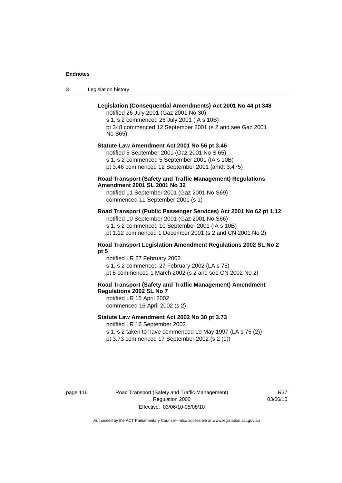3 Legislation history

# **Legislation (Consequential Amendments) Act 2001 No 44 pt 348**

notified 26 July 2001 (Gaz 2001 No 30) s 1, s 2 commenced 26 July 2001 (IA s 10B) pt 348 commenced 12 September 2001 (s 2 and see Gaz 2001 No S65)

# **Statute Law Amendment Act 2001 No 56 pt 3.46**

notified 5 September 2001 (Gaz 2001 No S 65) s 1, s 2 commenced 5 September 2001 (IA s 10B) pt 3.46 commenced 12 September 2001 (amdt 3.475)

### **Road Transport (Safety and Traffic Management) Regulations Amendment 2001 SL 2001 No 32**

notified 11 September 2001 (Gaz 2001 No S69) commenced 11 September 2001 (s 1)

# **Road Transport (Public Passenger Services) Act 2001 No 62 pt 1.12**

notified 10 September 2001 (Gaz 2001 No S66) s 1, s 2 commenced 10 September 2001 (IA s 10B)

pt 1.12 commenced 1 December 2001 (s 2 and CN 2001 No 2)

#### **Road Transport Legislation Amendment Regulations 2002 SL No 2 pt 5**

notified LR 27 February 2002 s 1, s 2 commenced 27 February 2002 (LA s 75) pt 5 commenced 1 March 2002 (s 2 and see CN 2002 No 2)

# **Road Transport (Safety and Traffic Management) Amendment Regulations 2002 SL No 7**

notified LR 15 April 2002 commenced 16 April 2002 (s 2)

#### **Statute Law Amendment Act 2002 No 30 pt 3.73**

notified LR 16 September 2002

s 1, s 2 taken to have commenced 19 May 1997 (LA s 75 (2)) pt 3.73 commenced 17 September 2002 (s 2 (1))

page 116 Road Transport (Safety and Traffic Management) Regulation 2000 Effective: 03/06/10-05/08/10

R37 03/06/10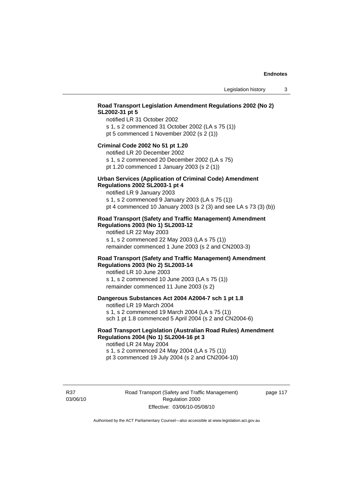# **Road Transport Legislation Amendment Regulations 2002 (No 2) SL2002-31 pt 5**

notified LR 31 October 2002 s 1, s 2 commenced 31 October 2002 (LA s 75 (1)) pt 5 commenced 1 November 2002 (s 2 (1))

#### **Criminal Code 2002 No 51 pt 1.20**

notified LR 20 December 2002

s 1, s 2 commenced 20 December 2002 (LA s 75) pt 1.20 commenced 1 January 2003 (s 2 (1))

# **Urban Services (Application of Criminal Code) Amendment**

**Regulations 2002 SL2003-1 pt 4** 

notified LR 9 January 2003 s 1, s 2 commenced 9 January 2003 (LA s 75 (1)) pt 4 commenced 10 January 2003 (s 2 (3) and see LA s 73 (3) (b))

#### **Road Transport (Safety and Traffic Management) Amendment Regulations 2003 (No 1) SL2003-12**

notified LR 22 May 2003 s 1, s 2 commenced 22 May 2003 (LA s 75 (1)) remainder commenced 1 June 2003 (s 2 and CN2003-3)

#### **Road Transport (Safety and Traffic Management) Amendment Regulations 2003 (No 2) SL2003-14**

notified LR 10 June 2003 s 1, s 2 commenced 10 June 2003 (LA s 75 (1)) remainder commenced 11 June 2003 (s 2)

#### **Dangerous Substances Act 2004 A2004-7 sch 1 pt 1.8**

notified LR 19 March 2004 s 1, s 2 commenced 19 March 2004 (LA s 75 (1)) sch 1 pt 1.8 commenced 5 April 2004 (s 2 and CN2004-6)

# **Road Transport Legislation (Australian Road Rules) Amendment Regulations 2004 (No 1) SL2004-16 pt 3**

notified LR 24 May 2004 s 1, s 2 commenced 24 May 2004 (LA s 75 (1)) pt 3 commenced 19 July 2004 (s 2 and CN2004-10)

R37 03/06/10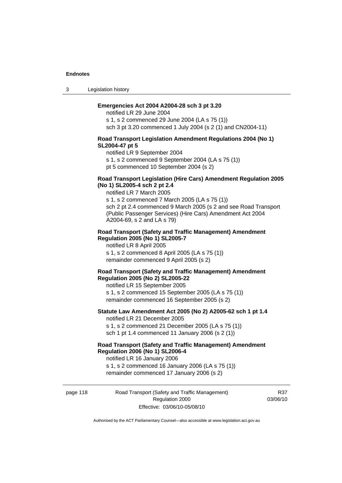3 Legislation history

#### **Emergencies Act 2004 A2004-28 sch 3 pt 3.20**

notified LR 29 June 2004 s 1, s 2 commenced 29 June 2004 (LA s 75 (1)) sch 3 pt 3.20 commenced 1 July 2004 (s 2 (1) and CN2004-11)

#### **Road Transport Legislation Amendment Regulations 2004 (No 1) SL2004-47 pt 5**

notified LR 9 September 2004

s 1, s 2 commenced 9 September 2004 (LA s 75 (1))

pt 5 commenced 10 September 2004 (s 2)

#### **Road Transport Legislation (Hire Cars) Amendment Regulation 2005 (No 1) SL2005-4 sch 2 pt 2.4**

notified LR 7 March 2005

s 1, s 2 commenced 7 March 2005 (LA s 75 (1)) sch 2 pt 2.4 commenced 9 March 2005 (s 2 and see Road Transport (Public Passenger Services) (Hire Cars) Amendment Act 2004 A2004-69, s 2 and LA s 79)

#### **Road Transport (Safety and Traffic Management) Amendment Regulation 2005 (No 1) SL2005-7**

notified LR 8 April 2005 s 1, s 2 commenced 8 April 2005 (LA s 75 (1)) remainder commenced 9 April 2005 (s 2)

#### **Road Transport (Safety and Traffic Management) Amendment Regulation 2005 (No 2) SL2005-22**

notified LR 15 September 2005 s 1, s 2 commenced 15 September 2005 (LA s 75 (1)) remainder commenced 16 September 2005 (s 2)

#### **Statute Law Amendment Act 2005 (No 2) A2005-62 sch 1 pt 1.4**  notified LR 21 December 2005

s 1, s 2 commenced 21 December 2005 (LA s 75 (1)) sch 1 pt 1.4 commenced 11 January 2006 (s 2 (1))

# **Road Transport (Safety and Traffic Management) Amendment Regulation 2006 (No 1) SL2006-4**

notified LR 16 January 2006 s 1, s 2 commenced 16 January 2006 (LA s 75 (1)) remainder commenced 17 January 2006 (s 2)

page 118 Road Transport (Safety and Traffic Management) Regulation 2000 Effective: 03/06/10-05/08/10

R37 03/06/10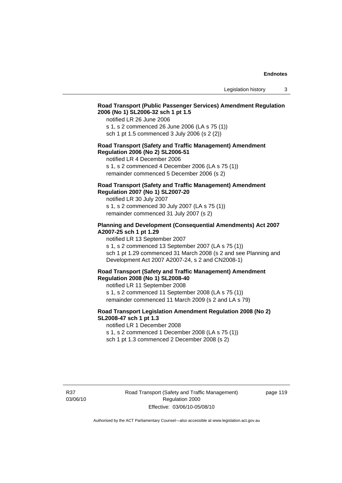# **Road Transport (Public Passenger Services) Amendment Regulation 2006 (No 1) SL2006-32 sch 1 pt 1.5**

notified LR 26 June 2006

s 1, s 2 commenced 26 June 2006 (LA s 75 (1)) sch 1 pt 1.5 commenced 3 July 2006 (s 2 (2))

#### **Road Transport (Safety and Traffic Management) Amendment Regulation 2006 (No 2) SL2006-51**

notified LR 4 December 2006

s 1, s 2 commenced 4 December 2006 (LA s 75 (1)) remainder commenced 5 December 2006 (s 2)

### **Road Transport (Safety and Traffic Management) Amendment Regulation 2007 (No 1) SL2007-20**

notified LR 30 July 2007 s 1, s 2 commenced 30 July 2007 (LA s 75 (1)) remainder commenced 31 July 2007 (s 2)

### **Planning and Development (Consequential Amendments) Act 2007 A2007-25 sch 1 pt 1.29**

notified LR 13 September 2007

s 1, s 2 commenced 13 September 2007 (LA s 75 (1)) sch 1 pt 1.29 commenced 31 March 2008 (s 2 and see Planning and Development Act 2007 A2007-24, s 2 and CN2008-1)

#### **Road Transport (Safety and Traffic Management) Amendment Regulation 2008 (No 1) SL2008-40**

notified LR 11 September 2008 s 1, s 2 commenced 11 September 2008 (LA s 75 (1)) remainder commenced 11 March 2009 (s 2 and LA s 79)

#### **Road Transport Legislation Amendment Regulation 2008 (No 2) SL2008-47 sch 1 pt 1.3**

notified LR 1 December 2008 s 1, s 2 commenced 1 December 2008 (LA s 75 (1)) sch 1 pt 1.3 commenced 2 December 2008 (s 2)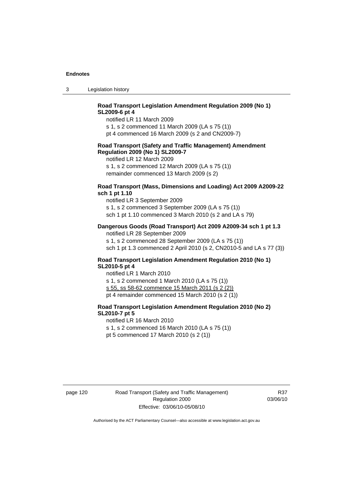3 Legislation history

# **Road Transport Legislation Amendment Regulation 2009 (No 1) SL2009-6 pt 4**

notified LR 11 March 2009

s 1, s 2 commenced 11 March 2009 (LA s 75 (1))

pt 4 commenced 16 March 2009 (s 2 and CN2009-7)

#### **Road Transport (Safety and Traffic Management) Amendment Regulation 2009 (No 1) SL2009-7**

notified LR 12 March 2009

s 1, s 2 commenced 12 March 2009 (LA s 75 (1)) remainder commenced 13 March 2009 (s 2)

#### **Road Transport (Mass, Dimensions and Loading) Act 2009 A2009-22 sch 1 pt 1.10**

notified LR 3 September 2009 s 1, s 2 commenced 3 September 2009 (LA s 75 (1)) sch 1 pt 1.10 commenced 3 March 2010 (s 2 and LA s 79)

#### **Dangerous Goods (Road Transport) Act 2009 A2009-34 sch 1 pt 1.3**

notified LR 28 September 2009 s 1, s 2 commenced 28 September 2009 (LA s 75 (1)) sch 1 pt 1.3 commenced 2 April 2010 (s 2, CN2010-5 and LA s 77 (3))

#### **Road Transport Legislation Amendment Regulation 2010 (No 1) SL2010-5 pt 4**

notified LR 1 March 2010 s 1, s 2 commenced 1 March 2010 (LA s 75 (1)) s 55, ss 58-62 commence 15 March 2011 (s 2 (2)) pt 4 remainder commenced 15 March 2010 (s 2 (1))

# **Road Transport Legislation Amendment Regulation 2010 (No 2) SL2010-7 pt 5**

notified LR 16 March 2010

s 1, s 2 commenced 16 March 2010 (LA s 75 (1))

pt 5 commenced 17 March 2010 (s 2 (1))

page 120 Road Transport (Safety and Traffic Management) Regulation 2000 Effective: 03/06/10-05/08/10

R37 03/06/10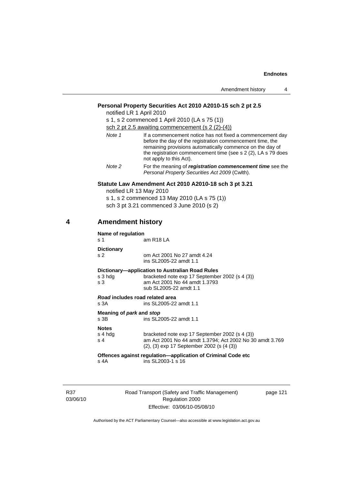|   |                                     | Amendment history<br>4                                                                                                                                                                                                                                                          |
|---|-------------------------------------|---------------------------------------------------------------------------------------------------------------------------------------------------------------------------------------------------------------------------------------------------------------------------------|
|   |                                     | Personal Property Securities Act 2010 A2010-15 sch 2 pt 2.5<br>notified LR 1 April 2010<br>s 1, s 2 commenced 1 April 2010 (LA s 75 (1))<br>sch 2 pt 2.5 awaiting commencement (s $2(2)-(4)$ )                                                                                  |
|   | Note 1                              | If a commencement notice has not fixed a commencement day<br>before the day of the registration commencement time, the<br>remaining provisions automatically commence on the day of<br>the registration commencement time (see s 2 (2), LA s 79 does<br>not apply to this Act). |
|   | Note 2                              | For the meaning of registration commencement time see the<br>Personal Property Securities Act 2009 (Cwlth).                                                                                                                                                                     |
|   |                                     | Statute Law Amendment Act 2010 A2010-18 sch 3 pt 3.21<br>notified LR 13 May 2010<br>s 1, s 2 commenced 13 May 2010 (LA s 75 (1))<br>sch 3 pt 3.21 commenced 3 June 2010 (s 2)                                                                                                   |
| 4 | <b>Amendment history</b>            |                                                                                                                                                                                                                                                                                 |
|   | Name of regulation<br>s 1           | am R18 LA                                                                                                                                                                                                                                                                       |
|   | <b>Dictionary</b><br>s <sub>2</sub> | om Act 2001 No 27 amdt 4.24<br>ins SL2005-22 amdt 1.1                                                                                                                                                                                                                           |
|   | s 3 hdg<br>s 3                      | Dictionary—application to Australian Road Rules<br>bracketed note exp 17 September 2002 (s 4 (3))<br>am Act 2001 No 44 amdt 1.3793<br>sub SL2005-22 amdt 1.1                                                                                                                    |
|   | s 3A                                | Road includes road related area<br>ins SL2005-22 amdt 1.1                                                                                                                                                                                                                       |
|   | Meaning of park and stop<br>s 3B    | ins SL2005-22 amdt 1.1                                                                                                                                                                                                                                                          |
|   | <b>Notes</b><br>s 4 hda<br>s 4      | bracketed note exp 17 September 2002 (s 4 (3))<br>am Act 2001 No 44 amdt 1.3794; Act 2002 No 30 amdt 3.769<br>(2), (3) exp 17 September 2002 (s (4 (3))                                                                                                                         |
|   | s 4A                                | Offences against regulation-application of Criminal Code etc<br>ins SL2003-1 s 16                                                                                                                                                                                               |
|   |                                     |                                                                                                                                                                                                                                                                                 |

R37 03/06/10 Road Transport (Safety and Traffic Management) Regulation 2000 Effective: 03/06/10-05/08/10

page 121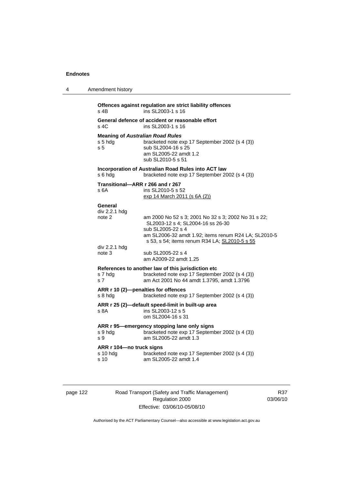| 4 | Amendment history                                                                                                                                                                                                                                            |
|---|--------------------------------------------------------------------------------------------------------------------------------------------------------------------------------------------------------------------------------------------------------------|
|   | Offences against regulation are strict liability offences<br>ins SL2003-1 s 16<br>s 4B                                                                                                                                                                       |
|   | General defence of accident or reasonable effort<br>s 4C<br>ins SL2003-1 s 16                                                                                                                                                                                |
|   | <b>Meaning of Australian Road Rules</b><br>s 5 hdg<br>bracketed note exp 17 September 2002 (s 4 (3))<br>sub SL2004-16 s 25<br>s 5<br>am SL2005-22 amdt 1.2<br>sub SL2010-5 s 51                                                                              |
|   | Incorporation of Australian Road Rules into ACT law<br>bracketed note exp 17 September 2002 (s 4 (3))<br>s 6 hda                                                                                                                                             |
|   | Transitional-ARR r 266 and r 267<br>s 6A<br>ins SL2010-5 s 52<br>exp 14 March 2011 (s 6A (2))                                                                                                                                                                |
|   | General<br>div 2.2.1 hdg<br>note 2<br>am 2000 No 52 s 3; 2001 No 32 s 3; 2002 No 31 s 22;<br>SL2003-12 s 4; SL2004-16 ss 26-30<br>sub SL2005-22 s 4<br>am SL2006-32 amdt 1.92; items renum R24 LA; SL2010-5<br>s 53, s 54; items renum R34 LA; SL2010-5 s 55 |
|   | div 2.2.1 hdg<br>sub SL2005-22 s 4<br>note 3<br>am A2009-22 amdt 1.25                                                                                                                                                                                        |
|   | References to another law of this jurisdiction etc<br>bracketed note exp 17 September 2002 (s 4 (3))<br>s 7 hdg<br>am Act 2001 No 44 amdt 1.3795, amdt 1.3796<br>s 7                                                                                         |
|   | ARR r 10 (2)-penalties for offences<br>s 8 hdg<br>bracketed note exp 17 September 2002 (s 4 (3))                                                                                                                                                             |
|   | ARR r 25 (2)-default speed-limit in built-up area<br>ins SL2003-12 s 5<br>s 8A<br>om SL2004-16 s 31                                                                                                                                                          |
|   | ARR r 95-emergency stopping lane only signs<br>bracketed note exp 17 September 2002 (s 4 (3))<br>s 9 hdg<br>am SL2005-22 amdt 1.3<br>s 9                                                                                                                     |
|   | ARR r 104-no truck signs<br>bracketed note exp 17 September 2002 (s 4 (3))<br>s 10 hdg<br>am SL2005-22 amdt 1.4<br>s 10                                                                                                                                      |
|   |                                                                                                                                                                                                                                                              |

page 122 Road Transport (Safety and Traffic Management) Regulation 2000 Effective: 03/06/10-05/08/10

R37 03/06/10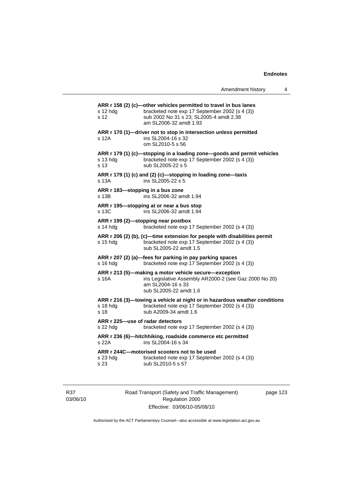Amendment history 4

| ARR r 158 (2) (c)-other vehicles permitted to travel in bus lanes<br>bracketed note exp 17 September 2002 (s 4 (3))<br>s 12 hdg<br>sub 2002 No 31 s 23; SL2005-4 amdt 2.38<br>s 12<br>am SL2006-32 amdt 1.93<br>ARR r 170 (1)-driver not to stop in intersection unless permitted<br>ins SL2004-16 s 32<br>s 12A<br>om SL2010-5 s 56<br>ARR r 179 (1) (c)-stopping in a loading zone-goods and permit vehicles<br>bracketed note exp 17 September 2002 (s 4 (3))<br>s 13 hda<br>s 13<br>sub SL2005-22 s 5<br>ARR r 179 (1) (c) and (2) (c)-stopping in loading zone-taxis<br>s 13A<br>ins SL2005-22 s 5<br>ARR r 183-stopping in a bus zone<br>ins SL2006-32 amdt 1.94<br>s 13B<br>ARR r 195-stopping at or near a bus stop<br>ins SL2006-32 amdt 1.94<br>s 13C<br>ARR r 199 (2)-stopping near postbox<br>s 14 hdg<br>bracketed note exp 17 September 2002 (s 4 (3))<br>ARR r 206 (2) (b), (c)-time extension for people with disabilities permit<br>bracketed note exp 17 September 2002 (s 4 (3))<br>s 15 hdg<br>sub SL2005-22 amdt 1.5<br>ARR r 207 (2) (a)-fees for parking in pay parking spaces<br>bracketed note exp 17 September 2002 (s 4 (3))<br>s 16 hdg<br>ARR r 213 (5)-making a motor vehicle secure-exception<br>ins Legislative Assembly AR2000-2 (see Gaz 2000 No 20)<br>s 16A<br>am SL2004-16 s 33<br>sub SL2005-22 amdt 1.6<br>ARR r 216 (3)—towing a vehicle at night or in hazardous weather conditions<br>s 18 hdg<br>bracketed note exp 17 September 2002 (s 4 (3))<br>sub A2009-34 amdt 1.6<br>s 18<br>ARR r 225-use of radar detectors<br>s 22 hdg<br>bracketed note exp 17 September 2002 (s 4 (3))<br>ARR r 236 (6)-hitchhiking, roadside commerce etc permitted<br>s 22A<br>ins SL2004-16 s 34<br>ARR r 244C-motorised scooters not to be used<br>bracketed note exp 17 September 2002 (s 4 (3))<br>s 23 hdg<br>sub SL2010-5 s 57<br>s 23 |  |  |
|-----------------------------------------------------------------------------------------------------------------------------------------------------------------------------------------------------------------------------------------------------------------------------------------------------------------------------------------------------------------------------------------------------------------------------------------------------------------------------------------------------------------------------------------------------------------------------------------------------------------------------------------------------------------------------------------------------------------------------------------------------------------------------------------------------------------------------------------------------------------------------------------------------------------------------------------------------------------------------------------------------------------------------------------------------------------------------------------------------------------------------------------------------------------------------------------------------------------------------------------------------------------------------------------------------------------------------------------------------------------------------------------------------------------------------------------------------------------------------------------------------------------------------------------------------------------------------------------------------------------------------------------------------------------------------------------------------------------------------------------------------------------------------------------------------------------------------------------------------------------------|--|--|
|                                                                                                                                                                                                                                                                                                                                                                                                                                                                                                                                                                                                                                                                                                                                                                                                                                                                                                                                                                                                                                                                                                                                                                                                                                                                                                                                                                                                                                                                                                                                                                                                                                                                                                                                                                                                                                                                       |  |  |
|                                                                                                                                                                                                                                                                                                                                                                                                                                                                                                                                                                                                                                                                                                                                                                                                                                                                                                                                                                                                                                                                                                                                                                                                                                                                                                                                                                                                                                                                                                                                                                                                                                                                                                                                                                                                                                                                       |  |  |
|                                                                                                                                                                                                                                                                                                                                                                                                                                                                                                                                                                                                                                                                                                                                                                                                                                                                                                                                                                                                                                                                                                                                                                                                                                                                                                                                                                                                                                                                                                                                                                                                                                                                                                                                                                                                                                                                       |  |  |
|                                                                                                                                                                                                                                                                                                                                                                                                                                                                                                                                                                                                                                                                                                                                                                                                                                                                                                                                                                                                                                                                                                                                                                                                                                                                                                                                                                                                                                                                                                                                                                                                                                                                                                                                                                                                                                                                       |  |  |
|                                                                                                                                                                                                                                                                                                                                                                                                                                                                                                                                                                                                                                                                                                                                                                                                                                                                                                                                                                                                                                                                                                                                                                                                                                                                                                                                                                                                                                                                                                                                                                                                                                                                                                                                                                                                                                                                       |  |  |
|                                                                                                                                                                                                                                                                                                                                                                                                                                                                                                                                                                                                                                                                                                                                                                                                                                                                                                                                                                                                                                                                                                                                                                                                                                                                                                                                                                                                                                                                                                                                                                                                                                                                                                                                                                                                                                                                       |  |  |
|                                                                                                                                                                                                                                                                                                                                                                                                                                                                                                                                                                                                                                                                                                                                                                                                                                                                                                                                                                                                                                                                                                                                                                                                                                                                                                                                                                                                                                                                                                                                                                                                                                                                                                                                                                                                                                                                       |  |  |
|                                                                                                                                                                                                                                                                                                                                                                                                                                                                                                                                                                                                                                                                                                                                                                                                                                                                                                                                                                                                                                                                                                                                                                                                                                                                                                                                                                                                                                                                                                                                                                                                                                                                                                                                                                                                                                                                       |  |  |
|                                                                                                                                                                                                                                                                                                                                                                                                                                                                                                                                                                                                                                                                                                                                                                                                                                                                                                                                                                                                                                                                                                                                                                                                                                                                                                                                                                                                                                                                                                                                                                                                                                                                                                                                                                                                                                                                       |  |  |
|                                                                                                                                                                                                                                                                                                                                                                                                                                                                                                                                                                                                                                                                                                                                                                                                                                                                                                                                                                                                                                                                                                                                                                                                                                                                                                                                                                                                                                                                                                                                                                                                                                                                                                                                                                                                                                                                       |  |  |
|                                                                                                                                                                                                                                                                                                                                                                                                                                                                                                                                                                                                                                                                                                                                                                                                                                                                                                                                                                                                                                                                                                                                                                                                                                                                                                                                                                                                                                                                                                                                                                                                                                                                                                                                                                                                                                                                       |  |  |
|                                                                                                                                                                                                                                                                                                                                                                                                                                                                                                                                                                                                                                                                                                                                                                                                                                                                                                                                                                                                                                                                                                                                                                                                                                                                                                                                                                                                                                                                                                                                                                                                                                                                                                                                                                                                                                                                       |  |  |
|                                                                                                                                                                                                                                                                                                                                                                                                                                                                                                                                                                                                                                                                                                                                                                                                                                                                                                                                                                                                                                                                                                                                                                                                                                                                                                                                                                                                                                                                                                                                                                                                                                                                                                                                                                                                                                                                       |  |  |
|                                                                                                                                                                                                                                                                                                                                                                                                                                                                                                                                                                                                                                                                                                                                                                                                                                                                                                                                                                                                                                                                                                                                                                                                                                                                                                                                                                                                                                                                                                                                                                                                                                                                                                                                                                                                                                                                       |  |  |

R37 03/06/10 Road Transport (Safety and Traffic Management) Regulation 2000 Effective: 03/06/10-05/08/10

page 123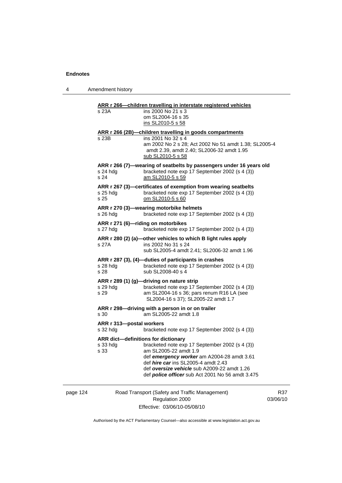4 Amendment history

| s 23A                                | ins 2000 No 21 s 3<br>om SL2004-16 s 35                                                                                                       |
|--------------------------------------|-----------------------------------------------------------------------------------------------------------------------------------------------|
|                                      | ins SL2010-5 s 58                                                                                                                             |
|                                      | ARR r 266 (2B)-children travelling in goods compartments                                                                                      |
| s 23B                                | ins 2001 No 32 s 4<br>am 2002 No 2 s 28; Act 2002 No 51 amdt 1.38; SL2005-4<br>amdt 2.39, amdt 2.40; SL2006-32 amdt 1.95<br>sub SL2010-5 s 58 |
| s 24 hdg<br>s 24                     | ARR r 266 (7)-wearing of seatbelts by passengers under 16 years old<br>bracketed note exp 17 September 2002 (s 4 (3))<br>am SL2010-5 s 59     |
| s 25 hdg<br>s 25                     | ARR r 267 (3)-certificates of exemption from wearing seatbelts<br>bracketed note exp 17 September 2002 (s 4 (3))<br>om SL2010-5 s 60          |
| s 26 hdg                             | ARR r 270 (3)-wearing motorbike helmets<br>bracketed note exp 17 September 2002 (s 4 (3))                                                     |
| s 27 hdg                             | ARR r 271 (6)-riding on motorbikes<br>bracketed note exp 17 September 2002 (s 4 (3))                                                          |
| s 27A                                | ARR r 280 (2) (a)-other vehicles to which B light rules apply<br>ins 2002 No 31 s 24<br>sub SL2005-4 amdt 2.41; SL2006-32 amdt 1.96           |
| s 28 hdg<br>s 28                     | ARR r 287 (3), (4)-duties of participants in crashes<br>bracketed note exp 17 September 2002 (s 4 (3))<br>sub SL2008-40 s 4                   |
|                                      | ARR r 289 (1) (g)-driving on nature strip                                                                                                     |
| s 29 hdg<br>s 29                     | bracketed note exp 17 September 2002 (s 4 (3))<br>am SL2004-16 s 36; pars renum R16 LA (see<br>SL2004-16 s 37); SL2005-22 amdt 1.7            |
| s 30                                 | ARR r 298-driving with a person in or on trailer<br>am SL2005-22 amdt 1.8                                                                     |
| ARR r 313-postal workers<br>s 32 hdg | bracketed note exp 17 September 2002 (s 4 (3))                                                                                                |
|                                      | ARR dict-definitions for dictionary                                                                                                           |
| s 33 hdg<br>s 33                     | bracketed note exp 17 September 2002 (s 4 (3))<br>am SL2005-22 amdt 1.9                                                                       |
|                                      | def emergency worker am A2004-28 amdt 3.61<br>def <i>hire car</i> ins SL2005-4 amdt 2.43                                                      |
|                                      | def oversize vehicle sub A2009-22 amdt 1.26<br>def <b>police officer</b> sub Act 2001 No 56 amdt 3.475                                        |

page 124 Road Transport (Safety and Traffic Management) Regulation 2000 Effective: 03/06/10-05/08/10

R37 03/06/10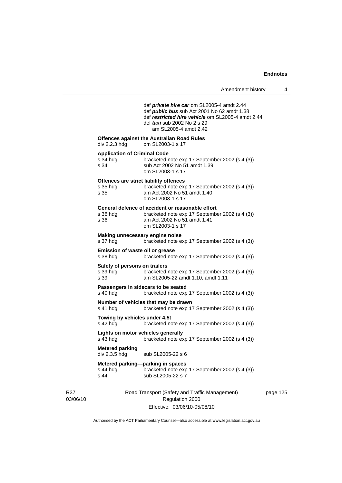|                 |                                                         | def private hire car om SL2005-4 amdt 2.44<br>def <i>public bus</i> sub Act 2001 No 62 amdt 1.38<br>def restricted hire vehicle om SL2005-4 amdt 2.44<br>def <i>taxi</i> sub 2002 No 2 s 29<br>am SL2005-4 amdt 2.42 |     |
|-----------------|---------------------------------------------------------|----------------------------------------------------------------------------------------------------------------------------------------------------------------------------------------------------------------------|-----|
|                 | div 2.2.3 hdg                                           | <b>Offences against the Australian Road Rules</b><br>om SL2003-1 s 17                                                                                                                                                |     |
|                 | <b>Application of Criminal Code</b><br>s 34 hdg<br>s 34 | bracketed note exp 17 September 2002 (s 4 (3))<br>sub Act 2002 No 51 amdt 1.39<br>om SL2003-1 s 17                                                                                                                   |     |
|                 | s 35 hdg<br>s 35                                        | Offences are strict liability offences<br>bracketed note exp 17 September 2002 (s 4 (3))<br>am Act 2002 No 51 amdt 1.40<br>om SL2003-1 s 17                                                                          |     |
|                 | s 36 hdg<br>s 36                                        | General defence of accident or reasonable effort<br>bracketed note exp 17 September 2002 (s 4 (3))<br>am Act 2002 No 51 amdt 1.41<br>om SL2003-1 s 17                                                                |     |
|                 | s 37 hdg                                                | Making unnecessary engine noise<br>bracketed note exp 17 September 2002 (s 4 (3))                                                                                                                                    |     |
|                 | Emission of waste oil or grease<br>s 38 hdg             | bracketed note exp 17 September 2002 (s 4 (3))                                                                                                                                                                       |     |
|                 | Safety of persons on trailers<br>s 39 hdg<br>s 39       | bracketed note exp 17 September 2002 (s 4 (3))<br>am SL2005-22 amdt 1.10, amdt 1.11                                                                                                                                  |     |
|                 | s 40 hdg                                                | Passengers in sidecars to be seated<br>bracketed note exp 17 September 2002 (s 4 (3))                                                                                                                                |     |
|                 | s 41 hdg                                                | Number of vehicles that may be drawn<br>bracketed note exp 17 September 2002 (s 4 (3))                                                                                                                               |     |
|                 | Towing by vehicles under 4.5t<br>s $42$ hdg             | bracketed note exp 17 September 2002 (s 4 (3))                                                                                                                                                                       |     |
|                 | s 43 hdg                                                | Lights on motor vehicles generally<br>bracketed note exp 17 September 2002 (s 4 (3))                                                                                                                                 |     |
|                 | <b>Metered parking</b><br>div 2.3.5 hdg                 | sub SL2005-22 s 6                                                                                                                                                                                                    |     |
|                 | $s$ 44 hdg<br>s 44                                      | Metered parking—parking in spaces<br>bracketed note exp 17 September 2002 (s 4 (3))<br>sub SL2005-22 s 7                                                                                                             |     |
| R37<br>03/06/10 |                                                         | Road Transport (Safety and Traffic Management)<br>Regulation 2000                                                                                                                                                    | pag |

Effective: 03/06/10-05/08/10

e 125

Authorised by the ACT Parliamentary Counsel—also accessible at www.legislation.act.gov.au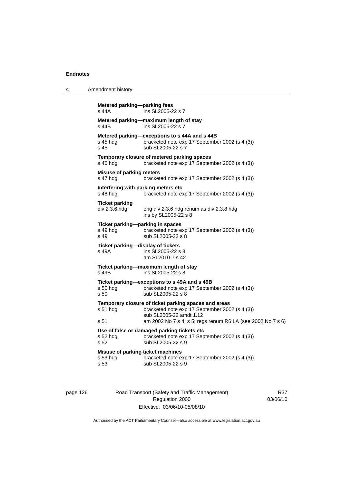```
4 Amendment history 
Metered parking—parking fees 
s 44A ins SL2005-22 s 7 
Metered parking—maximum length of stay 
                  ins SL2005-22 s 7Metered parking—exceptions to s 44A and s 44B<br>s 45 hdg bracketed note exp 17 Septembe
                   bracketed note exp 17 September 2002 (s 4 (3))
s 45 sub SL2005-22 s 7 
Temporary closure of metered parking spaces 
s 46 hdg bracketed note exp 17 September 2002 (s 4 (3))
Misuse of parking meters 
s 47 hdg bracketed note exp 17 September 2002 (s 4 (3)) 
Interfering with parking meters etc 
s 48 hdg bracketed note exp 17 September 2002 (s 4 (3))
Ticket parking 
div 2.3.6 hdg orig div 2.3.6 hdg renum as div 2.3.8 hdg
                    ins by SL2005-22 s 8 
Ticket parking—parking in spaces<br>s 49 hdg bracketed note e
s 49 hdg bracketed note exp 17 September 2002 (s 4 (3))<br>s 49 sub SL2005-22 s 8
                   sub SL2005-22 s 8
Ticket parking—display of tickets 
s 49A ins SL2005-22 s 8 
                    am SL2010-7 s 42 
Ticket parking—maximum length of stay 
                  ins SL2005 - 22 s 8Ticket parking—exceptions to s 49A and s 49B 
s 50 hdg bracketed note exp 17 September 2002 (s 4 (3)) 
s 50 sub SL2005-22 s 8 
Temporary closure of ticket parking spaces and areas 
s 51 hdg bracketed note exp 17 September 2002 (s 4 (3)) 
                    sub SL2005-22 amdt 1.12 
s 51 am 2002 No 7 s 4, s 5; regs renum R6 LA (see 2002 No 7 s 6) 
Use of false or damaged parking tickets etc 
                   bracketed note exp 17 September 2002 (s 4 (3))
s 52 sub SL2005-22 s 9
Misuse of parking ticket machines<br>s 53 hdd bracketed note e.
                   bracketed note exp 17 September 2002 (s 4 (3))
s 53 sub SL2005-22 s 9
```
page 126 Road Transport (Safety and Traffic Management) Regulation 2000 Effective: 03/06/10-05/08/10

R37 03/06/10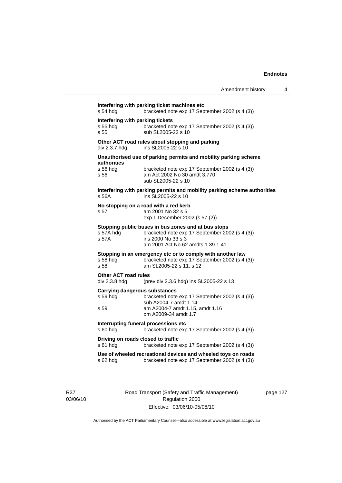| s 54 hdg                                             | Interfering with parking ticket machines etc<br>bracketed note exp 17 September 2002 (s 4 (3))                                                                   |
|------------------------------------------------------|------------------------------------------------------------------------------------------------------------------------------------------------------------------|
| Interfering with parking tickets<br>s 55 hda<br>s 55 | bracketed note exp 17 September 2002 (s 4 (3))<br>sub SL2005-22 s 10                                                                                             |
| div 2.3.7 hdg                                        | Other ACT road rules about stopping and parking<br>ins SL2005-22 s 10                                                                                            |
| authorities                                          | Unauthorised use of parking permits and mobility parking scheme                                                                                                  |
| s 56 hda<br>s 56                                     | bracketed note exp 17 September 2002 (s 4 (3))<br>am Act 2002 No 30 amdt 3.770<br>sub SL 2005-22 s 10                                                            |
| s 56A                                                | Interfering with parking permits and mobility parking scheme authorities<br>ins SL2005-22 s 10                                                                   |
| s 57                                                 | No stopping on a road with a red kerb<br>am 2001 No 32 s 5<br>exp 1 December 2002 (s 57 (2))                                                                     |
| s 57A hdg<br>s 57A                                   | Stopping public buses in bus zones and at bus stops<br>bracketed note exp 17 September 2002 (s 4 (3))<br>ins 2000 No 33 s 3<br>am 2001 Act No 62 amdts 1.39-1.41 |
| s 58 hdg<br>s 58                                     | Stopping in an emergency etc or to comply with another law<br>bracketed note exp 17 September 2002 (s 4 (3))<br>am SL2005-22 s 11, s 12                          |
| <b>Other ACT road rules</b><br>div 2.3.8 hdg         | (prev div 2.3.6 hdg) ins SL2005-22 s 13                                                                                                                          |
| s 59 hdg                                             | <b>Carrying dangerous substances</b><br>bracketed note exp 17 September 2002 (s 4 (3))<br>sub A2004-7 amdt 1.14                                                  |
| s 59                                                 | am A2004-7 amdt 1.15, amdt 1.16<br>om A2009-34 amdt 1.7                                                                                                          |
| s 60 hdg                                             | Interrupting funeral processions etc<br>bracketed note exp 17 September 2002 (s 4 (3))                                                                           |
| s 61 hdg                                             | Driving on roads closed to traffic<br>bracketed note exp 17 September 2002 (s 4 (3))                                                                             |
| s 62 hdg                                             | Use of wheeled recreational devices and wheeled toys on roads<br>bracketed note exp 17 September 2002 (s 4 (3))                                                  |

R37 03/06/10 Road Transport (Safety and Traffic Management) Regulation 2000 Effective: 03/06/10-05/08/10

page 127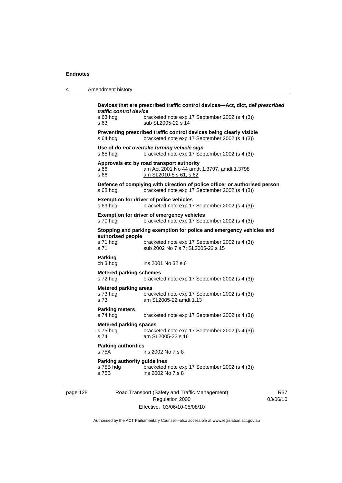| 4        | Amendment history                                                                                                                 |                                                                                                                                                             |                 |  |  |
|----------|-----------------------------------------------------------------------------------------------------------------------------------|-------------------------------------------------------------------------------------------------------------------------------------------------------------|-----------------|--|--|
|          | traffic control device<br>s 63 hdg<br>s 63                                                                                        | Devices that are prescribed traffic control devices-Act, dict, def prescribed<br>bracketed note exp 17 September 2002 (s 4 (3))<br>sub SL2005-22 s 14       |                 |  |  |
|          | Preventing prescribed traffic control devices being clearly visible<br>bracketed note exp 17 September 2002 (s 4 (3))<br>s 64 hdg |                                                                                                                                                             |                 |  |  |
|          | $s$ 65 hdg                                                                                                                        | Use of do not overtake turning vehicle sign<br>bracketed note exp 17 September 2002 (s 4 (3))                                                               |                 |  |  |
|          | s 66<br>s 66                                                                                                                      | Approvals etc by road transport authority<br>am Act 2001 No 44 amdt 1.3797, amdt 1.3798<br>am SL2010-5 s 61, s 62                                           |                 |  |  |
|          | $s68h$ dg                                                                                                                         | Defence of complying with direction of police officer or authorised person<br>bracketed note exp 17 September 2002 (s 4 (3))                                |                 |  |  |
|          | s 69 hdg                                                                                                                          | <b>Exemption for driver of police vehicles</b><br>bracketed note exp 17 September 2002 (s 4 (3))                                                            |                 |  |  |
|          | s 70 hda                                                                                                                          | Exemption for driver of emergency vehicles<br>bracketed note exp 17 September 2002 (s 4 (3))                                                                |                 |  |  |
|          | authorised people<br>s 71 hdg<br>s 71                                                                                             | Stopping and parking exemption for police and emergency vehicles and<br>bracketed note exp 17 September 2002 (s 4 (3))<br>sub 2002 No 7 s 7; SL2005-22 s 15 |                 |  |  |
|          | Parking<br>ch 3 hdg                                                                                                               | ins 2001 No 32 s 6                                                                                                                                          |                 |  |  |
|          | <b>Metered parking schemes</b><br>s 72 hdg                                                                                        | bracketed note exp 17 September 2002 (s 4 (3))                                                                                                              |                 |  |  |
|          | <b>Metered parking areas</b><br>s 73 hdg<br>s 73                                                                                  | bracketed note exp 17 September 2002 (s 4 (3))<br>am SL2005-22 amdt 1.13                                                                                    |                 |  |  |
|          | <b>Parking meters</b><br>s 74 hdg                                                                                                 | bracketed note exp 17 September 2002 (s 4 (3))                                                                                                              |                 |  |  |
|          | <b>Metered parking spaces</b><br>s 75 hdg<br>s 74                                                                                 | bracketed note exp 17 September 2002 (s 4 (3))<br>am SL2005-22 s 16                                                                                         |                 |  |  |
|          | <b>Parking authorities</b><br>s 75A                                                                                               | ins 2002 No 7 s 8                                                                                                                                           |                 |  |  |
|          | <b>Parking authority guidelines</b><br>s 75B hdg<br>s 75B                                                                         | bracketed note exp 17 September 2002 (s 4 (3))<br>ins 2002 No 7 s 8                                                                                         |                 |  |  |
| page 128 |                                                                                                                                   | Road Transport (Safety and Traffic Management)<br>Regulation 2000                                                                                           | R37<br>03/06/10 |  |  |

Authorised by the ACT Parliamentary Counsel—also accessible at www.legislation.act.gov.au

Effective: 03/06/10-05/08/10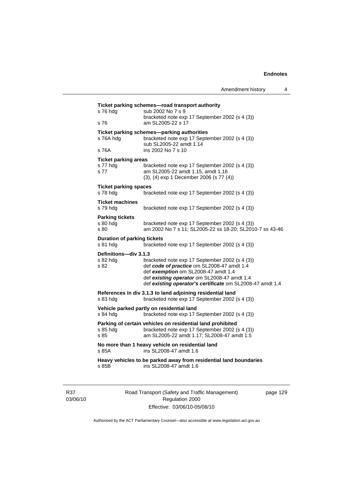| s 76 hdg                                       | sub 2002 No 7 s 9<br>bracketed note exp 17 September 2002 (s 4 (3))                                                                 |
|------------------------------------------------|-------------------------------------------------------------------------------------------------------------------------------------|
| s 76                                           | am SL2005-22 s 17                                                                                                                   |
| s 76A hdg                                      | Ticket parking schemes-parking authorities<br>bracketed note exp 17 September 2002 (s 4 (3))<br>sub SL2005-22 amdt 1.14             |
| s 76A                                          | ins 2002 No 7 s 10                                                                                                                  |
| <b>Ticket parking areas</b>                    |                                                                                                                                     |
| s 77 hdg<br>s 77                               | bracketed note exp 17 September 2002 (s 4 (3))<br>am SL2005-22 amdt 1.15, amdt 1.16<br>(3), (4) exp 1 December 2006 (s 77 (4))      |
| <b>Ticket parking spaces</b>                   |                                                                                                                                     |
| s 78 hdg                                       | bracketed note exp 17 September 2002 (s 4 (3))                                                                                      |
| <b>Ticket machines</b><br>s 79 hda             | bracketed note exp 17 September 2002 (s 4 (3))                                                                                      |
| <b>Parking tickets</b>                         |                                                                                                                                     |
| s 80 hda<br>s 80                               | bracketed note exp 17 September 2002 (s 4 (3))<br>am 2002 No 7 s 11; SL2005-22 ss 18-20; SL2010-7 ss 43-46                          |
| <b>Duration of parking tickets</b><br>s 81 hdg | bracketed note exp 17 September 2002 (s 4 (3))                                                                                      |
| Definitions-div 3.1.3                          |                                                                                                                                     |
| s 82 hda<br>s 82                               | bracketed note exp 17 September 2002 (s 4 (3))<br>def code of practice om SL2008-47 amdt 1.4<br>def exemption om SL2008-47 amdt 1.4 |
|                                                | def existing operator om SL2008-47 amdt 1.4<br>def existing operator's certificate om SL2008-47 amdt 1.4                            |
| s 83 hdg                                       | References in div 3.1.3 to land adjoining residential land<br>bracketed note exp 17 September 2002 (s 4 (3))                        |
| s 84 hdg                                       | Vehicle parked partly on residential land<br>bracketed note exp 17 September 2002 (s 4 (3))                                         |
|                                                | Parking of certain vehicles on residential land prohibited                                                                          |
| s 85 hda<br>s 85                               | bracketed note exp 17 September 2002 (s 4 (3))<br>am SL2005-22 amdt 1.17; SL2008-47 amdt 1.5                                        |
| s 85A                                          | No more than 1 heavy vehicle on residential land<br>ins SL2008-47 amdt 1.6                                                          |
|                                                | Heavy vehicles to be parked away from residential land boundaries                                                                   |

R37 03/06/10 Road Transport (Safety and Traffic Management) Regulation 2000 Effective: 03/06/10-05/08/10

page 129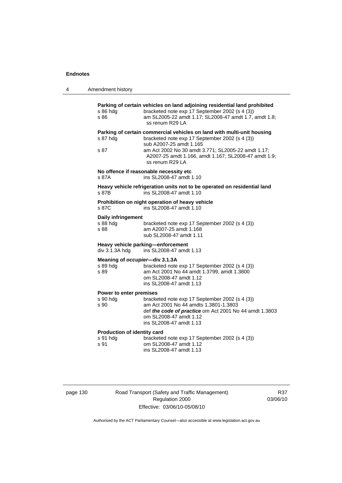| 4 | Amendment history                                                                                                                                                                                                                                                                                        |  |  |
|---|----------------------------------------------------------------------------------------------------------------------------------------------------------------------------------------------------------------------------------------------------------------------------------------------------------|--|--|
|   | Parking of certain vehicles on land adjoining residential land prohibited<br>s 86 hdg<br>bracketed note exp 17 September 2002 (s 4 (3))<br>am SL2005-22 amdt 1.17; SL2008-47 amdt 1.7, amdt 1.8;<br>s 86<br>ss renum R29 LA                                                                              |  |  |
|   | Parking of certain commercial vehicles on land with multi-unit housing<br>bracketed note exp 17 September 2002 (s 4 (3))<br>s 87 hdg<br>sub A2007-25 amdt 1.165<br>am Act 2002 No 30 amdt 3.771; SL2005-22 amdt 1.17;<br>s 87<br>A2007-25 amdt 1.166, amdt 1.167; SL2008-47 amdt 1.9;<br>ss renum R29 LA |  |  |
|   | No offence if reasonable necessity etc<br>ins SL2008-47 amdt 1.10<br>s 87A                                                                                                                                                                                                                               |  |  |
|   | Heavy vehicle refrigeration units not to be operated on residential land<br>ins SL2008-47 amdt 1.10<br>s 87B                                                                                                                                                                                             |  |  |
|   | Prohibition on night operation of heavy vehicle<br>ins SL2008-47 amdt 1.10<br>s 87C                                                                                                                                                                                                                      |  |  |
|   | <b>Daily infringement</b><br>s 88 hdg<br>bracketed note exp 17 September 2002 (s 4 (3))<br>s 88<br>am A2007-25 amdt 1.168<br>sub SL2008-47 amdt 1.11                                                                                                                                                     |  |  |
|   | Heavy vehicle parking-enforcement<br>div 3.1.3A hdg<br>ins SL2008-47 amdt 1.13                                                                                                                                                                                                                           |  |  |
|   | Meaning of occupier-div 3.1.3A<br>s 89 hdg<br>bracketed note exp 17 September 2002 (s 4 (3))<br>am Act 2001 No 44 amdt 1.3799, amdt 1.3800<br>s 89<br>om SL2008-47 amdt 1.12<br>ins SL2008-47 amdt 1.13                                                                                                  |  |  |
|   | Power to enter premises<br>s 90 hdg<br>bracketed note exp 17 September 2002 (s 4 (3))<br>am Act 2001 No 44 amdts 1.3801-1.3803<br>s 90<br>def the code of practice om Act 2001 No 44 amdt 1.3803<br>om SL2008-47 amdt 1.12<br>ins SL2008-47 amdt 1.13                                                    |  |  |
|   | Production of identity card<br>s 91 hdg<br>bracketed note exp 17 September 2002 (s 4 (3))<br>om SL2008-47 amdt 1.12<br>s 91<br>ins SL2008-47 amdt 1.13                                                                                                                                                   |  |  |
|   |                                                                                                                                                                                                                                                                                                          |  |  |

page 130 Road Transport (Safety and Traffic Management) Regulation 2000 Effective: 03/06/10-05/08/10

R37 03/06/10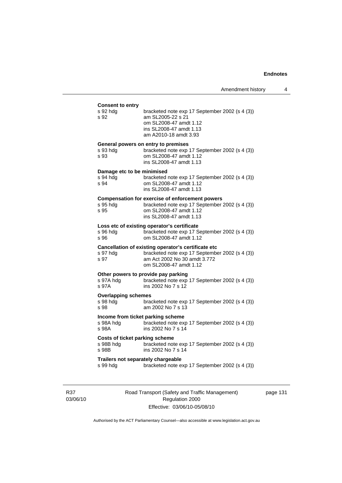| <b>Consent to entry</b>                                     |                                                                                                                                                                 |
|-------------------------------------------------------------|-----------------------------------------------------------------------------------------------------------------------------------------------------------------|
| s 92 hdg<br>s 92                                            | bracketed note exp 17 September 2002 (s 4 (3))<br>am SL2005-22 s 21<br>om SL2008-47 amdt 1.12<br>ins SL2008-47 amdt 1.13<br>am A2010-18 amdt 3.93               |
|                                                             | General powers on entry to premises                                                                                                                             |
| s 93 hdg<br>s 93                                            | bracketed note exp 17 September 2002 (s 4 (3))<br>om SL2008-47 amdt 1.12<br>ins SL2008-47 amdt 1.13                                                             |
| Damage etc to be minimised                                  |                                                                                                                                                                 |
| s 94 hda<br>s 94                                            | bracketed note exp 17 September 2002 (s 4 (3))<br>om SL2008-47 amdt 1.12<br>ins SL2008-47 amdt 1.13                                                             |
|                                                             | <b>Compensation for exercise of enforcement powers</b>                                                                                                          |
| s 95 hda<br>s 95                                            | bracketed note exp 17 September 2002 (s 4 (3))<br>om SL2008-47 amdt 1.12<br>ins SL 2008-47 amdt 1.13                                                            |
|                                                             | Loss etc of existing operator's certificate                                                                                                                     |
| s 96 hda<br>s 96                                            | bracketed note exp 17 September 2002 (s 4 (3))<br>om SL2008-47 amdt 1.12                                                                                        |
| s 97 hdg<br>s 97                                            | Cancellation of existing operator's certificate etc<br>bracketed note exp 17 September 2002 (s 4 (3))<br>am Act 2002 No 30 amdt 3.772<br>om SL2008-47 amdt 1.12 |
|                                                             | Other powers to provide pay parking                                                                                                                             |
| s 97A hdg<br>s 97A                                          | bracketed note exp 17 September 2002 (s 4 (3))<br>ins 2002 No 7 s 12                                                                                            |
| <b>Overlapping schemes</b>                                  |                                                                                                                                                                 |
| s 98 hdg<br>s 98                                            | bracketed note exp 17 September 2002 (s 4 (3))<br>am 2002 No 7 s 13                                                                                             |
| s 98A hdg<br>s 98A                                          | Income from ticket parking scheme<br>bracketed note exp 17 September 2002 (s 4 (3))<br>ins 2002 No 7 s 14                                                       |
| <b>Costs of ticket parking scheme</b><br>s 98B hdg<br>s 98B | bracketed note exp 17 September 2002 (s 4 (3))<br>ins 2002 No 7 s 14                                                                                            |
|                                                             | Trailers not separately chargeable                                                                                                                              |
| s 99 hda                                                    | bracketed note exp 17 September 2002 (s 4 (3))                                                                                                                  |

R37 03/06/10 Road Transport (Safety and Traffic Management) Regulation 2000 Effective: 03/06/10-05/08/10

page 131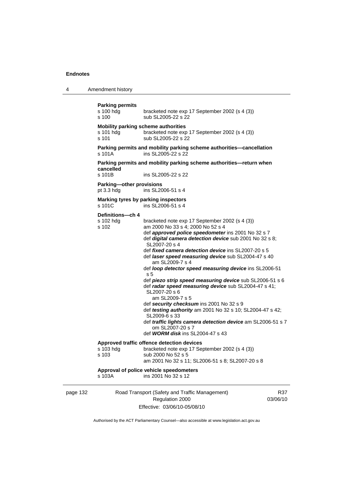4 Amendment history

```
page 132 Road Transport (Safety and Traffic Management) 
                      Regulation 2000 
                                                                       R37
Parking permits 
                  bracketed note exp 17 September 2002 (s 4 (3))
s 100 sub SL2005-22 s 22
Mobility parking scheme authorities 
s 101 hdg bracketed note exp 17 September 2002 (s 4 (3)) 
s 101 sub SL2005-22 s 22
Parking permits and mobility parking scheme authorities—cancellation 
s 101A ins SL2005-22 s 22 
Parking permits and mobility parking scheme authorities—return when 
cancelled 
s 101B ins SL2005-22 s 22 
Parking—other provisions 
pt 3.3 hdg ins SL2006-51 s 4 
Marking tyres by parking inspectors 
\frac{1}{2} s 101C ins SL2006-51 s 4
Definitions—ch 4 
s 102 hdg bracketed note exp 17 September 2002 (s 4 (3)) 
s 102 am 2000 No 33 s 4; 2000 No 52 s 4 
                   def approved police speedometer ins 2001 No 32 s 7 
                   def digital camera detection device sub 2001 No 32 s 8; 
                   SL2007-20 s 4 
                   def fixed camera detection device ins SL2007-20 s 5 
                   def laser speed measuring device sub SL2004-47 s 40 
                       am SL2009-7 s 4 
                   def loop detector speed measuring device ins SL2006-51 
                   s 5 
                   def piezo strip speed measuring device sub SL2006-51 s 6 
                   def radar speed measuring device sub SL2004-47 s 41; 
                   SL2007-20 s 6 
                       am SL2009-7 s 5 
                   def security checksum ins 2001 No 32 s 9 
                  def testing authority am 2001 No 32 s 10; SL2004-47 s 42; 
                   SL2009-6 s 33 
                   def traffic lights camera detection device am SL2006-51 s 7 
                       om SL2007-20 s 7 
                   def WORM disk ins SL2004-47 s 43 
Approved traffic offence detection devices 
s 103 hdg bracketed note exp 17 September 2002 (s 4 (3))<br>s 103 bs b 2000 No 52 s 5
                  sub 2000 No 52 s 5
                   am 2001 No 32 s 11; SL2006-51 s 8; SL2007-20 s 8 
Approval of police vehicle speedometers 
s 103A ins 2001 No 32 s 12
```
Effective: 03/06/10-05/08/10

03/06/10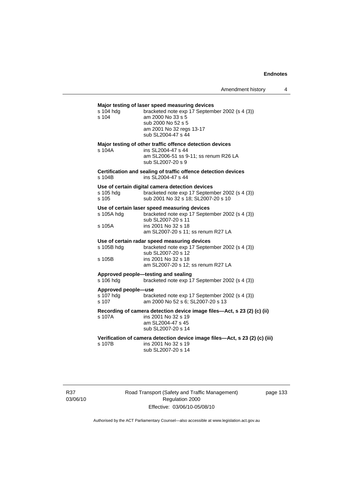# **Major testing of laser speed measuring devices**

| s 104 hdg<br>s 104                        | major testing or laser speed measuring devices<br>bracketed note exp 17 September 2002 (s 4 (3))<br>am 2000 No 33 s 5<br>sub 2000 No 52 s 5<br>am 2001 No 32 regs 13-17<br>sub SL2004-47 s 44 |
|-------------------------------------------|-----------------------------------------------------------------------------------------------------------------------------------------------------------------------------------------------|
| s 104A                                    | Major testing of other traffic offence detection devices<br>ins SL2004-47 s 44<br>am SL2006-51 ss 9-11; ss renum R26 LA<br>sub SL2007-20 s 9                                                  |
| s 104B                                    | Certification and sealing of traffic offence detection devices<br>ins SL2004-47 s 44                                                                                                          |
| s 105 hdg<br>s 105                        | Use of certain digital camera detection devices<br>bracketed note exp 17 September 2002 (s 4 (3))<br>sub 2001 No 32 s 18; SL2007-20 s 10                                                      |
| s 105A hdg                                | Use of certain laser speed measuring devices<br>bracketed note exp 17 September 2002 (s 4 (3))<br>sub SL2007-20 s 11                                                                          |
| s 105A                                    | ins 2001 No 32 s 18<br>am SL2007-20 s 11; ss renum R27 LA                                                                                                                                     |
| s 105B hdg<br>s 105B                      | Use of certain radar speed measuring devices<br>bracketed note exp 17 September 2002 (s 4 (3))<br>sub SL2007-20 s 12<br>ins 2001 No 32 s 18<br>am SL2007-20 s 12; ss renum R27 LA             |
| s 106 hdg                                 | Approved people-testing and sealing<br>bracketed note exp 17 September 2002 (s 4 (3))                                                                                                         |
| Approved people-use<br>s 107 hdg<br>s 107 | bracketed note exp 17 September 2002 (s 4 (3))<br>am 2000 No 52 s 6; SL2007-20 s 13                                                                                                           |
| s 107A                                    | Recording of camera detection device image files—Act, s 23 (2) (c) (ii)<br>ins 2001 No 32 s 19<br>am SL2004-47 s 45<br>sub SL2007-20 s 14                                                     |
| s 107B                                    | Verification of camera detection device image files-Act, s 23 (2) (c) (iii)<br>ins 2001 No 32 s 19<br>sub SL2007-20 s 14                                                                      |

R37 03/06/10 Road Transport (Safety and Traffic Management) Regulation 2000 Effective: 03/06/10-05/08/10

page 133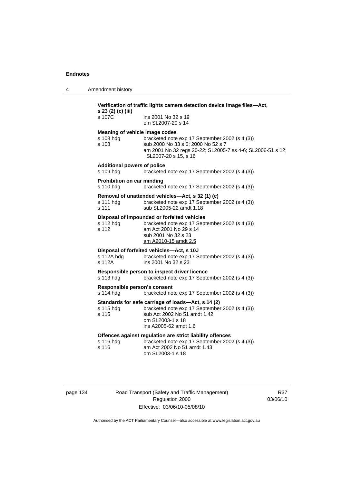4 Amendment history

| Verification of traffic lights camera detection device image files—Act,<br>s 23 (2) (c) (iii) |                                                                                                                                                                                   |  |  |  |
|-----------------------------------------------------------------------------------------------|-----------------------------------------------------------------------------------------------------------------------------------------------------------------------------------|--|--|--|
| s 107C                                                                                        | ins 2001 No 32 s 19<br>om SL2007-20 s 14                                                                                                                                          |  |  |  |
| Meaning of vehicle image codes<br>s 108 hdg<br>s 108                                          | bracketed note exp 17 September 2002 (s 4 (3))<br>sub 2000 No 33 s 6; 2000 No 52 s 7<br>am 2001 No 32 regs 20-22; SL2005-7 ss 4-6; SL2006-51 s 12;<br>SL2007-20 s 15, s 16        |  |  |  |
| <b>Additional powers of police</b><br>s 109 hdg                                               | bracketed note exp 17 September 2002 (s 4 (3))                                                                                                                                    |  |  |  |
| <b>Prohibition on car minding</b><br>s 110 hdg                                                | bracketed note exp 17 September 2002 (s 4 (3))                                                                                                                                    |  |  |  |
| s 111 hdg<br>s 111                                                                            | Removal of unattended vehicles-Act, s 32 (1) (c)<br>bracketed note exp 17 September 2002 (s 4 (3))<br>sub SL2005-22 amdt 1.18                                                     |  |  |  |
| s 112 hdg<br>s 112                                                                            | Disposal of impounded or forfeited vehicles<br>bracketed note exp 17 September 2002 (s 4 (3))<br>am Act 2001 No 29 s 14<br>sub 2001 No 32 s 23<br>am A2010-15 amdt 2.5            |  |  |  |
| s 112A hdg<br>s 112A                                                                          | Disposal of forfeited vehicles-Act, s 10J<br>bracketed note exp 17 September 2002 (s 4 (3))<br>ins 2001 No 32 s 23                                                                |  |  |  |
| s 113 hdg                                                                                     | Responsible person to inspect driver licence<br>bracketed note exp 17 September 2002 (s 4 (3))                                                                                    |  |  |  |
| Responsible person's consent<br>s 114 hdg                                                     | bracketed note exp 17 September 2002 (s 4 (3))                                                                                                                                    |  |  |  |
| s 115 hdg<br>s 115                                                                            | Standards for safe carriage of loads-Act, s 14 (2)<br>bracketed note exp 17 September 2002 (s 4 (3))<br>sub Act 2002 No 51 amdt 1.42<br>om SL2003-1 s 18<br>ins A2005-62 amdt 1.6 |  |  |  |
| s 116 hdg<br>s 116                                                                            | Offences against regulation are strict liability offences<br>bracketed note exp 17 September 2002 (s 4 (3))<br>am Act 2002 No 51 amdt 1.43<br>om SL2003-1 s 18                    |  |  |  |

page 134 Road Transport (Safety and Traffic Management) Regulation 2000 Effective: 03/06/10-05/08/10

R37 03/06/10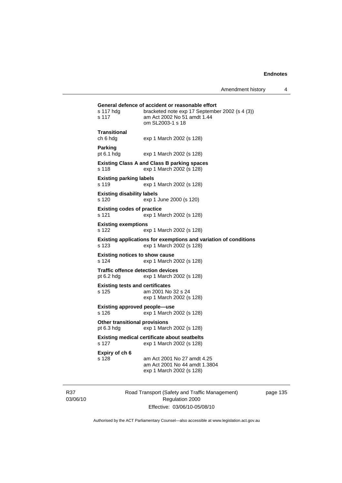| s 117 hdg<br>s 117                                                                       | General defence of accident or reasonable effort<br>bracketed note exp 17 September 2002 (s 4 (3))<br>am Act 2002 No 51 amdt 1.44<br>om SL2003-1 s 18 |
|------------------------------------------------------------------------------------------|-------------------------------------------------------------------------------------------------------------------------------------------------------|
| Transitional<br>ch 6 hdg                                                                 | exp 1 March 2002 (s 128)                                                                                                                              |
| <b>Parking</b><br>pt $6.1$ hdg                                                           | exp 1 March 2002 (s 128)                                                                                                                              |
| s 118                                                                                    | <b>Existing Class A and Class B parking spaces</b><br>exp 1 March 2002 (s 128)                                                                        |
| <b>Existing parking labels</b><br>s 119                                                  | exp 1 March 2002 (s 128)                                                                                                                              |
| <b>Existing disability labels</b><br>s 120                                               | exp 1 June 2000 (s 120)                                                                                                                               |
| <b>Existing codes of practice</b><br>s 121                                               | exp 1 March 2002 (s 128)                                                                                                                              |
| <b>Existing exemptions</b><br>s 122                                                      | exp 1 March 2002 (s 128)                                                                                                                              |
| s 123                                                                                    | Existing applications for exemptions and variation of conditions<br>exp 1 March 2002 (s 128)                                                          |
| <b>Existing notices to show cause</b><br>s 124                                           | exp 1 March 2002 (s 128)                                                                                                                              |
| <b>Traffic offence detection devices</b><br>pt 6.2 hdg                                   | exp 1 March 2002 (s 128)                                                                                                                              |
| <b>Existing tests and certificates</b><br>s 125                                          | am 2001 No 32 s 24<br>exp 1 March 2002 (s 128)                                                                                                        |
| <b>Existing approved people-use</b><br>s 126                                             | exp 1 March 2002 (s 128)                                                                                                                              |
| <b>Other transitional provisions</b><br>pt $6.3$ hdg                                     | exp 1 March 2002 (s 128)                                                                                                                              |
| <b>Existing medical certificate about seatbelts</b><br>s 127<br>exp 1 March 2002 (s 128) |                                                                                                                                                       |
| Expiry of ch 6<br>s 128                                                                  | am Act 2001 No 27 amdt 4.25<br>am Act 2001 No 44 amdt 1.3804<br>exp 1 March 2002 (s 128)                                                              |

R37 03/06/10 Road Transport (Safety and Traffic Management) Regulation 2000 Effective: 03/06/10-05/08/10

page 135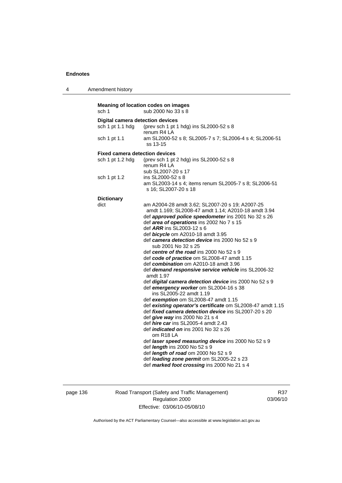4 Amendment history

**Meaning of location codes on images**  sch 1 sub 2000 No 33 s 8 **Digital camera detection devices**  sch 1 pt 1.1 hdg (prev sch 1 pt 1 hdg) ins SL2000-52 s 8 renum R4 LA sch 1 pt 1.1 am SL2000-52 s 8; SL2005-7 s 7; SL2006-4 s 4; SL2006-51 ss 13-15 **Fixed camera detection devices**  sch 1 pt 1.2 hdg (prev sch 1 pt 2 hdg) ins SL2000-52 s 8 renum R4 LA sub SL2007-20 s 17 sch 1 pt 1.2 ins SL2000-52 s 8 am SL2003-14 s 4; items renum SL2005-7 s 8; SL2006-51 s 16; SL2007-20 s 18 **Dictionary**  dict am A2004-28 amdt 3.62; SL2007-20 s 19; A2007-25 amdt 1.169; SL2008-47 amdt 1.14; A2010-18 amdt 3.94 def *approved police speedometer* ins 2001 No 32 s 26 def *area of operations* ins 2002 No 7 s 15 def *ARR* ins SL2003-12 s 6 def *bicycle* om A2010-18 amdt 3.95 def *camera detection device* ins 2000 No 52 s 9 sub 2001 No 32 s 25 def *centre of the road* ins 2000 No 52 s 9 def *code of practice* om SL2008-47 amdt 1.15 def *combination* om A2010-18 amdt 3.96 def *demand responsive service vehicle* ins SL2006-32 amdt 1.97 def *digital camera detection device* ins 2000 No 52 s 9 def *emergency worker* om SL2004-16 s 38 ins SL2005-22 amdt 1.19 def *exemption* om SL2008-47 amdt 1.15 def *existing operator's certificate* om SL2008-47 amdt 1.15 def *fixed camera detection device* ins SL2007-20 s 20 def *give way* ins 2000 No 21 s 4 def *hire car* ins SL2005-4 amdt 2.43 def *indicated on* ins 2001 No 32 s 26 om R18 LA def *laser speed measuring device* ins 2000 No 52 s 9 def *length* ins 2000 No 52 s 9 def *length of road* om 2000 No 52 s 9 def *loading zone permit* om SL2005-22 s 23 def *marked foot crossing* ins 2000 No 21 s 4

page 136 Road Transport (Safety and Traffic Management) Regulation 2000 Effective: 03/06/10-05/08/10

R37 03/06/10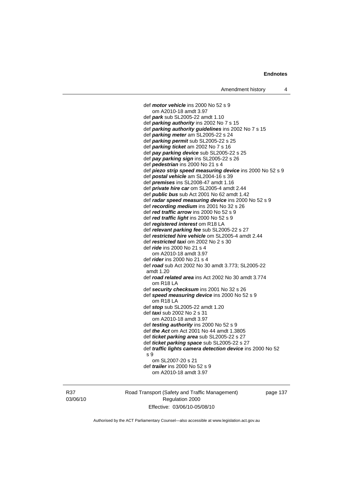def *motor vehicle* ins 2000 No 52 s 9 om A2010-18 amdt 3.97 def *park* sub SL2005-22 amdt 1.10 def *parking authority* ins 2002 No 7 s 15 def *parking authority guidelines* ins 2002 No 7 s 15 def *parking meter* am SL2005-22 s 24 def *parking permit* sub SL2005-22 s 25 def *parking ticket* am 2002 No 7 s 16 def *pay parking device* sub SL2005-22 s 25 def *pay parking sign* ins SL2005-22 s 26 def *pedestrian* ins 2000 No 21 s 4 def *piezo strip speed measuring device* ins 2000 No 52 s 9 def *postal vehicle* am SL2004-16 s 39 def *premises* ins SL2008-47 amdt 1.16 def *private hire car* om SL2005-4 amdt 2.44 def *public bus* sub Act 2001 No 62 amdt 1.42 def *radar speed measuring device* ins 2000 No 52 s 9 def *recording medium* ins 2001 No 32 s 26 def *red traffic arrow* ins 2000 No 52 s 9 def *red traffic light* ins 2000 No 52 s 9 def *registered interest* om R18 LA def *relevant parking fee* sub SL2005-22 s 27 def *restricted hire vehicle* om SL2005-4 amdt 2.44 def *restricted taxi* om 2002 No 2 s 30 def *ride* ins 2000 No 21 s 4 om A2010-18 amdt 3.97 def *rider* ins 2000 No 21 s 4 def *road* sub Act 2002 No 30 amdt 3.773; SL2005-22 amdt 1.20 def *road related area* ins Act 2002 No 30 amdt 3.774 om R18 LA def *security checksum* ins 2001 No 32 s 26 def *speed measuring device* ins 2000 No 52 s 9 om R18 LA def *stop* sub SL2005-22 amdt 1.20 def *taxi* sub 2002 No 2 s 31 om A2010-18 amdt 3.97 def *testing authority* ins 2000 No 52 s 9 def *the Act* om Act 2001 No 44 amdt 1.3805 def *ticket parking area* sub SL2005-22 s 27 def *ticket parking space* sub SL2005-22 s 27 def *traffic lights camera detection device* ins 2000 No 52 s 9 om SL2007-20 s 21 def *trailer* ins 2000 No 52 s 9 om A2010-18 amdt 3.97

R37 03/06/10 Road Transport (Safety and Traffic Management) Regulation 2000 Effective: 03/06/10-05/08/10

page 137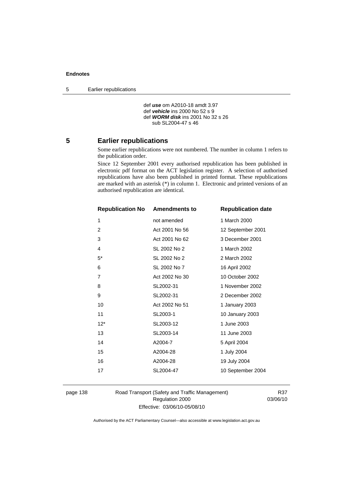5 Earlier republications

```
 def use om A2010-18 amdt 3.97 
def vehicle ins 2000 No 52 s 9 
def WORM disk ins 2001 No 32 s 26 
   sub SL2004-47 s 46
```
#### **5 Earlier republications**

Some earlier republications were not numbered. The number in column 1 refers to the publication order.

Since 12 September 2001 every authorised republication has been published in electronic pdf format on the ACT legislation register. A selection of authorised republications have also been published in printed format. These republications are marked with an asterisk (\*) in column 1. Electronic and printed versions of an authorised republication are identical.

| <b>Republication No</b> | <b>Amendments to</b> | <b>Republication date</b> |
|-------------------------|----------------------|---------------------------|
| 1                       | not amended          | 1 March 2000              |
| 2                       | Act 2001 No 56       | 12 September 2001         |
| 3                       | Act 2001 No 62       | 3 December 2001           |
| 4                       | SL 2002 No 2         | 1 March 2002              |
| $5^*$                   | SL 2002 No 2         | 2 March 2002              |
| 6                       | SL 2002 No 7         | 16 April 2002             |
| 7                       | Act 2002 No 30       | 10 October 2002           |
| 8                       | SL2002-31            | 1 November 2002           |
| 9                       | SL2002-31            | 2 December 2002           |
| 10                      | Act 2002 No 51       | 1 January 2003            |
| 11                      | SL2003-1             | 10 January 2003           |
| $12*$                   | SL2003-12            | 1 June 2003               |
| 13                      | SL2003-14            | 11 June 2003              |
| 14                      | A2004-7              | 5 April 2004              |
| 15                      | A2004-28             | 1 July 2004               |
| 16                      | A2004-28             | 19 July 2004              |
| 17                      | SL2004-47            | 10 September 2004         |
|                         |                      |                           |

page 138 Road Transport (Safety and Traffic Management) Regulation 2000 Effective: 03/06/10-05/08/10

R37 03/06/10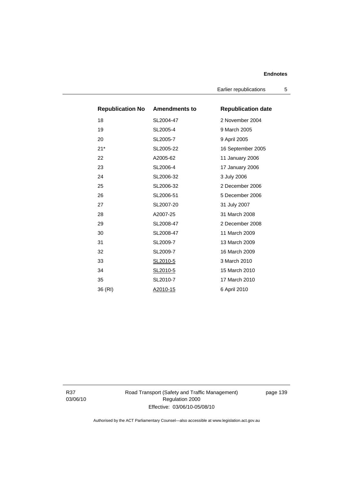Earlier republications 5

| <b>Republication No Amendments to</b> |           | <b>Republication date</b> |
|---------------------------------------|-----------|---------------------------|
| 18                                    | SL2004-47 | 2 November 2004           |
| 19                                    | SL2005-4  | 9 March 2005              |
| 20                                    | SL2005-7  | 9 April 2005              |
| $21*$                                 | SL2005-22 | 16 September 2005         |
| 22                                    | A2005-62  | 11 January 2006           |
| 23                                    | SL2006-4  | 17 January 2006           |
| 24                                    | SL2006-32 | 3 July 2006               |
| 25                                    | SL2006-32 | 2 December 2006           |
| 26                                    | SL2006-51 | 5 December 2006           |
| 27                                    | SL2007-20 | 31 July 2007              |
| 28                                    | A2007-25  | 31 March 2008             |
| 29                                    | SL2008-47 | 2 December 2008           |
| 30                                    | SL2008-47 | 11 March 2009             |
| 31                                    | SL2009-7  | 13 March 2009             |
| 32                                    | SL2009-7  | 16 March 2009             |
| 33                                    | SL2010-5  | 3 March 2010              |
| 34                                    | SL2010-5  | 15 March 2010             |
| 35                                    | SL2010-7  | 17 March 2010             |
| 36 (RI)                               | A2010-15  | 6 April 2010              |

R37 03/06/10 Road Transport (Safety and Traffic Management) Regulation 2000 Effective: 03/06/10-05/08/10

page 139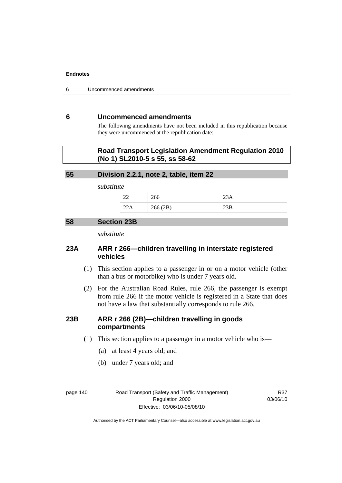6 Uncommenced amendments

# **6 Uncommenced amendments**

The following amendments have not been included in this republication because they were uncommenced at the republication date:

## **Road Transport Legislation Amendment Regulation 2010 (No 1) SL2010-5 s 55, ss 58-62**

#### **55 Division 2.2.1, note 2, table, item 22**

*substitute* 

| $\sim$<br>∠∠ | 266      | $\triangle$ J $\Gamma$ |
|--------------|----------|------------------------|
| ⊷⊷           | 266 (2B) | ∠ാ്വ                   |

### **58 Section 23B**

*substitute* 

# **23A ARR r 266—children travelling in interstate registered vehicles**

- (1) This section applies to a passenger in or on a motor vehicle (other than a bus or motorbike) who is under 7 years old.
- (2) For the Australian Road Rules, rule 266, the passenger is exempt from rule 266 if the motor vehicle is registered in a State that does not have a law that substantially corresponds to rule 266.

# **23B ARR r 266 (2B)—children travelling in goods compartments**

- (1) This section applies to a passenger in a motor vehicle who is—
	- (a) at least 4 years old; and
	- (b) under 7 years old; and

page 140 Road Transport (Safety and Traffic Management) Regulation 2000 Effective: 03/06/10-05/08/10

R37 03/06/10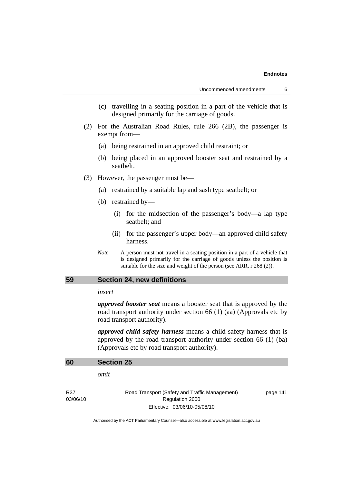- (c) travelling in a seating position in a part of the vehicle that is designed primarily for the carriage of goods.
- (2) For the Australian Road Rules, rule 266 (2B), the passenger is exempt from—
	- (a) being restrained in an approved child restraint; or
	- (b) being placed in an approved booster seat and restrained by a seatbelt.
- (3) However, the passenger must be—
	- (a) restrained by a suitable lap and sash type seatbelt; or
	- (b) restrained by—
		- (i) for the midsection of the passenger's body—a lap type seatbelt; and
		- (ii) for the passenger's upper body—an approved child safety harness.
	- *Note* A person must not travel in a seating position in a part of a vehicle that is designed primarily for the carriage of goods unless the position is suitable for the size and weight of the person (see ARR, r 268 (2)).

# **59 Section 24, new definitions**

#### *insert*

*approved booster seat* means a booster seat that is approved by the road transport authority under section 66 (1) (aa) (Approvals etc by road transport authority).

*approved child safety harness* means a child safety harness that is approved by the road transport authority under section 66 (1) (ba) (Approvals etc by road transport authority).

| 60              | <b>Section 25</b>                                                 |          |
|-----------------|-------------------------------------------------------------------|----------|
|                 | omit                                                              |          |
| R37<br>03/06/10 | Road Transport (Safety and Traffic Management)<br>Regulation 2000 | page 141 |
|                 | Effective: 03/06/10-05/08/10                                      |          |